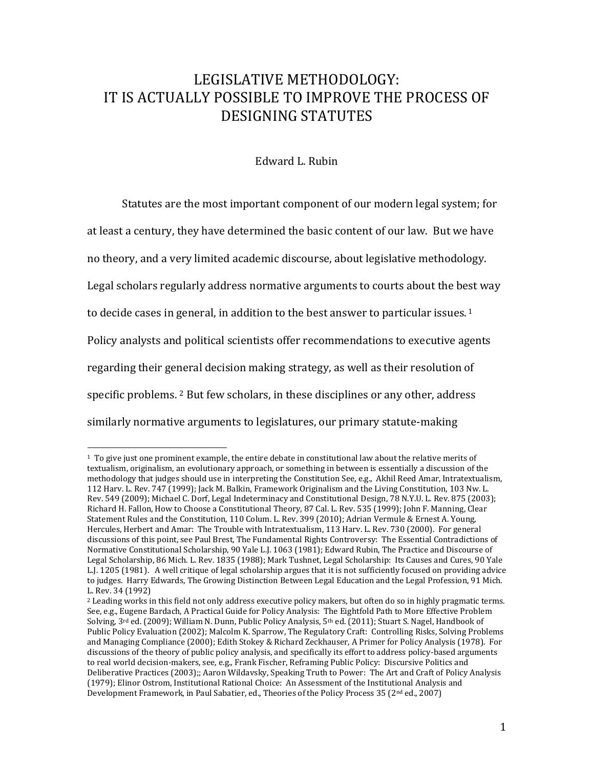# LEGISLATIVE METHODOLOGY: IT IS ACTUALLY POSSIBLE TO IMPROVE THE PROCESS OF DESIGNING STATUTES

# Edward L. Rubin

Statutes are the most important component of our modern legal system; for at least a century, they have determined the basic content of our law. But we have no theory, and a very limited academic discourse, about legislative methodology. Legal scholars regularly address normative arguments to courts about the best way to decide cases in general, in addition to the best answer to particular issues.  $1$ Policy analysts and political scientists offer recommendations to executive agents regarding their general decision making strategy, as well as their resolution of specific problems. <sup>2</sup> But few scholars, in these disciplines or any other, address similarly normative arguments to legislatures, our primary statute-making

<sup>1</sup> To give just one prominent example, the entire debate in constitutional law about the relative merits of textualism, originalism, an evolutionary approach, or something in between is essentially a discussion of the methodology that judges should use in interpreting the Constitution See, e.g., Akhil Reed Amar, Intratextualism, 112 Harv. L. Rev. 747 (1999); Jack M. Balkin, Framework Originalism and the Living Constitution, 103 Nw. L. Rev. 549 (2009); Michael C. Dorf, Legal Indeterminacy and Constitutional Design, 78 N.Y.U. L. Rev. 875 (2003); Richard H. Fallon, How to Choose a Constitutional Theory, 87 Cal. L. Rev. 535 (1999); John F. Manning, Clear Statement Rules and the Constitution, 110 Colum. L. Rev. 399 (2010); Adrian Vermule & Ernest A. Young, Hercules, Herbert and Amar: The Trouble with Intratextualism, 113 Harv. L. Rev. 730 (2000). For general discussions of this point, see Paul Brest, The Fundamental Rights Controversy: The Essential Contradictions of Normative Constitutional Scholarship, 90 Yale L.J. 1063 (1981); Edward Rubin, The Practice and Discourse of Legal Scholarship, 86 Mich. L. Rev. 1835 (1988); Mark Tushnet, Legal Scholarship: Its Causes and Cures, 90 Yale L.J. 1205 (1981). A well critique of legal scholarship argues that it is not sufficiently focused on providing advice to judges. Harry Edwards, The Growing Distinction Between Legal Education and the Legal Profession, 91 Mich. L. Rev. 34 (1992)

<sup>2</sup> Leading works in this field not only address executive policy makers, but often do so in highly pragmatic terms. See, e.g., Eugene Bardach, A Practical Guide for Policy Analysis: The Eightfold Path to More Effective Problem Solving, 3<sup>rd</sup> ed. (2009); William N. Dunn, Public Policy Analysis, 5<sup>th</sup> ed. (2011); Stuart S. Nagel, Handbook of Public Policy Evaluation (2002); Malcolm K. Sparrow, The Regulatory Craft: Controlling Risks, Solving Problems and Managing Compliance (2000); Edith Stokey & Richard Zeckhauser, A Primer for Policy Analysis (1978). For discussions of the theory of public policy analysis, and specifically its effort to address policy-based arguments to real world decision-makers, see, e.g., Frank Fischer, Reframing Public Policy: Discursive Politics and Deliberative Practices (2003);; Aaron Wildavsky, Speaking Truth to Power: The Art and Craft of Policy Analysis (1979); Elinor Ostrom, Institutional Rational Choice: An Assessment of the Institutional Analysis and Development Framework, in Paul Sabatier, ed., Theories of the Policy Process 35 (2nd ed., 2007)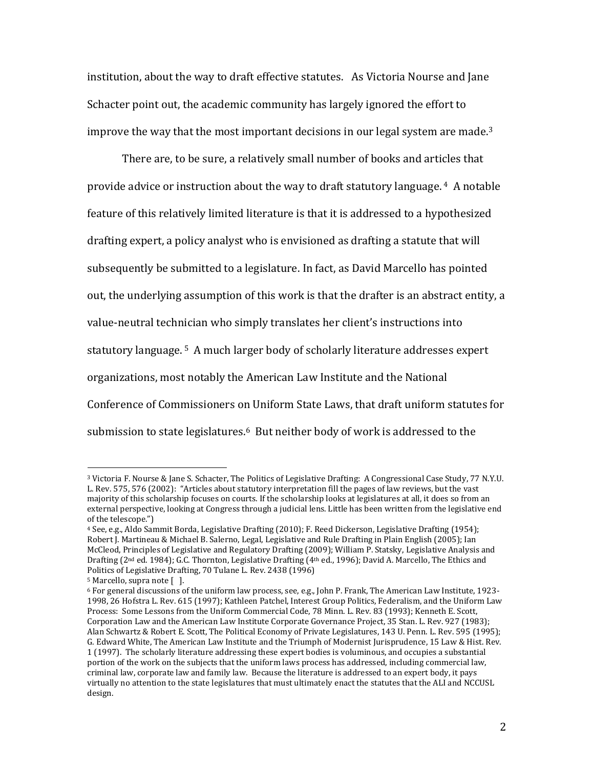institution, about the way to draft effective statutes. As Victoria Nourse and Jane Schacter point out, the academic community has largely ignored the effort to improve the way that the most important decisions in our legal system are made.<sup>3</sup>

There are, to be sure, a relatively small number of books and articles that provide advice or instruction about the way to draft statutory language. <sup>4</sup> A notable feature of this relatively limited literature is that it is addressed to a hypothesized drafting expert, a policy analyst who is envisioned as drafting a statute that will subsequently be submitted to a legislature. In fact, as David Marcello has pointed out, the underlying assumption of this work is that the drafter is an abstract entity, a value-neutral technician who simply translates her client's instructions into statutory language. <sup>5</sup> A much larger body of scholarly literature addresses expert organizations, most notably the American Law Institute and the National Conference of Commissioners on Uniform State Laws, that draft uniform statutes for submission to state legislatures.<sup>6</sup> But neither body of work is addressed to the

<sup>3</sup> Victoria F. Nourse & Jane S. Schacter, The Politics of Legislative Drafting: A Congressional Case Study, 77 N.Y.U. L. Rev. 575, 576 (2002): "Articles about statutory interpretation fill the pages of law reviews, but the vast majority of this scholarship focuses on courts. If the scholarship looks at legislatures at all, it does so from an external perspective, looking at Congress through a judicial lens. Little has been written from the legislative end of the telescope.")

<sup>4</sup> See, e.g., Aldo Sammit Borda, Legislative Drafting (2010); F. Reed Dickerson, Legislative Drafting (1954); Robert J. Martineau & Michael B. Salerno, Legal, Legislative and Rule Drafting in Plain English (2005); Ian McCleod, Principles of Legislative and Regulatory Drafting (2009); William P. Statsky, Legislative Analysis and Drafting (2nd ed. 1984); G.C. Thornton, Legislative Drafting (4th ed., 1996); David A. Marcello, The Ethics and Politics of Legislative Drafting, 70 Tulane L. Rev. 2438 (1996)

<sup>5</sup> Marcello, supra note [ ].

<sup>6</sup> For general discussions of the uniform law process, see, e.g., John P. Frank, The American Law Institute, 1923- 1998, 26 Hofstra L. Rev. 615 (1997); Kathleen Patchel, Interest Group Politics, Federalism, and the Uniform Law Process: Some Lessons from the Uniform Commercial Code, 78 Minn. L. Rev. 83 (1993); Kenneth E. Scott, Corporation Law and the American Law Institute Corporate Governance Project, 35 Stan. L. Rev. 927 (1983); Alan Schwartz & Robert E. Scott, The Political Economy of Private Legislatures, 143 U. Penn. L. Rev. 595 (1995); G. Edward White, The American Law Institute and the Triumph of Modernist Jurisprudence, 15 Law & Hist. Rev. 1 (1997). The scholarly literature addressing these expert bodies is voluminous, and occupies a substantial portion of the work on the subjects that the uniform laws process has addressed, including commercial law, criminal law, corporate law and family law. Because the literature is addressed to an expert body, it pays virtually no attention to the state legislatures that must ultimately enact the statutes that the ALI and NCCUSL design.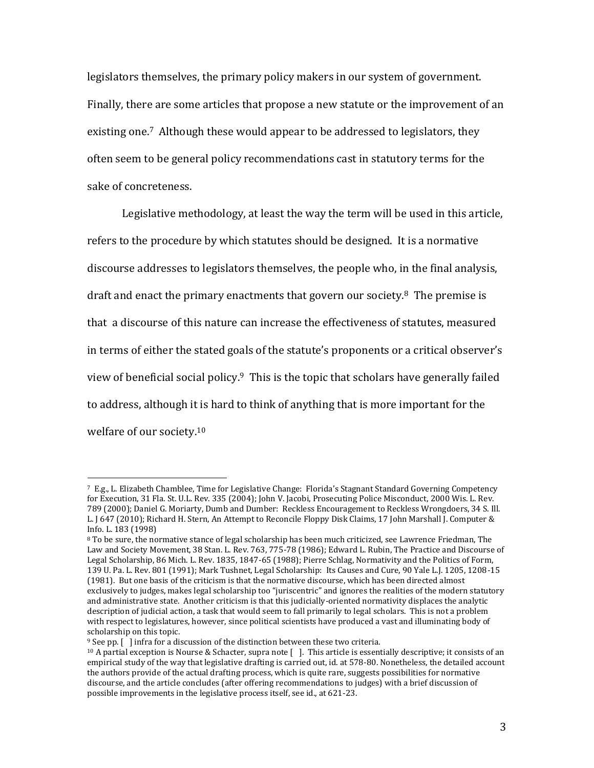legislators themselves, the primary policy makers in our system of government. Finally, there are some articles that propose a new statute or the improvement of an existing one.<sup>7</sup> Although these would appear to be addressed to legislators, they often seem to be general policy recommendations cast in statutory terms for the sake of concreteness.

Legislative methodology, at least the way the term will be used in this article, refers to the procedure by which statutes should be designed. It is a normative discourse addresses to legislators themselves, the people who, in the final analysis, draft and enact the primary enactments that govern our society.<sup>8</sup> The premise is that a discourse of this nature can increase the effectiveness of statutes, measured in terms of either the stated goals of the statute's proponents or a critical observer's view of beneficial social policy.9 This is the topic that scholars have generally failed to address, although it is hard to think of anything that is more important for the welfare of our society. 10

<sup>7</sup> E.g., L. Elizabeth Chamblee, Time for Legislative Change: Florida's Stagnant Standard Governing Competency for Execution, 31 Fla. St. U.L. Rev. 335 (2004); John V. Jacobi, Prosecuting Police Misconduct, 2000 Wis. L. Rev. 789 (2000); Daniel G. Moriarty, Dumb and Dumber: Reckless Encouragement to Reckless Wrongdoers, 34 S. Ill. L. J 647 (2010); Richard H. Stern, An Attempt to Reconcile Floppy Disk Claims, 17 John Marshall J. Computer & Info. L. 183 (1998)

<sup>8</sup> To be sure, the normative stance of legal scholarship has been much criticized, see Lawrence Friedman, The Law and Society Movement, 38 Stan. L. Rev. 763, 775-78 (1986); Edward L. Rubin, The Practice and Discourse of Legal Scholarship, 86 Mich. L. Rev. 1835, 1847-65 (1988); Pierre Schlag, Normativity and the Politics of Form, 139 U. Pa. L. Rev. 801 (1991); Mark Tushnet, Legal Scholarship: Its Causes and Cure, 90 Yale L.J. 1205, 1208-15 (1981). But one basis of the criticism is that the normative discourse, which has been directed almost exclusively to judges, makes legal scholarship too "juriscentric" and ignores the realities of the modern statutory and administrative state. Another criticism is that this judicially-oriented normativity displaces the analytic description of judicial action, a task that would seem to fall primarily to legal scholars. This is not a problem with respect to legislatures, however, since political scientists have produced a vast and illuminating body of scholarship on this topic.

<sup>&</sup>lt;sup>9</sup> See pp. [ ] infra for a discussion of the distinction between these two criteria.

 $10$  A partial exception is Nourse & Schacter, supra note  $\lceil$  1. This article is essentially descriptive; it consists of an empirical study of the way that legislative drafting is carried out, id. at 578-80. Nonetheless, the detailed account the authors provide of the actual drafting process, which is quite rare, suggests possibilities for normative discourse, and the article concludes (after offering recommendations to judges) with a brief discussion of possible improvements in the legislative process itself, see id., at 621-23.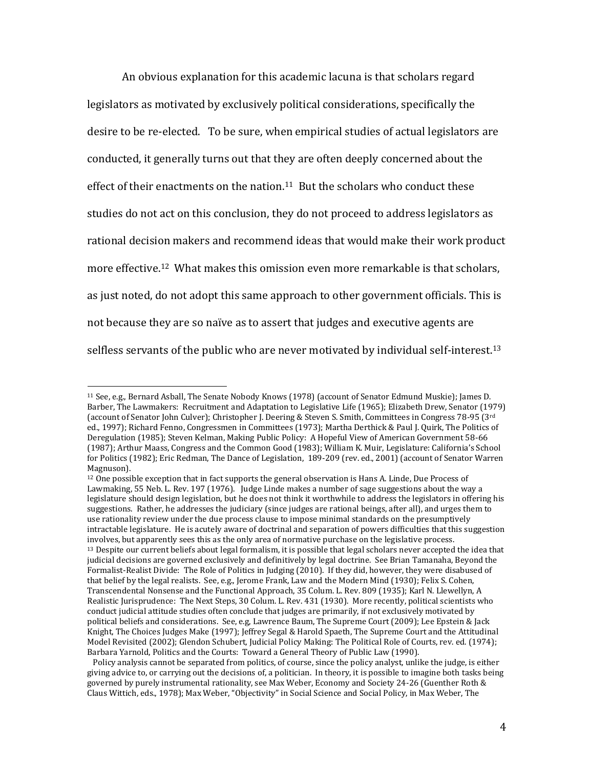An obvious explanation for this academic lacuna is that scholars regard legislators as motivated by exclusively political considerations, specifically the desire to be re-elected. To be sure, when empirical studies of actual legislators are conducted, it generally turns out that they are often deeply concerned about the effect of their enactments on the nation.<sup>11</sup> But the scholars who conduct these studies do not act on this conclusion, they do not proceed to address legislators as rational decision makers and recommend ideas that would make their work product more effective. <sup>12</sup> What makes this omission even more remarkable is that scholars, as just noted, do not adopt this same approach to other government officials. This is not because they are so naïve as to assert that judges and executive agents are selfless servants of the public who are never motivated by individual self-interest.<sup>13</sup>

<sup>11</sup> See, e.g., Bernard Asball, The Senate Nobody Knows (1978) (account of Senator Edmund Muskie); James D. Barber, The Lawmakers: Recruitment and Adaptation to Legislative Life (1965); Elizabeth Drew, Senator (1979) (account of Senator John Culver); Christopher J. Deering & Steven S. Smith, Committees in Congress 78-95 (3rd ed., 1997); Richard Fenno, Congressmen in Committees (1973); Martha Derthick & Paul J. Quirk, The Politics of Deregulation (1985); Steven Kelman, Making Public Policy: A Hopeful View of American Government 58-66 (1987); Arthur Maass, Congress and the Common Good (1983); William K. Muir, Legislature: California's School for Politics (1982); Eric Redman, The Dance of Legislation, 189-209 (rev. ed., 2001) (account of Senator Warren Magnuson).

<sup>12</sup> One possible exception that in fact supports the general observation is Hans A. Linde, Due Process of Lawmaking, 55 Neb. L. Rev. 197 (1976). Judge Linde makes a number of sage suggestions about the way a legislature should design legislation, but he does not think it worthwhile to address the legislators in offering his suggestions. Rather, he addresses the judiciary (since judges are rational beings, after all), and urges them to use rationality review under the due process clause to impose minimal standards on the presumptively intractable legislature. He is acutely aware of doctrinal and separation of powers difficulties that this suggestion involves, but apparently sees this as the only area of normative purchase on the legislative process.  $13$  Despite our current beliefs about legal formalism, it is possible that legal scholars never accepted the idea that judicial decisions are governed exclusively and definitively by legal doctrine. See Brian Tamanaha, Beyond the Formalist-Realist Divide: The Role of Politics in Judging (2010). If they did, however, they were disabused of that belief by the legal realists. See, e.g., Jerome Frank, Law and the Modern Mind (1930); Felix S. Cohen, Transcendental Nonsense and the Functional Approach, 35 Colum. L. Rev. 809 (1935); Karl N. Llewellyn, A Realistic Jurisprudence: The Next Steps, 30 Colum. L. Rev. 431 (1930). More recently, political scientists who conduct judicial attitude studies often conclude that judges are primarily, if not exclusively motivated by political beliefs and considerations. See, e.g, Lawrence Baum, The Supreme Court (2009); Lee Epstein & Jack Knight, The Choices Judges Make (1997); Jeffrey Segal & Harold Spaeth, The Supreme Court and the Attitudinal Model Revisited (2002); Glendon Schubert, Judicial Policy Making: The Political Role of Courts, rev. ed. (1974); Barbara Yarnold, Politics and the Courts: Toward a General Theory of Public Law (1990).

Policy analysis cannot be separated from politics, of course, since the policy analyst, unlike the judge, is either giving advice to, or carrying out the decisions of, a politician. In theory, it is possible to imagine both tasks being governed by purely instrumental rationality, see Max Weber, Economy and Society 24-26 (Guenther Roth & Claus Wittich, eds., 1978); Max Weber, "Objectivity" in Social Science and Social Policy, in Max Weber, The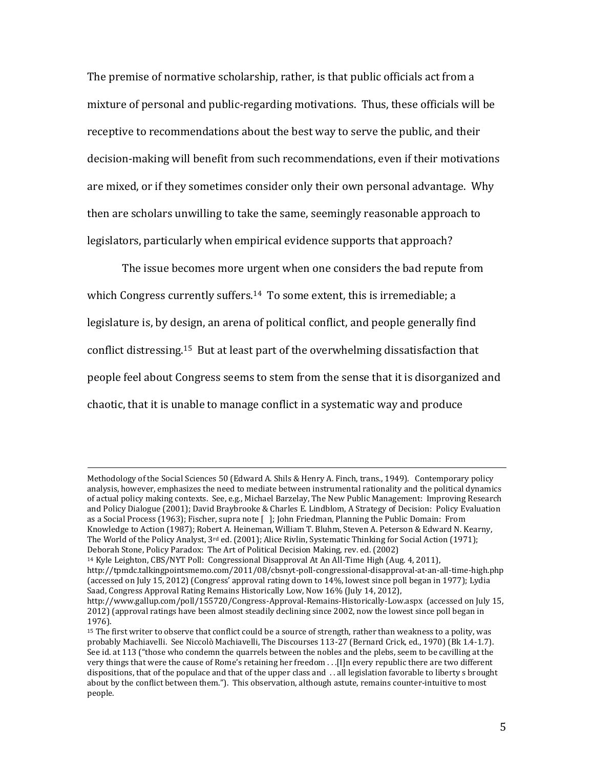The premise of normative scholarship, rather, is that public officials act from a mixture of personal and public-regarding motivations. Thus, these officials will be receptive to recommendations about the best way to serve the public, and their decision-making will benefit from such recommendations, even if their motivations are mixed, or if they sometimes consider only their own personal advantage. Why then are scholars unwilling to take the same, seemingly reasonable approach to legislators, particularly when empirical evidence supports that approach?

The issue becomes more urgent when one considers the bad repute from which Congress currently suffers.<sup>14</sup> To some extent, this is irremediable; a legislature is, by design, an arena of political conflict, and people generally find conflict distressing.15 But at least part of the overwhelming dissatisfaction that people feel about Congress seems to stem from the sense that it is disorganized and chaotic, that it is unable to manage conflict in a systematic way and produce

Methodology of the Social Sciences 50 (Edward A. Shils & Henry A. Finch, trans., 1949). Contemporary policy analysis, however, emphasizes the need to mediate between instrumental rationality and the political dynamics of actual policy making contexts. See, e.g., Michael Barzelay, The New Public Management: Improving Research and Policy Dialogue (2001); David Braybrooke & Charles E. Lindblom, A Strategy of Decision: Policy Evaluation as a Social Process (1963); Fischer, supra note [ ]; John Friedman, Planning the Public Domain: From Knowledge to Action (1987); Robert A. Heineman, William T. Bluhm, Steven A. Peterson & Edward N. Kearny, The World of the Policy Analyst, 3rd ed. (2001); Alice Rivlin, Systematic Thinking for Social Action (1971); Deborah Stone, Policy Paradox: The Art of Political Decision Making, rev. ed. (2002)

<sup>14</sup> Kyle Leighton, CBS/NYT Poll: Congressional Disapproval At An All-Time High (Aug. 4, 2011), http://tpmdc.talkingpointsmemo.com/2011/08/cbsnyt-poll-congressional-disapproval-at-an-all-time-high.php (accessed on July 15, 2012) (Congress' approval rating down to 14%, lowest since poll began in 1977); Lydia Saad, Congress Approval Rating Remains Historically Low, Now 16% (July 14, 2012),

http://www.gallup.com/poll/155720/Congress-Approval-Remains-Historically-Low.aspx (accessed on July 15, 2012) (approval ratings have been almost steadily declining since 2002, now the lowest since poll began in 1976).

<sup>&</sup>lt;sup>15</sup> The first writer to observe that conflict could be a source of strength, rather than weakness to a polity, was probably Machiavelli. See Niccolò Machiavelli, The Discourses 113-27 (Bernard Crick, ed., 1970) (Bk 1.4-1.7). See id. at 113 ("those who condemn the quarrels between the nobles and the plebs, seem to be cavilling at the very things that were the cause of Rome's retaining her freedom . . .[I]n every republic there are two different dispositions, that of the populace and that of the upper class and . . all legislation favorable to liberty s brought about by the conflict between them."). This observation, although astute, remains counter-intuitive to most people.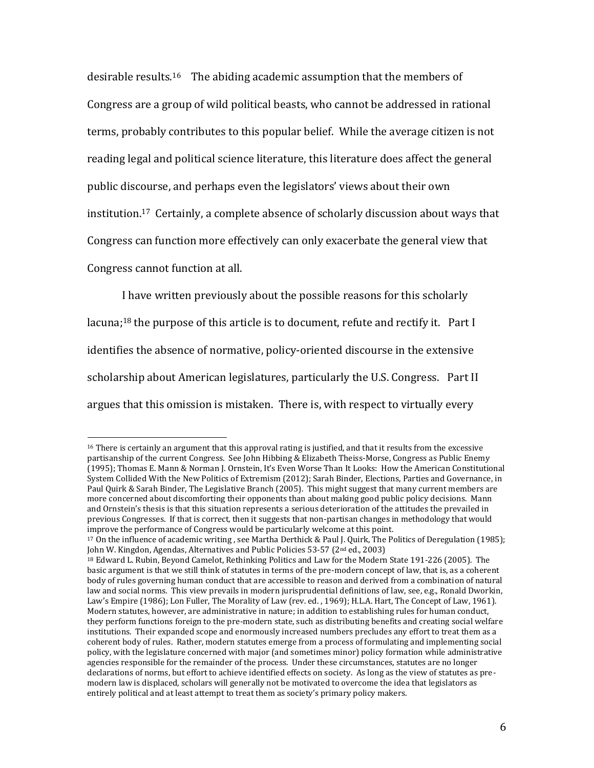desirable results. <sup>16</sup> The abiding academic assumption that the members of Congress are a group of wild political beasts, who cannot be addressed in rational terms, probably contributes to this popular belief. While the average citizen is not reading legal and political science literature, this literature does affect the general public discourse, and perhaps even the legislators' views about their own institution.17 Certainly, a complete absence of scholarly discussion about ways that Congress can function more effectively can only exacerbate the general view that Congress cannot function at all.

I have written previously about the possible reasons for this scholarly lacuna;<sup>18</sup> the purpose of this article is to document, refute and rectify it. Part I identifies the absence of normative, policy-oriented discourse in the extensive scholarship about American legislatures, particularly the U.S. Congress. Part II argues that this omission is mistaken. There is, with respect to virtually every

<sup>&</sup>lt;sup>16</sup> There is certainly an argument that this approval rating is justified, and that it results from the excessive partisanship of the current Congress. See John Hibbing & Elizabeth Theiss-Morse, Congress as Public Enemy (1995); Thomas E. Mann & Norman J. Ornstein, It's Even Worse Than It Looks: How the American Constitutional System Collided With the New Politics of Extremism (2012); Sarah Binder, Elections, Parties and Governance, in Paul Quirk & Sarah Binder, The Legislative Branch (2005). This might suggest that many current members are more concerned about discomforting their opponents than about making good public policy decisions. Mann and Ornstein's thesis is that this situation represents a serious deterioration of the attitudes the prevailed in previous Congresses. If that is correct, then it suggests that non-partisan changes in methodology that would improve the performance of Congress would be particularly welcome at this point.

<sup>17</sup> On the influence of academic writing , see Martha Derthick & Paul J. Quirk, The Politics of Deregulation (1985); John W. Kingdon, Agendas, Alternatives and Public Policies 53-57 (2nd ed., 2003)

<sup>18</sup> Edward L. Rubin, Beyond Camelot, Rethinking Politics and Law for the Modern State 191-226 (2005). The basic argument is that we still think of statutes in terms of the pre-modern concept of law, that is, as a coherent body of rules governing human conduct that are accessible to reason and derived from a combination of natural law and social norms. This view prevails in modern jurisprudential definitions of law, see, e.g., Ronald Dworkin, Law's Empire (1986); Lon Fuller, The Morality of Law (rev. ed. , 1969); H.L.A. Hart, The Concept of Law, 1961). Modern statutes, however, are administrative in nature; in addition to establishing rules for human conduct, they perform functions foreign to the pre-modern state, such as distributing benefits and creating social welfare institutions. Their expanded scope and enormously increased numbers precludes any effort to treat them as a coherent body of rules. Rather, modern statutes emerge from a process of formulating and implementing social policy, with the legislature concerned with major (and sometimes minor) policy formation while administrative agencies responsible for the remainder of the process. Under these circumstances, statutes are no longer declarations of norms, but effort to achieve identified effects on society. As long as the view of statutes as premodern law is displaced, scholars will generally not be motivated to overcome the idea that legislators as entirely political and at least attempt to treat them as society's primary policy makers.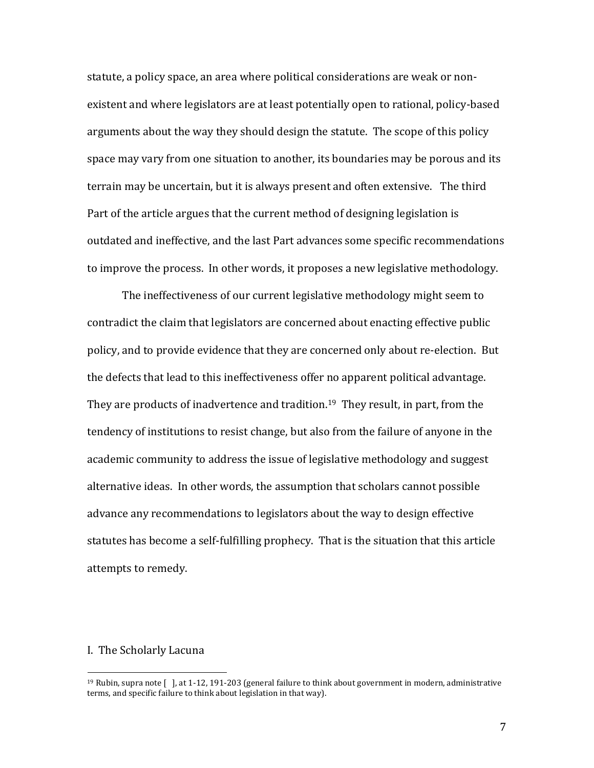statute, a policy space, an area where political considerations are weak or nonexistent and where legislators are at least potentially open to rational, policy-based arguments about the way they should design the statute. The scope of this policy space may vary from one situation to another, its boundaries may be porous and its terrain may be uncertain, but it is always present and often extensive. The third Part of the article argues that the current method of designing legislation is outdated and ineffective, and the last Part advances some specific recommendations to improve the process. In other words, it proposes a new legislative methodology.

The ineffectiveness of our current legislative methodology might seem to contradict the claim that legislators are concerned about enacting effective public policy, and to provide evidence that they are concerned only about re-election. But the defects that lead to this ineffectiveness offer no apparent political advantage. They are products of inadvertence and tradition. <sup>19</sup> They result, in part, from the tendency of institutions to resist change, but also from the failure of anyone in the academic community to address the issue of legislative methodology and suggest alternative ideas. In other words, the assumption that scholars cannot possible advance any recommendations to legislators about the way to design effective statutes has become a self-fulfilling prophecy. That is the situation that this article attempts to remedy.

#### I. The Scholarly Lacuna

<sup>&</sup>lt;sup>19</sup> Rubin, supra note  $\lceil$  ], at 1-12, 191-203 (general failure to think about government in modern, administrative terms, and specific failure to think about legislation in that way).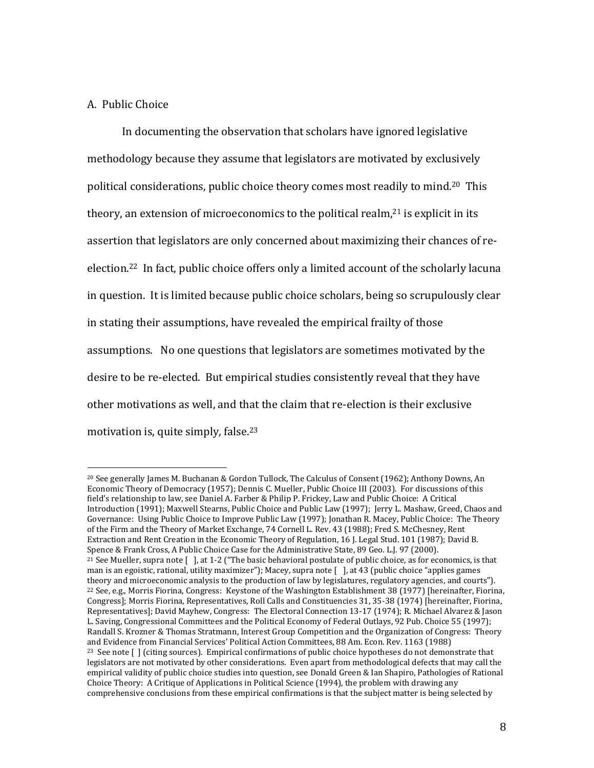# A. Public Choice

 $\overline{a}$ 

In documenting the observation that scholars have ignored legislative methodology because they assume that legislators are motivated by exclusively political considerations, public choice theory comes most readily to mind.20 This theory, an extension of microeconomics to the political realm, $21$  is explicit in its assertion that legislators are only concerned about maximizing their chances of reelection.<sup>22</sup> In fact, public choice offers only a limited account of the scholarly lacuna in question. It is limited because public choice scholars, being so scrupulously clear in stating their assumptions, have revealed the empirical frailty of those assumptions. No one questions that legislators are sometimes motivated by the desire to be re-elected. But empirical studies consistently reveal that they have other motivations as well, and that the claim that re-election is their exclusive motivation is, quite simply, false.<sup>23</sup>

<sup>20</sup> See generally James M. Buchanan & Gordon Tullock, The Calculus of Consent (1962); Anthony Downs, An Economic Theory of Democracy (1957); Dennis C. Mueller, Public Choice III (2003). For discussions of this field's relationship to law, see Daniel A. Farber & Philip P. Frickey, Law and Public Choice: A Critical Introduction (1991); Maxwell Stearns, Public Choice and Public Law (1997); Jerry L. Mashaw, Greed, Chaos and Governance: Using Public Choice to Improve Public Law (1997); Jonathan R. Macey, Public Choice: The Theory of the Firm and the Theory of Market Exchange, 74 Cornell L. Rev. 43 (1988); Fred S. McChesney, Rent Extraction and Rent Creation in the Economic Theory of Regulation, 16 J. Legal Stud. 101 (1987); David B. Spence & Frank Cross, A Public Choice Case for the Administrative State, 89 Geo. L.J. 97 (2000). <sup>21</sup> See Mueller, supra note  $\lceil$  , at 1-2 ("The basic behavioral postulate of public choice, as for economics, is that man is an egoistic, rational, utility maximizer"); Macey, supra note [ ], at 43 (public choice "applies games theory and microeconomic analysis to the production of law by legislatures, regulatory agencies, and courts"). <sup>22</sup> See, e.g., Morris Fiorina, Congress: Keystone of the Washington Establishment 38 (1977) [hereinafter, Fiorina, Congress]; Morris Fiorina, Representatives, Roll Calls and Constituencies 31, 35-38 (1974) [hereinafter, Fiorina, Representatives]; David Mayhew, Congress: The Electoral Connection 13-17 (1974); R. Michael Alvarez & Jason L. Saving, Congressional Committees and the Political Economy of Federal Outlays, 92 Pub. Choice 55 (1997); Randall S. Krozner & Thomas Stratmann, Interest Group Competition and the Organization of Congress: Theory and Evidence from Financial Services' Political Action Committees, 88 Am. Econ. Rev. 1163 (1988) <sup>23</sup> See note  $\lceil \cdot \rceil$  (citing sources). Empirical confirmations of public choice hypotheses do not demonstrate that legislators are not motivated by other considerations. Even apart from methodological defects that may call the empirical validity of public choice studies into question, see Donald Green & Ian Shapiro, Pathologies of Rational Choice Theory: A Critique of Applications in Political Science (1994), the problem with drawing any comprehensive conclusions from these empirical confirmations is that the subject matter is being selected by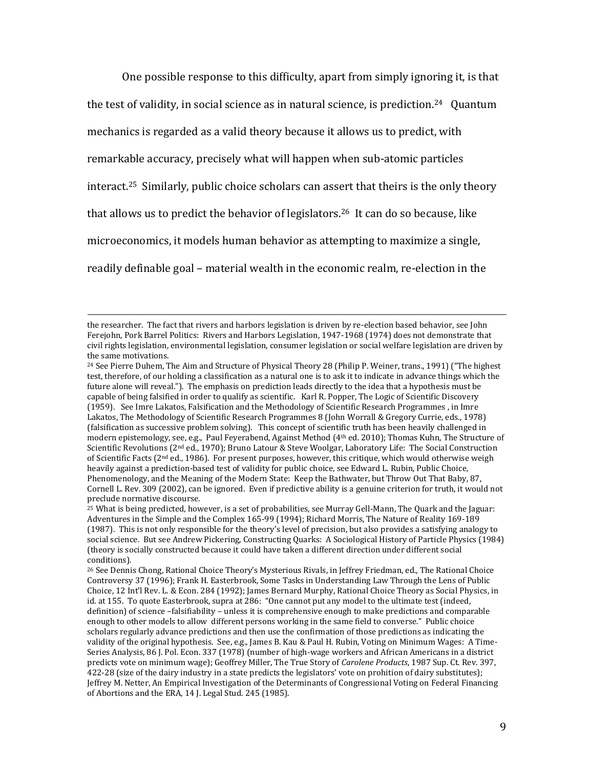One possible response to this difficulty, apart from simply ignoring it, is that the test of validity, in social science as in natural science, is prediction.24 Quantum mechanics is regarded as a valid theory because it allows us to predict, with remarkable accuracy, precisely what will happen when sub-atomic particles interact.25 Similarly, public choice scholars can assert that theirs is the only theory that allows us to predict the behavior of legislators.26 It can do so because, like microeconomics, it models human behavior as attempting to maximize a single, readily definable goal – material wealth in the economic realm, re-election in the

the researcher. The fact that rivers and harbors legislation is driven by re-election based behavior, see John Ferejohn, Pork Barrel Politics: Rivers and Harbors Legislation, 1947-1968 (1974) does not demonstrate that civil rights legislation, environmental legislation, consumer legislation or social welfare legislation are driven by the same motivations.

<sup>&</sup>lt;sup>24</sup> See Pierre Duhem, The Aim and Structure of Physical Theory 28 (Philip P. Weiner, trans., 1991) ("The highest test, therefore, of our holding a classification as a natural one is to ask it to indicate in advance things which the future alone will reveal."). The emphasis on prediction leads directly to the idea that a hypothesis must be capable of being falsified in order to qualify as scientific. Karl R. Popper, The Logic of Scientific Discovery (1959). See Imre Lakatos, Falsification and the Methodology of Scientific Research Programmes , in Imre Lakatos, The Methodology of Scientific Research Programmes 8 (John Worrall & Gregory Currie, eds., 1978) (falsification as successive problem solving). This concept of scientific truth has been heavily challenged in modern epistemology, see, e.g., Paul Feyerabend, Against Method (4th ed. 2010); Thomas Kuhn, The Structure of Scientific Revolutions (2nd ed., 1970); Bruno Latour & Steve Woolgar, Laboratory Life: The Social Construction of Scientific Facts (2nd ed., 1986). For present purposes, however, this critique, which would otherwise weigh heavily against a prediction-based test of validity for public choice, see Edward L. Rubin, Public Choice, Phenomenology, and the Meaning of the Modern State: Keep the Bathwater, but Throw Out That Baby, 87, Cornell L. Rev. 309 (2002), can be ignored. Even if predictive ability is a genuine criterion for truth, it would not preclude normative discourse.

<sup>25</sup> What is being predicted, however, is a set of probabilities, see Murray Gell-Mann, The Quark and the Jaguar: Adventures in the Simple and the Complex 165-99 (1994); Richard Morris, The Nature of Reality 169-189 (1987). This is not only responsible for the theory's level of precision, but also provides a satisfying analogy to social science. But see Andrew Pickering, Constructing Quarks: A Sociological History of Particle Physics (1984) (theory is socially constructed because it could have taken a different direction under different social conditions).

<sup>26</sup> See Dennis Chong, Rational Choice Theory's Mysterious Rivals, in Jeffrey Friedman, ed., The Rational Choice Controversy 37 (1996); Frank H. Easterbrook, Some Tasks in Understanding Law Through the Lens of Public Choice, 12 Int'l Rev. L. & Econ. 284 (1992); James Bernard Murphy, Rational Choice Theory as Social Physics, in id. at 155. To quote Easterbrook, supra at 286: "One cannot put any model to the ultimate test (indeed, definition) of science –falsifiability – unless it is comprehensive enough to make predictions and comparable enough to other models to allow different persons working in the same field to converse." Public choice scholars regularly advance predictions and then use the confirmation of those predictions as indicating the validity of the original hypothesis. See, e.g., James B. Kau & Paul H. Rubin, Voting on Minimum Wages: A Time-Series Analysis, 86 J. Pol. Econ. 337 (1978) (number of high-wage workers and African Americans in a district predicts vote on minimum wage); Geoffrey Miller, The True Story of *Carolene Products*, 1987 Sup. Ct. Rev. 397, 422-28 (size of the dairy industry in a state predicts the legislators' vote on prohition of dairy substitutes); Jeffrey M. Netter, An Empirical Investigation of the Determinants of Congressional Voting on Federal Financing of Abortions and the ERA, 14 J. Legal Stud. 245 (1985).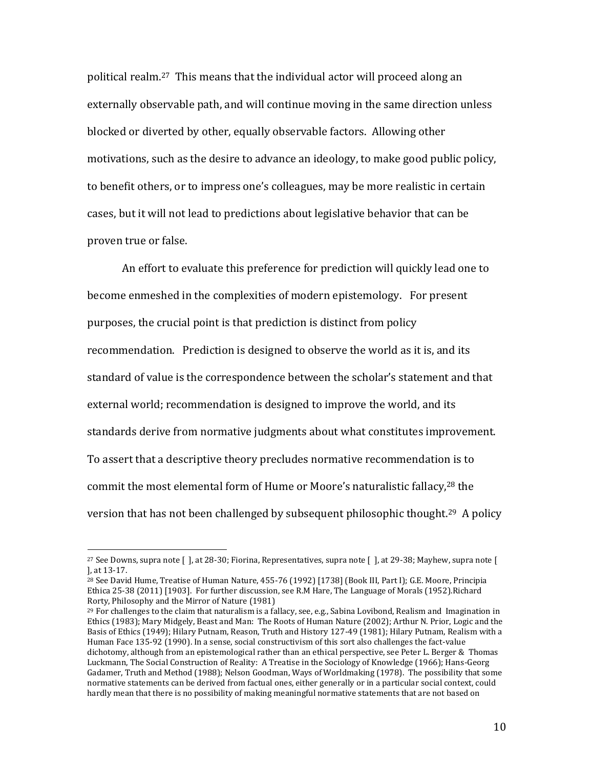political realm.27 This means that the individual actor will proceed along an externally observable path, and will continue moving in the same direction unless blocked or diverted by other, equally observable factors. Allowing other motivations, such as the desire to advance an ideology, to make good public policy, to benefit others, or to impress one's colleagues, may be more realistic in certain cases, but it will not lead to predictions about legislative behavior that can be proven true or false.

An effort to evaluate this preference for prediction will quickly lead one to become enmeshed in the complexities of modern epistemology. For present purposes, the crucial point is that prediction is distinct from policy recommendation. Prediction is designed to observe the world as it is, and its standard of value is the correspondence between the scholar's statement and that external world; recommendation is designed to improve the world, and its standards derive from normative judgments about what constitutes improvement. To assert that a descriptive theory precludes normative recommendation is to commit the most elemental form of Hume or Moore's naturalistic fallacy,<sup>28</sup> the version that has not been challenged by subsequent philosophic thought.29 A policy

<sup>27</sup> See Downs, supra note [ ], at 28-30; Fiorina, Representatives, supra note [ ], at 29-38; Mayhew, supra note [ ], at 13-17.

<sup>28</sup> See David Hume, Treatise of Human Nature, 455-76 (1992) [1738] (Book III, Part I); G.E. Moore, Principia Ethica 25-38 (2011) [1903]. For further discussion, see R.M Hare, The Language of Morals (1952).Richard Rorty, Philosophy and the Mirror of Nature (1981)

 $^{29}$  For challenges to the claim that naturalism is a fallacy, see, e.g., Sabina Lovibond, Realism and Imagination in Ethics (1983); Mary Midgely, Beast and Man: The Roots of Human Nature (2002); Arthur N. Prior, Logic and the Basis of Ethics (1949); Hilary Putnam, Reason, Truth and History 127-49 (1981); Hilary Putnam, Realism with a Human Face 135-92 (1990). In a sense, social constructivism of this sort also challenges the fact-value dichotomy, although from an epistemological rather than an ethical perspective, see Peter L. Berger & Thomas Luckmann, The Social Construction of Reality: A Treatise in the Sociology of Knowledge (1966); Hans-Georg Gadamer, Truth and Method (1988); Nelson Goodman, Ways of Worldmaking (1978). The possibility that some normative statements can be derived from factual ones, either generally or in a particular social context, could hardly mean that there is no possibility of making meaningful normative statements that are not based on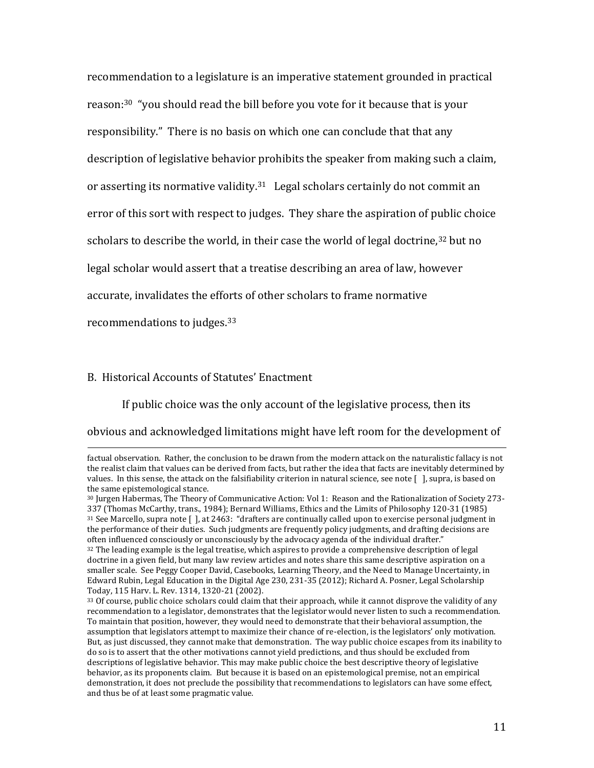recommendation to a legislature is an imperative statement grounded in practical reason:<sup>30</sup> "you should read the bill before you vote for it because that is your responsibility." There is no basis on which one can conclude that that any description of legislative behavior prohibits the speaker from making such a claim, or asserting its normative validity.<sup>31</sup> Legal scholars certainly do not commit an error of this sort with respect to judges. They share the aspiration of public choice scholars to describe the world, in their case the world of legal doctrine,<sup>32</sup> but no legal scholar would assert that a treatise describing an area of law, however accurate, invalidates the efforts of other scholars to frame normative recommendations to judges.<sup>33</sup>

#### B. Historical Accounts of Statutes' Enactment

 $\overline{a}$ 

If public choice was the only account of the legislative process, then its obvious and acknowledged limitations might have left room for the development of

factual observation. Rather, the conclusion to be drawn from the modern attack on the naturalistic fallacy is not the realist claim that values can be derived from facts, but rather the idea that facts are inevitably determined by values. In this sense, the attack on the falsifiability criterion in natural science, see note [ ], supra, is based on the same epistemological stance.

<sup>30</sup> Jurgen Habermas, The Theory of Communicative Action: Vol 1: Reason and the Rationalization of Society 273- 337 (Thomas McCarthy, trans., 1984); Bernard Williams, Ethics and the Limits of Philosophy 120-31 (1985) <sup>31</sup> See Marcello, supra note [ ], at 2463: "drafters are continually called upon to exercise personal judgment in the performance of their duties. Such judgments are frequently policy judgments, and drafting decisions are often influenced consciously or unconsciously by the advocacy agenda of the individual drafter."

<sup>&</sup>lt;sup>32</sup> The leading example is the legal treatise, which aspires to provide a comprehensive description of legal doctrine in a given field, but many law review articles and notes share this same descriptive aspiration on a smaller scale. See Peggy Cooper David, Casebooks, Learning Theory, and the Need to Manage Uncertainty, in Edward Rubin, Legal Education in the Digital Age 230, 231-35 (2012); Richard A. Posner, Legal Scholarship Today, 115 Harv. L. Rev. 1314, 1320-21 (2002).

<sup>33</sup> Of course, public choice scholars could claim that their approach, while it cannot disprove the validity of any recommendation to a legislator, demonstrates that the legislator would never listen to such a recommendation. To maintain that position, however, they would need to demonstrate that their behavioral assumption, the assumption that legislators attempt to maximize their chance of re-election, is the legislators' only motivation. But, as just discussed, they cannot make that demonstration. The way public choice escapes from its inability to do so is to assert that the other motivations cannot yield predictions, and thus should be excluded from descriptions of legislative behavior. This may make public choice the best descriptive theory of legislative behavior, as its proponents claim. But because it is based on an epistemological premise, not an empirical demonstration, it does not preclude the possibility that recommendations to legislators can have some effect, and thus be of at least some pragmatic value.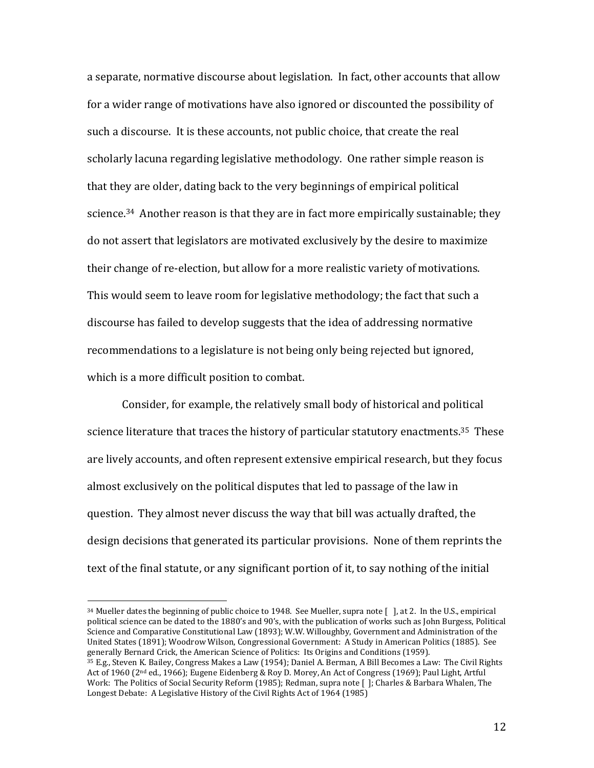a separate, normative discourse about legislation. In fact, other accounts that allow for a wider range of motivations have also ignored or discounted the possibility of such a discourse. It is these accounts, not public choice, that create the real scholarly lacuna regarding legislative methodology. One rather simple reason is that they are older, dating back to the very beginnings of empirical political science.<sup>34</sup> Another reason is that they are in fact more empirically sustainable; they do not assert that legislators are motivated exclusively by the desire to maximize their change of re-election, but allow for a more realistic variety of motivations. This would seem to leave room for legislative methodology; the fact that such a discourse has failed to develop suggests that the idea of addressing normative recommendations to a legislature is not being only being rejected but ignored, which is a more difficult position to combat.

Consider, for example, the relatively small body of historical and political science literature that traces the history of particular statutory enactments.<sup>35</sup> These are lively accounts, and often represent extensive empirical research, but they focus almost exclusively on the political disputes that led to passage of the law in question. They almost never discuss the way that bill was actually drafted, the design decisions that generated its particular provisions. None of them reprints the text of the final statute, or any significant portion of it, to say nothing of the initial

 $34$  Mueller dates the beginning of public choice to 1948. See Mueller, supra note  $\lceil$ , at 2. In the U.S., empirical political science can be dated to the 1880's and 90's, with the publication of works such as John Burgess, Political Science and Comparative Constitutional Law (1893); W.W. Willoughby, Government and Administration of the United States (1891); Woodrow Wilson, Congressional Government: A Study in American Politics (1885). See generally Bernard Crick, the American Science of Politics: Its Origins and Conditions (1959).

<sup>35</sup> E.g., Steven K. Bailey, Congress Makes a Law (1954); Daniel A. Berman, A Bill Becomes a Law: The Civil Rights Act of 1960 (2nd ed., 1966); Eugene Eidenberg & Roy D. Morey, An Act of Congress (1969); Paul Light, Artful Work: The Politics of Social Security Reform (1985); Redman, supra note [ ]; Charles & Barbara Whalen, The Longest Debate: A Legislative History of the Civil Rights Act of 1964 (1985)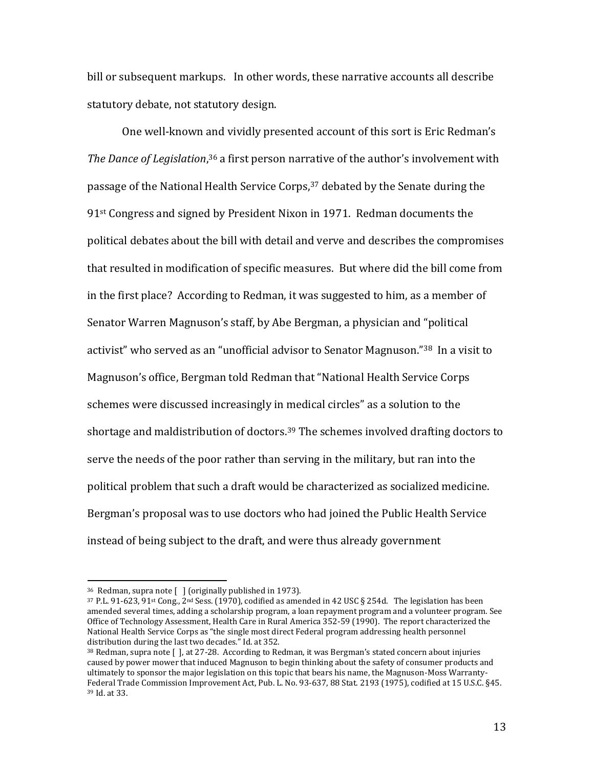bill or subsequent markups. In other words, these narrative accounts all describe statutory debate, not statutory design.

One well-known and vividly presented account of this sort is Eric Redman's The Dance of Legislation,<sup>36</sup> a first person narrative of the author's involvement with passage of the National Health Service Corps,<sup>37</sup> debated by the Senate during the 91st Congress and signed by President Nixon in 1971. Redman documents the political debates about the bill with detail and verve and describes the compromises that resulted in modification of specific measures. But where did the bill come from in the first place? According to Redman, it was suggested to him, as a member of Senator Warren Magnuson's staff, by Abe Bergman, a physician and "political activist" who served as an "unofficial advisor to Senator Magnuson."38 In a visit to Magnuson's office, Bergman told Redman that "National Health Service Corps schemes were discussed increasingly in medical circles" as a solution to the shortage and maldistribution of doctors.<sup>39</sup> The schemes involved drafting doctors to serve the needs of the poor rather than serving in the military, but ran into the political problem that such a draft would be characterized as socialized medicine. Bergman's proposal was to use doctors who had joined the Public Health Service instead of being subject to the draft, and were thus already government

<sup>&</sup>lt;sup>36</sup> Redman, supra note  $\lceil \ \rceil$  (originally published in 1973).

 $37$  P.L. 91-623, 91st Cong., 2nd Sess. (1970), codified as amended in 42 USC § 254d. The legislation has been amended several times, adding a scholarship program, a loan repayment program and a volunteer program. See Office of Technology Assessment, Health Care in Rural America 352-59 (1990). The report characterized the National Health Service Corps as "the single most direct Federal program addressing health personnel distribution during the last two decades." Id. at 352.

 $38$  Redman, supra note  $\lceil$ , at 27-28. According to Redman, it was Bergman's stated concern about injuries caused by power mower that induced Magnuson to begin thinking about the safety of consumer products and ultimately to sponsor the major legislation on this topic that bears his name, the Magnuson-Moss Warranty-Federal Trade Commission Improvement Act, Pub. L. No. 93-637, 88 Stat. 2193 (1975), codified at 15 U.S.C. §45. <sup>39</sup> Id. at 33.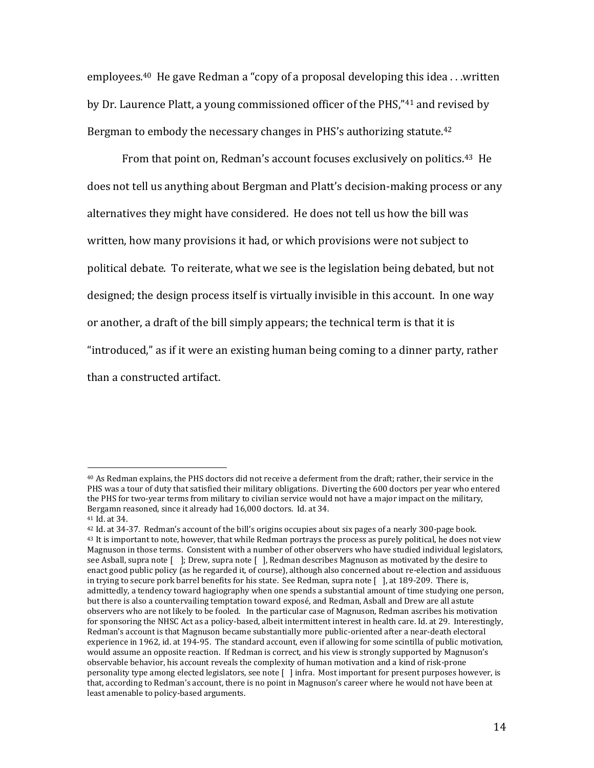employees.40 He gave Redman a "copy of a proposal developing this idea . . .written by Dr. Laurence Platt, a young commissioned officer of the PHS,"<sup>41</sup> and revised by Bergman to embody the necessary changes in PHS's authorizing statute.<sup>42</sup>

From that point on, Redman's account focuses exclusively on politics.<sup>43</sup> He does not tell us anything about Bergman and Platt's decision-making process or any alternatives they might have considered. He does not tell us how the bill was written, how many provisions it had, or which provisions were not subject to political debate. To reiterate, what we see is the legislation being debated, but not designed; the design process itself is virtually invisible in this account. In one way or another, a draft of the bill simply appears; the technical term is that it is "introduced," as if it were an existing human being coming to a dinner party, rather than a constructed artifact.

<sup>40</sup> As Redman explains, the PHS doctors did not receive a deferment from the draft; rather, their service in the PHS was a tour of duty that satisfied their military obligations. Diverting the 600 doctors per year who entered the PHS for two-year terms from military to civilian service would not have a major impact on the military, Bergamn reasoned, since it already had 16,000 doctors. Id. at 34.

<sup>41</sup> Id. at 34.

<sup>42</sup> Id. at 34-37. Redman's account of the bill's origins occupies about six pages of a nearly 300-page book. 43 It is important to note, however, that while Redman portrays the process as purely political, he does not view Magnuson in those terms. Consistent with a number of other observers who have studied individual legislators, see Asball, supra note [ ]; Drew, supra note [ ], Redman describes Magnuson as motivated by the desire to enact good public policy (as he regarded it, of course), although also concerned about re-election and assiduous in trying to secure pork barrel benefits for his state. See Redman, supra note [ ], at 189-209. There is, admittedly, a tendency toward hagiography when one spends a substantial amount of time studying one person, but there is also a countervailing temptation toward exposé, and Redman, Asball and Drew are all astute observers who are not likely to be fooled. In the particular case of Magnuson, Redman ascribes his motivation for sponsoring the NHSC Act as a policy-based, albeit intermittent interest in health care. Id. at 29. Interestingly, Redman's account is that Magnuson became substantially more public-oriented after a near-death electoral experience in 1962, id. at 194-95. The standard account, even if allowing for some scintilla of public motivation, would assume an opposite reaction. If Redman is correct, and his view is strongly supported by Magnuson's observable behavior, his account reveals the complexity of human motivation and a kind of risk-prone personality type among elected legislators, see note [ ] infra. Most important for present purposes however, is that, according to Redman's account, there is no point in Magnuson's career where he would not have been at least amenable to policy-based arguments.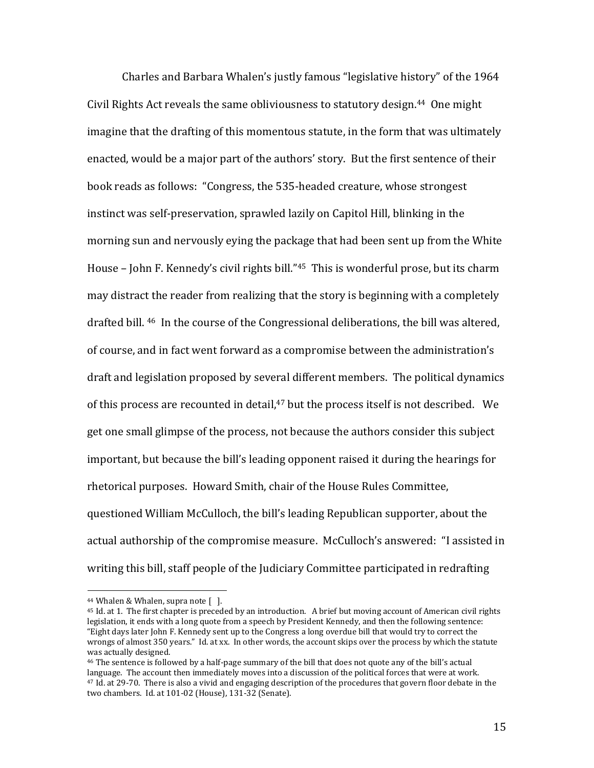Charles and Barbara Whalen's justly famous "legislative history" of the 1964 Civil Rights Act reveals the same obliviousness to statutory design.<sup>44</sup> One might imagine that the drafting of this momentous statute, in the form that was ultimately enacted, would be a major part of the authors' story. But the first sentence of their book reads as follows: "Congress, the 535-headed creature, whose strongest instinct was self-preservation, sprawled lazily on Capitol Hill, blinking in the morning sun and nervously eying the package that had been sent up from the White House – John F. Kennedy's civil rights bill."<sup>45</sup> This is wonderful prose, but its charm may distract the reader from realizing that the story is beginning with a completely drafted bill. <sup>46</sup> In the course of the Congressional deliberations, the bill was altered, of course, and in fact went forward as a compromise between the administration's draft and legislation proposed by several different members. The political dynamics of this process are recounted in detail,<sup>47</sup> but the process itself is not described. We get one small glimpse of the process, not because the authors consider this subject important, but because the bill's leading opponent raised it during the hearings for rhetorical purposes. Howard Smith, chair of the House Rules Committee, questioned William McCulloch, the bill's leading Republican supporter, about the actual authorship of the compromise measure. McCulloch's answered: "I assisted in writing this bill, staff people of the Judiciary Committee participated in redrafting

<sup>44</sup> Whalen & Whalen, supra note [ ].

<sup>45</sup> Id. at 1. The first chapter is preceded by an introduction. A brief but moving account of American civil rights legislation, it ends with a long quote from a speech by President Kennedy, and then the following sentence: "Eight days later John F. Kennedy sent up to the Congress a long overdue bill that would try to correct the wrongs of almost 350 years." Id. at xx. In other words, the account skips over the process by which the statute was actually designed.

<sup>46</sup> The sentence is followed by a half-page summary of the bill that does not quote any of the bill's actual language. The account then immediately moves into a discussion of the political forces that were at work. <sup>47</sup> Id. at 29-70. There is also a vivid and engaging description of the procedures that govern floor debate in the two chambers. Id. at 101-02 (House), 131-32 (Senate).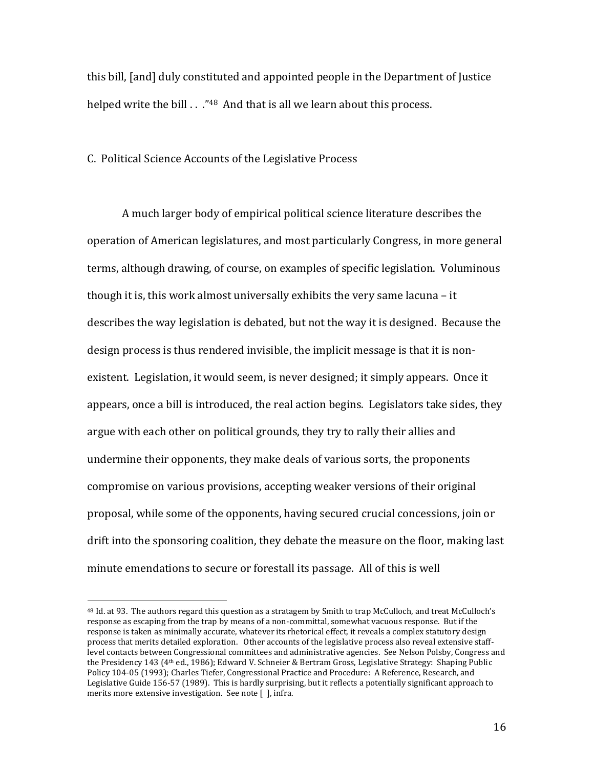this bill, [and] duly constituted and appointed people in the Department of Justice helped write the bill . . . "48 And that is all we learn about this process.

#### C. Political Science Accounts of the Legislative Process

A much larger body of empirical political science literature describes the operation of American legislatures, and most particularly Congress, in more general terms, although drawing, of course, on examples of specific legislation. Voluminous though it is, this work almost universally exhibits the very same lacuna – it describes the way legislation is debated, but not the way it is designed. Because the design process is thus rendered invisible, the implicit message is that it is nonexistent. Legislation, it would seem, is never designed; it simply appears. Once it appears, once a bill is introduced, the real action begins. Legislators take sides, they argue with each other on political grounds, they try to rally their allies and undermine their opponents, they make deals of various sorts, the proponents compromise on various provisions, accepting weaker versions of their original proposal, while some of the opponents, having secured crucial concessions, join or drift into the sponsoring coalition, they debate the measure on the floor, making last minute emendations to secure or forestall its passage. All of this is well

<sup>48</sup> Id. at 93. The authors regard this question as a stratagem by Smith to trap McCulloch, and treat McCulloch's response as escaping from the trap by means of a non-committal, somewhat vacuous response. But if the response is taken as minimally accurate, whatever its rhetorical effect, it reveals a complex statutory design process that merits detailed exploration. Other accounts of the legislative process also reveal extensive stafflevel contacts between Congressional committees and administrative agencies. See Nelson Polsby, Congress and the Presidency 143 (4<sup>th</sup> ed., 1986); Edward V. Schneier & Bertram Gross, Legislative Strategy: Shaping Public Policy 104-05 (1993); Charles Tiefer, Congressional Practice and Procedure: A Reference, Research, and Legislative Guide 156-57 (1989). This is hardly surprising, but it reflects a potentially significant approach to merits more extensive investigation. See note [ ], infra.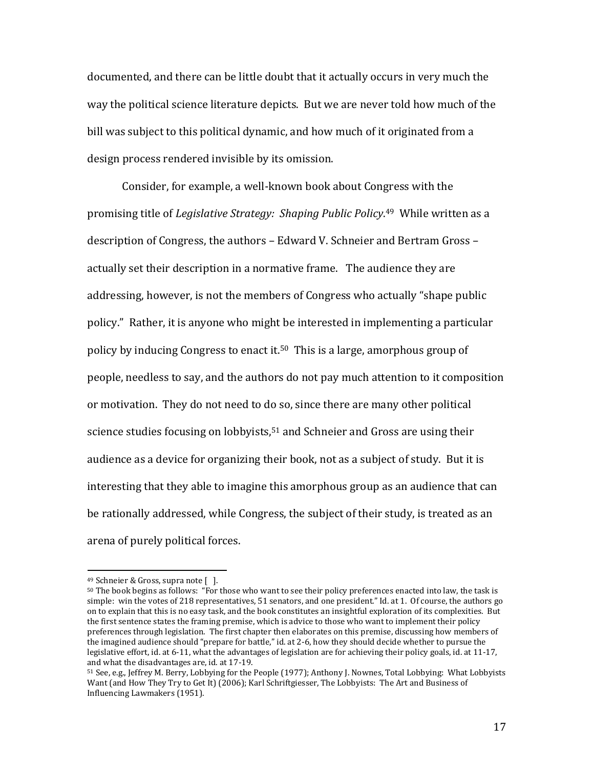documented, and there can be little doubt that it actually occurs in very much the way the political science literature depicts. But we are never told how much of the bill was subject to this political dynamic, and how much of it originated from a design process rendered invisible by its omission.

Consider, for example, a well-known book about Congress with the promising title of *Legislative Strategy: Shaping Public Policy*. <sup>49</sup> While written as a description of Congress, the authors – Edward V. Schneier and Bertram Gross – actually set their description in a normative frame. The audience they are addressing, however, is not the members of Congress who actually "shape public policy." Rather, it is anyone who might be interested in implementing a particular policy by inducing Congress to enact it.50 This is a large, amorphous group of people, needless to say, and the authors do not pay much attention to it composition or motivation. They do not need to do so, since there are many other political science studies focusing on lobbyists,<sup>51</sup> and Schneier and Gross are using their audience as a device for organizing their book, not as a subject of study. But it is interesting that they able to imagine this amorphous group as an audience that can be rationally addressed, while Congress, the subject of their study, is treated as an arena of purely political forces.

<sup>49</sup> Schneier & Gross, supra note [ ].

<sup>50</sup> The book begins as follows: "For those who want to see their policy preferences enacted into law, the task is simple: win the votes of 218 representatives, 51 senators, and one president." Id. at 1. Of course, the authors go on to explain that this is no easy task, and the book constitutes an insightful exploration of its complexities. But the first sentence states the framing premise, which is advice to those who want to implement their policy preferences through legislation. The first chapter then elaborates on this premise, discussing how members of the imagined audience should "prepare for battle," id. at 2-6, how they should decide whether to pursue the legislative effort, id. at 6-11, what the advantages of legislation are for achieving their policy goals, id. at 11-17, and what the disadvantages are, id. at 17-19.

<sup>51</sup> See, e.g., Jeffrey M. Berry, Lobbying for the People (1977); Anthony J. Nownes, Total Lobbying: What Lobbyists Want (and How They Try to Get It) (2006); Karl Schriftgiesser, The Lobbyists: The Art and Business of Influencing Lawmakers (1951).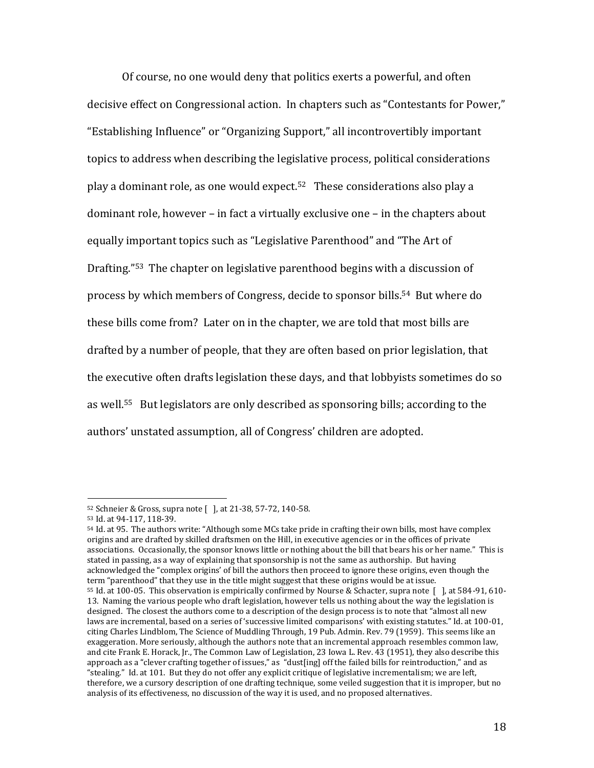Of course, no one would deny that politics exerts a powerful, and often decisive effect on Congressional action. In chapters such as "Contestants for Power," "Establishing Influence" or "Organizing Support," all incontrovertibly important topics to address when describing the legislative process, political considerations play a dominant role, as one would expect. <sup>52</sup> These considerations also play a dominant role, however – in fact a virtually exclusive one – in the chapters about equally important topics such as "Legislative Parenthood" and "The Art of Drafting."<sup>53</sup> The chapter on legislative parenthood begins with a discussion of process by which members of Congress, decide to sponsor bills.54 But where do these bills come from? Later on in the chapter, we are told that most bills are drafted by a number of people, that they are often based on prior legislation, that the executive often drafts legislation these days, and that lobbyists sometimes do so as well.55 But legislators are only described as sponsoring bills; according to the authors' unstated assumption, all of Congress' children are adopted.

<sup>52</sup> Schneier & Gross, supra note [ ], at 21-38, 57-72, 140-58.

<sup>53</sup> Id. at 94-117, 118-39.

<sup>54</sup> Id. at 95. The authors write: "Although some MCs take pride in crafting their own bills, most have complex origins and are drafted by skilled draftsmen on the Hill, in executive agencies or in the offices of private associations. Occasionally, the sponsor knows little or nothing about the bill that bears his or her name." This is stated in passing, as a way of explaining that sponsorship is not the same as authorship. But having acknowledged the "complex origins' of bill the authors then proceed to ignore these origins, even though the term "parenthood" that they use in the title might suggest that these origins would be at issue.

<sup>55</sup> Id. at 100-05. This observation is empirically confirmed by Nourse & Schacter, supra note [ ], at 584-91, 610- 13. Naming the various people who draft legislation, however tells us nothing about the way the legislation is designed. The closest the authors come to a description of the design process is to note that "almost all new laws are incremental, based on a series of 'successive limited comparisons' with existing statutes." Id. at 100-01, citing Charles Lindblom, The Science of Muddling Through, 19 Pub. Admin. Rev. 79 (1959). This seems like an exaggeration. More seriously, although the authors note that an incremental approach resembles common law, and cite Frank E. Horack, Jr., The Common Law of Legislation, 23 Iowa L. Rev. 43 (1951), they also describe this approach as a "clever crafting together of issues," as "dust[ing] off the failed bills for reintroduction," and as "stealing." Id. at 101. But they do not offer any explicit critique of legislative incrementalism; we are left, therefore, we a cursory description of one drafting technique, some veiled suggestion that it is improper, but no analysis of its effectiveness, no discussion of the way it is used, and no proposed alternatives.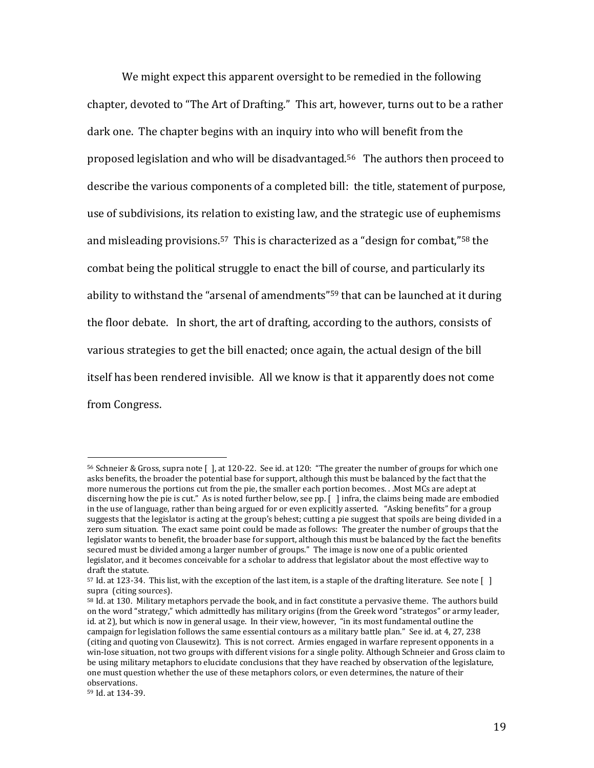We might expect this apparent oversight to be remedied in the following chapter, devoted to "The Art of Drafting." This art, however, turns out to be a rather dark one. The chapter begins with an inquiry into who will benefit from the proposed legislation and who will be disadvantaged.56 The authors then proceed to describe the various components of a completed bill: the title, statement of purpose, use of subdivisions, its relation to existing law, and the strategic use of euphemisms and misleading provisions.<sup>57</sup> This is characterized as a "design for combat,"<sup>58</sup> the combat being the political struggle to enact the bill of course, and particularly its ability to withstand the "arsenal of amendments" <sup>59</sup> that can be launched at it during the floor debate. In short, the art of drafting, according to the authors, consists of various strategies to get the bill enacted; once again, the actual design of the bill itself has been rendered invisible. All we know is that it apparently does not come from Congress.

<sup>56</sup> Schneier & Gross, supra note [ ], at 120-22. See id. at 120: "The greater the number of groups for which one asks benefits, the broader the potential base for support, although this must be balanced by the fact that the more numerous the portions cut from the pie, the smaller each portion becomes. . .Most MCs are adept at discerning how the pie is cut." As is noted further below, see pp. [ ] infra, the claims being made are embodied in the use of language, rather than being argued for or even explicitly asserted. "Asking benefits" for a group suggests that the legislator is acting at the group's behest; cutting a pie suggest that spoils are being divided in a zero sum situation. The exact same point could be made as follows: The greater the number of groups that the legislator wants to benefit, the broader base for support, although this must be balanced by the fact the benefits secured must be divided among a larger number of groups." The image is now one of a public oriented legislator, and it becomes conceivable for a scholar to address that legislator about the most effective way to draft the statute.

<sup>57</sup> Id. at 123-34. This list, with the exception of the last item, is a staple of the drafting literature. See note [ ] supra (citing sources).

<sup>58</sup> Id. at 130. Military metaphors pervade the book, and in fact constitute a pervasive theme. The authors build on the word "strategy," which admittedly has military origins (from the Greek word "strategos" or army leader, id. at 2), but which is now in general usage. In their view, however, "in its most fundamental outline the campaign for legislation follows the same essential contours as a military battle plan." See id. at 4, 27, 238 (citing and quoting von Clausewitz). This is not correct. Armies engaged in warfare represent opponents in a win-lose situation, not two groups with different visions for a single polity. Although Schneier and Gross claim to be using military metaphors to elucidate conclusions that they have reached by observation of the legislature, one must question whether the use of these metaphors colors, or even determines, the nature of their observations.

<sup>59</sup> Id. at 134-39.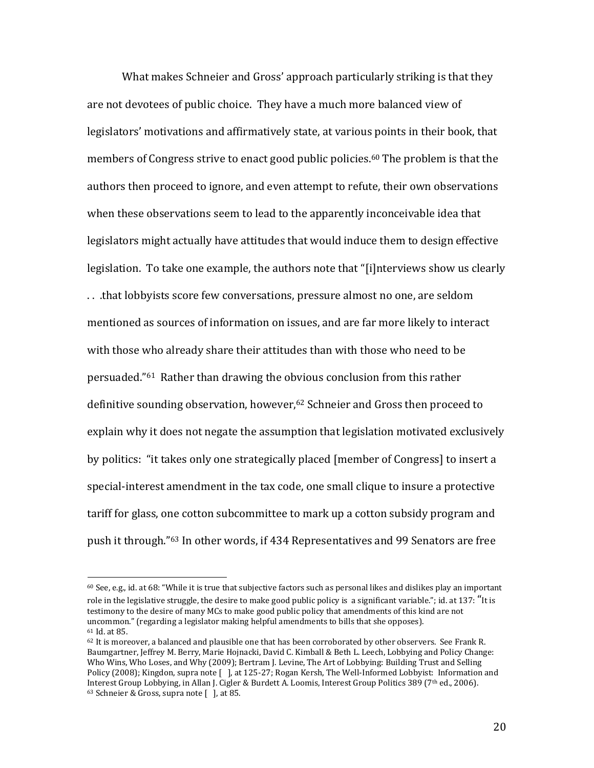What makes Schneier and Gross' approach particularly striking is that they are not devotees of public choice. They have a much more balanced view of legislators' motivations and affirmatively state, at various points in their book, that members of Congress strive to enact good public policies.<sup>60</sup> The problem is that the authors then proceed to ignore, and even attempt to refute, their own observations when these observations seem to lead to the apparently inconceivable idea that legislators might actually have attitudes that would induce them to design effective legislation. To take one example, the authors note that "[i]nterviews show us clearly . . .that lobbyists score few conversations, pressure almost no one, are seldom mentioned as sources of information on issues, and are far more likely to interact with those who already share their attitudes than with those who need to be persuaded."61 Rather than drawing the obvious conclusion from this rather definitive sounding observation, however,<sup>62</sup> Schneier and Gross then proceed to explain why it does not negate the assumption that legislation motivated exclusively by politics: "it takes only one strategically placed [member of Congress] to insert a special-interest amendment in the tax code, one small clique to insure a protective tariff for glass, one cotton subcommittee to mark up a cotton subsidy program and push it through."<sup>63</sup> In other words, if 434 Representatives and 99 Senators are free

 $60$  See, e.g., id. at 68: "While it is true that subjective factors such as personal likes and dislikes play an important role in the legislative struggle, the desire to make good public policy is a significant variable."; id. at 137: "It is testimony to the desire of many MCs to make good public policy that amendments of this kind are not uncommon." (regarding a legislator making helpful amendments to bills that she opposes). <sup>61</sup> Id. at 85.

 $62$  It is moreover, a balanced and plausible one that has been corroborated by other observers. See Frank R. Baumgartner, Jeffrey M. Berry, Marie Hojnacki, David C. Kimball & Beth L. Leech, Lobbying and Policy Change: Who Wins, Who Loses, and Why (2009); Bertram J. Levine, The Art of Lobbying: Building Trust and Selling Policy (2008); Kingdon, supra note [ ], at 125-27; Rogan Kersh, The Well-Informed Lobbyist: Information and Interest Group Lobbying, in Allan J. Cigler & Burdett A. Loomis, Interest Group Politics 389 (7th ed., 2006). <sup>63</sup> Schneier & Gross, supra note [ ], at 85.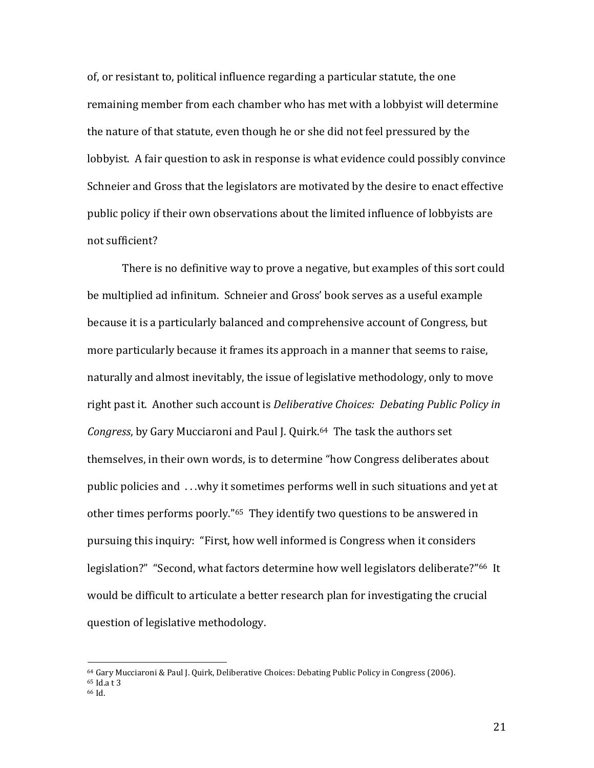of, or resistant to, political influence regarding a particular statute, the one remaining member from each chamber who has met with a lobbyist will determine the nature of that statute, even though he or she did not feel pressured by the lobbyist. A fair question to ask in response is what evidence could possibly convince Schneier and Gross that the legislators are motivated by the desire to enact effective public policy if their own observations about the limited influence of lobbyists are not sufficient?

There is no definitive way to prove a negative, but examples of this sort could be multiplied ad infinitum. Schneier and Gross' book serves as a useful example because it is a particularly balanced and comprehensive account of Congress, but more particularly because it frames its approach in a manner that seems to raise, naturally and almost inevitably, the issue of legislative methodology, only to move right past it. Another such account is *Deliberative Choices: Debating Public Policy in Congress*, by Gary Mucciaroni and Paul J. Quirk.64 The task the authors set themselves, in their own words, is to determine "how Congress deliberates about public policies and . . .why it sometimes performs well in such situations and yet at other times performs poorly."65 They identify two questions to be answered in pursuing this inquiry: "First, how well informed is Congress when it considers legislation?" "Second, what factors determine how well legislators deliberate?"<sup>66</sup> It would be difficult to articulate a better research plan for investigating the crucial question of legislative methodology.

<sup>64</sup> Gary Mucciaroni & Paul J. Quirk, Deliberative Choices: Debating Public Policy in Congress (2006).

<sup>65</sup> Id.a t 3

<sup>66</sup> Id.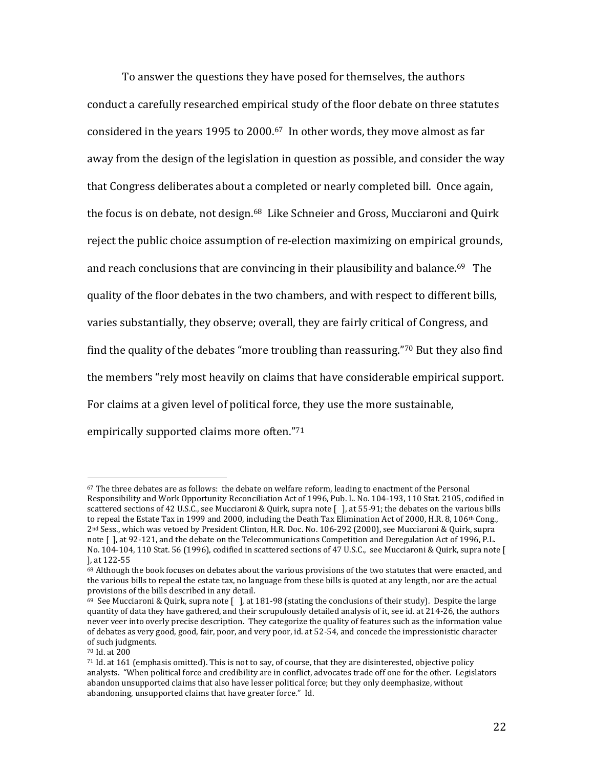To answer the questions they have posed for themselves, the authors conduct a carefully researched empirical study of the floor debate on three statutes considered in the years 1995 to 2000.67 In other words, they move almost as far away from the design of the legislation in question as possible, and consider the way that Congress deliberates about a completed or nearly completed bill. Once again, the focus is on debate, not design.<sup>68</sup> Like Schneier and Gross, Mucciaroni and Quirk reject the public choice assumption of re-election maximizing on empirical grounds, and reach conclusions that are convincing in their plausibility and balance.<sup>69</sup> The quality of the floor debates in the two chambers, and with respect to different bills, varies substantially, they observe; overall, they are fairly critical of Congress, and find the quality of the debates "more troubling than reassuring."<sup>70</sup> But they also find the members "rely most heavily on claims that have considerable empirical support. For claims at a given level of political force, they use the more sustainable, empirically supported claims more often."<sup>71</sup>

 $67$  The three debates are as follows: the debate on welfare reform, leading to enactment of the Personal Responsibility and Work Opportunity Reconciliation Act of 1996, Pub. L. No. 104-193, 110 Stat. 2105, codified in scattered sections of 42 U.S.C., see Mucciaroni & Quirk, supra note [ ], at 55-91; the debates on the various bills to repeal the Estate Tax in 1999 and 2000, including the Death Tax Elimination Act of 2000, H.R. 8, 106<sup>th</sup> Cong., 2nd Sess., which was vetoed by President Clinton, H.R. Doc. No. 106-292 (2000), see Mucciaroni & Quirk, supra note [ ], at 92-121, and the debate on the Telecommunications Competition and Deregulation Act of 1996, P.L. No. 104-104, 110 Stat. 56 (1996), codified in scattered sections of 47 U.S.C., see Mucciaroni & Quirk, supra note [ ], at 122-55

 $68$  Although the book focuses on debates about the various provisions of the two statutes that were enacted, and the various bills to repeal the estate tax, no language from these bills is quoted at any length, nor are the actual provisions of the bills described in any detail.

 $69$  See Mucciaroni & Quirk, supra note  $\lceil \rceil$ , at 181-98 (stating the conclusions of their study). Despite the large quantity of data they have gathered, and their scrupulously detailed analysis of it, see id. at 214-26, the authors never veer into overly precise description. They categorize the quality of features such as the information value of debates as very good, good, fair, poor, and very poor, id. at 52-54, and concede the impressionistic character of such judgments.

<sup>70</sup> Id. at 200

<sup>71</sup> Id. at 161 (emphasis omitted). This is not to say, of course, that they are disinterested, objective policy analysts. "When political force and credibility are in conflict, advocates trade off one for the other. Legislators abandon unsupported claims that also have lesser political force; but they only deemphasize, without abandoning, unsupported claims that have greater force." Id.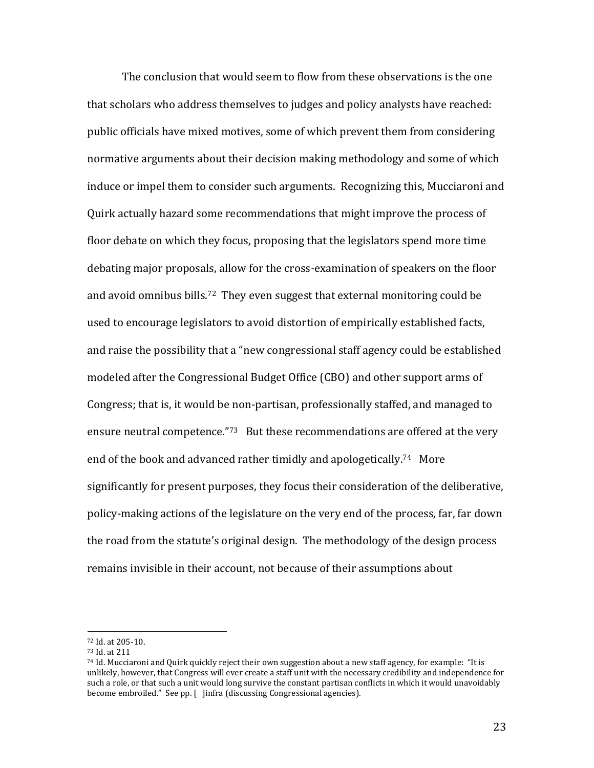The conclusion that would seem to flow from these observations is the one that scholars who address themselves to judges and policy analysts have reached: public officials have mixed motives, some of which prevent them from considering normative arguments about their decision making methodology and some of which induce or impel them to consider such arguments. Recognizing this, Mucciaroni and Quirk actually hazard some recommendations that might improve the process of floor debate on which they focus, proposing that the legislators spend more time debating major proposals, allow for the cross-examination of speakers on the floor and avoid omnibus bills.<sup>72</sup> They even suggest that external monitoring could be used to encourage legislators to avoid distortion of empirically established facts, and raise the possibility that a "new congressional staff agency could be established modeled after the Congressional Budget Office (CBO) and other support arms of Congress; that is, it would be non-partisan, professionally staffed, and managed to ensure neutral competence."<sup>73</sup> But these recommendations are offered at the very end of the book and advanced rather timidly and apologetically.<sup>74</sup> More significantly for present purposes, they focus their consideration of the deliberative, policy-making actions of the legislature on the very end of the process, far, far down the road from the statute's original design. The methodology of the design process remains invisible in their account, not because of their assumptions about

<sup>72</sup> Id. at 205-10.

<sup>73</sup> Id. at 211

<sup>74</sup> Id. Mucciaroni and Quirk quickly reject their own suggestion about a new staff agency, for example: "It is unlikely, however, that Congress will ever create a staff unit with the necessary credibility and independence for such a role, or that such a unit would long survive the constant partisan conflicts in which it would unavoidably become embroiled." See pp. [ ]infra (discussing Congressional agencies).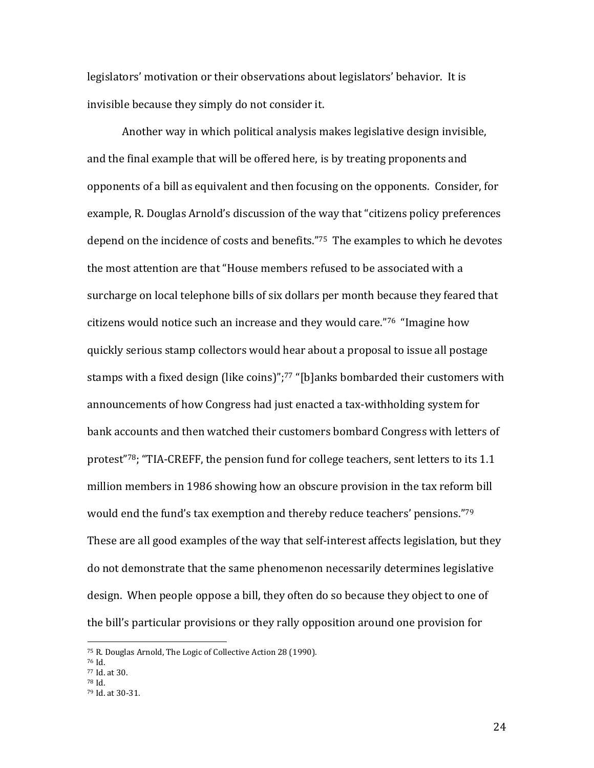legislators' motivation or their observations about legislators' behavior. It is invisible because they simply do not consider it.

Another way in which political analysis makes legislative design invisible, and the final example that will be offered here, is by treating proponents and opponents of a bill as equivalent and then focusing on the opponents. Consider, for example, R. Douglas Arnold's discussion of the way that "citizens policy preferences depend on the incidence of costs and benefits."75 The examples to which he devotes the most attention are that "House members refused to be associated with a surcharge on local telephone bills of six dollars per month because they feared that citizens would notice such an increase and they would care." <sup>76</sup> "Imagine how quickly serious stamp collectors would hear about a proposal to issue all postage stamps with a fixed design (like coins)"; <sup>77</sup> "[b]anks bombarded their customers with announcements of how Congress had just enacted a tax-withholding system for bank accounts and then watched their customers bombard Congress with letters of protest"78; "TIA-CREFF, the pension fund for college teachers, sent letters to its 1.1 million members in 1986 showing how an obscure provision in the tax reform bill would end the fund's tax exemption and thereby reduce teachers' pensions." 79 These are all good examples of the way that self-interest affects legislation, but they do not demonstrate that the same phenomenon necessarily determines legislative design. When people oppose a bill, they often do so because they object to one of the bill's particular provisions or they rally opposition around one provision for

 $\overline{a}$ 

24

<sup>75</sup> R. Douglas Arnold, The Logic of Collective Action 28 (1990).

<sup>76</sup> Id.

<sup>77</sup> Id. at 30. <sup>78</sup> Id.

<sup>79</sup> Id. at 30-31.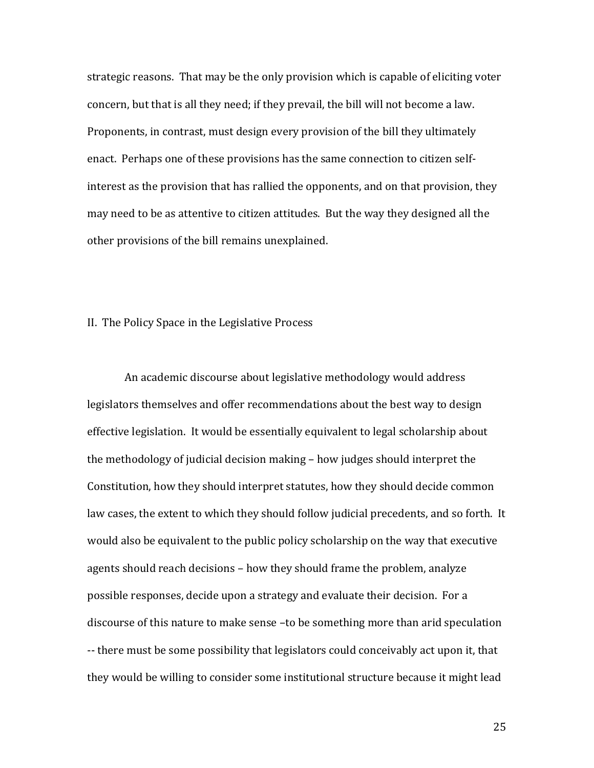strategic reasons. That may be the only provision which is capable of eliciting voter concern, but that is all they need; if they prevail, the bill will not become a law. Proponents, in contrast, must design every provision of the bill they ultimately enact. Perhaps one of these provisions has the same connection to citizen selfinterest as the provision that has rallied the opponents, and on that provision, they may need to be as attentive to citizen attitudes. But the way they designed all the other provisions of the bill remains unexplained.

## II. The Policy Space in the Legislative Process

An academic discourse about legislative methodology would address legislators themselves and offer recommendations about the best way to design effective legislation. It would be essentially equivalent to legal scholarship about the methodology of judicial decision making – how judges should interpret the Constitution, how they should interpret statutes, how they should decide common law cases, the extent to which they should follow judicial precedents, and so forth. It would also be equivalent to the public policy scholarship on the way that executive agents should reach decisions – how they should frame the problem, analyze possible responses, decide upon a strategy and evaluate their decision. For a discourse of this nature to make sense –to be something more than arid speculation -- there must be some possibility that legislators could conceivably act upon it, that they would be willing to consider some institutional structure because it might lead

25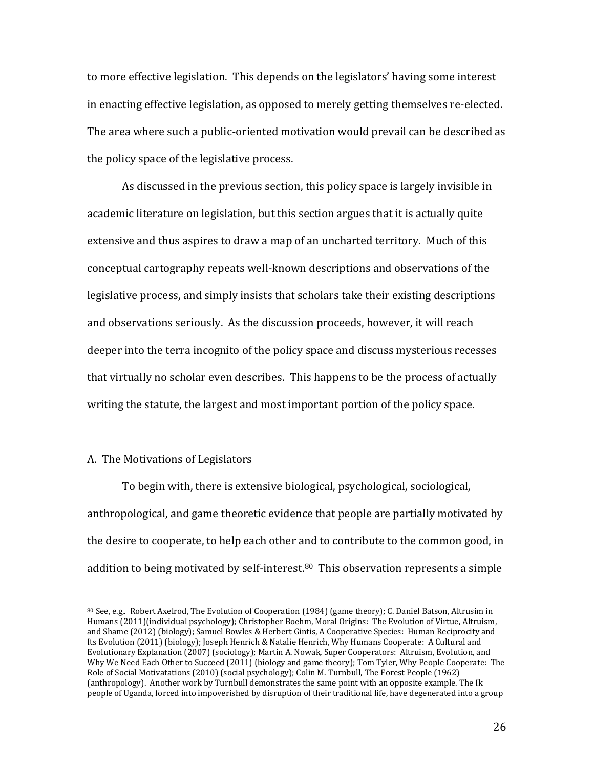to more effective legislation. This depends on the legislators' having some interest in enacting effective legislation, as opposed to merely getting themselves re-elected. The area where such a public-oriented motivation would prevail can be described as the policy space of the legislative process.

As discussed in the previous section, this policy space is largely invisible in academic literature on legislation, but this section argues that it is actually quite extensive and thus aspires to draw a map of an uncharted territory. Much of this conceptual cartography repeats well-known descriptions and observations of the legislative process, and simply insists that scholars take their existing descriptions and observations seriously. As the discussion proceeds, however, it will reach deeper into the terra incognito of the policy space and discuss mysterious recesses that virtually no scholar even describes. This happens to be the process of actually writing the statute, the largest and most important portion of the policy space.

#### A. The Motivations of Legislators

l

To begin with, there is extensive biological, psychological, sociological, anthropological, and game theoretic evidence that people are partially motivated by the desire to cooperate, to help each other and to contribute to the common good, in addition to being motivated by self-interest.<sup>80</sup> This observation represents a simple

<sup>80</sup> See, e.g,. Robert Axelrod, The Evolution of Cooperation (1984) (game theory); C. Daniel Batson, Altrusim in Humans (2011)(individual psychology); Christopher Boehm, Moral Origins: The Evolution of Virtue, Altruism, and Shame (2012) (biology); Samuel Bowles & Herbert Gintis, A Cooperative Species: Human Reciprocity and Its Evolution (2011) (biology); Joseph Henrich & Natalie Henrich, Why Humans Cooperate: A Cultural and Evolutionary Explanation (2007) (sociology); Martin A. Nowak, Super Cooperators: Altruism, Evolution, and Why We Need Each Other to Succeed (2011) (biology and game theory); Tom Tyler, Why People Cooperate: The Role of Social Motivatations (2010) (social psychology); Colin M. Turnbull, The Forest People (1962) (anthropology). Another work by Turnbull demonstrates the same point with an opposite example. The Ik people of Uganda, forced into impoverished by disruption of their traditional life, have degenerated into a group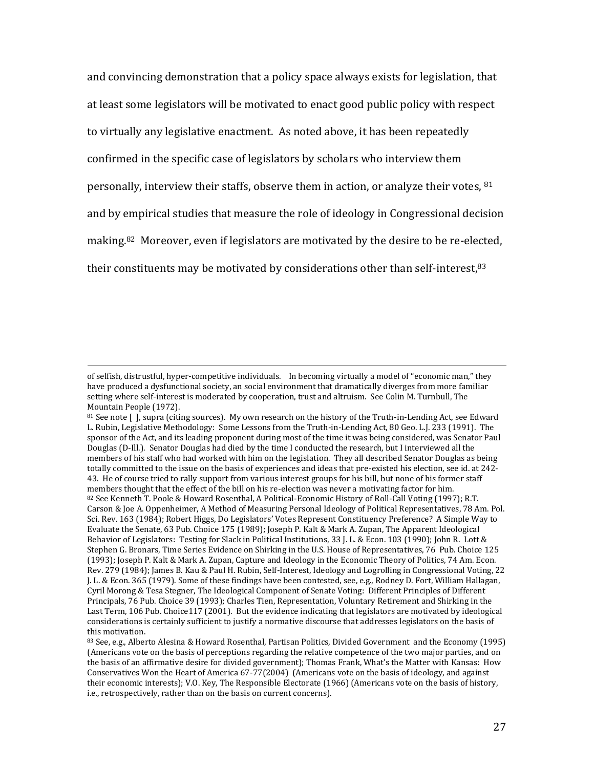and convincing demonstration that a policy space always exists for legislation, that at least some legislators will be motivated to enact good public policy with respect to virtually any legislative enactment. As noted above, it has been repeatedly confirmed in the specific case of legislators by scholars who interview them personally, interview their staffs, observe them in action, or analyze their votes, <sup>81</sup> and by empirical studies that measure the role of ideology in Congressional decision making.<sup>82</sup> Moreover, even if legislators are motivated by the desire to be re-elected, their constituents may be motivated by considerations other than self-interest, $83$ 

 $\overline{\phantom{a}}$ 

of selfish, distrustful, hyper-competitive individuals. In becoming virtually a model of "economic man," they have produced a dysfunctional society, an social environment that dramatically diverges from more familiar setting where self-interest is moderated by cooperation, trust and altruism. See Colin M. Turnbull, The Mountain People (1972).

<sup>81</sup> See note [ ], supra (citing sources). My own research on the history of the Truth-in-Lending Act, see Edward L. Rubin, Legislative Methodology: Some Lessons from the Truth-in-Lending Act, 80 Geo. L.J. 233 (1991). The sponsor of the Act, and its leading proponent during most of the time it was being considered, was Senator Paul Douglas (D-Ill.). Senator Douglas had died by the time I conducted the research, but I interviewed all the members of his staff who had worked with him on the legislation. They all described Senator Douglas as being totally committed to the issue on the basis of experiences and ideas that pre-existed his election, see id. at 242- 43. He of course tried to rally support from various interest groups for his bill, but none of his former staff members thought that the effect of the bill on his re-election was never a motivating factor for him. 82 See Kenneth T. Poole & Howard Rosenthal, A Political-Economic History of Roll-Call Voting (1997); R.T. Carson & Joe A. Oppenheimer, A Method of Measuring Personal Ideology of Political Representatives, 78 Am. Pol. Sci. Rev. 163 (1984); Robert Higgs, Do Legislators' Votes Represent Constituency Preference? A Simple Way to Evaluate the Senate, 63 Pub. Choice 175 (1989); Joseph P. Kalt & Mark A. Zupan, The Apparent Ideological Behavior of Legislators: Testing for Slack in Political Institutions, 33 J. L. & Econ. 103 (1990); John R. Lott & Stephen G. Bronars, Time Series Evidence on Shirking in the U.S. House of Representatives, 76 Pub. Choice 125 (1993); Joseph P. Kalt & Mark A. Zupan, Capture and Ideology in the Economic Theory of Politics, 74 Am. Econ. Rev. 279 (1984); James B. Kau & Paul H. Rubin, Self-Interest, Ideology and Logrolling in Congressional Voting, 22 J. L. & Econ. 365 (1979). Some of these findings have been contested, see, e.g., Rodney D. Fort, William Hallagan, Cyril Morong & Tesa Stegner, The Ideological Component of Senate Voting: Different Principles of Different Principals, 76 Pub. Choice 39 (1993); Charles Tien, Representation, Voluntary Retirement and Shirking in the Last Term, 106 Pub. Choice117 (2001). But the evidence indicating that legislators are motivated by ideological considerations is certainly sufficient to justify a normative discourse that addresses legislators on the basis of this motivation.

<sup>83</sup> See, e.g., Alberto Alesina & Howard Rosenthal, Partisan Politics, Divided Government and the Economy (1995) (Americans vote on the basis of perceptions regarding the relative competence of the two major parties, and on the basis of an affirmative desire for divided government); Thomas Frank, What's the Matter with Kansas: How Conservatives Won the Heart of America 67-77(2004) (Americans vote on the basis of ideology, and against their economic interests); V.O. Key, The Responsible Electorate (1966) (Americans vote on the basis of history, i.e., retrospectively, rather than on the basis on current concerns).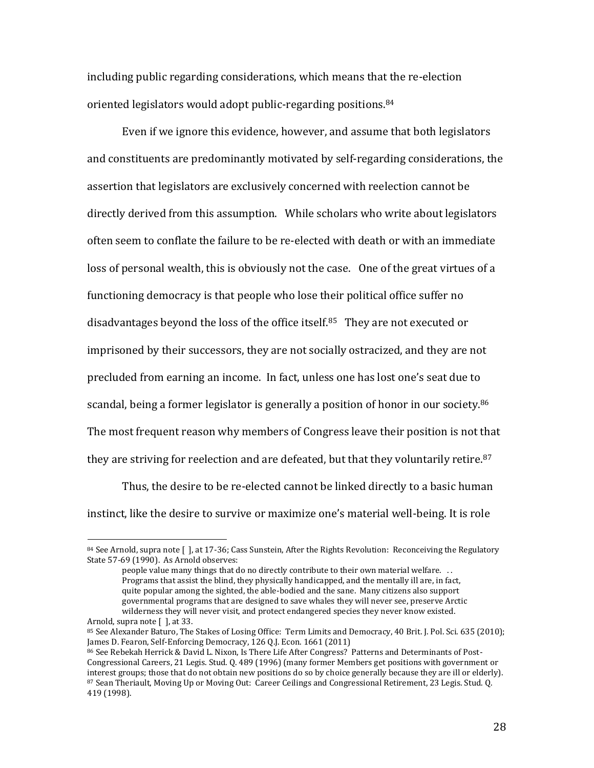including public regarding considerations, which means that the re-election oriented legislators would adopt public-regarding positions.<sup>84</sup>

Even if we ignore this evidence, however, and assume that both legislators and constituents are predominantly motivated by self-regarding considerations, the assertion that legislators are exclusively concerned with reelection cannot be directly derived from this assumption. While scholars who write about legislators often seem to conflate the failure to be re-elected with death or with an immediate loss of personal wealth, this is obviously not the case. One of the great virtues of a functioning democracy is that people who lose their political office suffer no disadvantages beyond the loss of the office itself.85 They are not executed or imprisoned by their successors, they are not socially ostracized, and they are not precluded from earning an income. In fact, unless one has lost one's seat due to scandal, being a former legislator is generally a position of honor in our society.<sup>86</sup> The most frequent reason why members of Congress leave their position is not that they are striving for reelection and are defeated, but that they voluntarily retire.<sup>87</sup>

Thus, the desire to be re-elected cannot be linked directly to a basic human instinct, like the desire to survive or maximize one's material well-being. It is role

 $\overline{\phantom{a}}$ 

<sup>84</sup> See Arnold, supra note [ ], at 17-36; Cass Sunstein, After the Rights Revolution: Reconceiving the Regulatory State 57-69 (1990). As Arnold observes:

people value many things that do no directly contribute to their own material welfare. . . Programs that assist the blind, they physically handicapped, and the mentally ill are, in fact, quite popular among the sighted, the able-bodied and the sane. Many citizens also support governmental programs that are designed to save whales they will never see, preserve Arctic wilderness they will never visit, and protect endangered species they never know existed. Arnold, supra note [ ], at 33.

<sup>85</sup> See Alexander Baturo, The Stakes of Losing Office: Term Limits and Democracy, 40 Brit. J. Pol. Sci. 635 (2010); James D. Fearon, Self-Enforcing Democracy, 126 Q.J. Econ. 1661 (2011)

<sup>86</sup> See Rebekah Herrick & David L. Nixon, Is There Life After Congress? Patterns and Determinants of Post-Congressional Careers, 21 Legis. Stud. Q. 489 (1996) (many former Members get positions with government or interest groups; those that do not obtain new positions do so by choice generally because they are ill or elderly). <sup>87</sup> Sean Theriault, Moving Up or Moving Out: Career Ceilings and Congressional Retirement, 23 Legis. Stud. Q. 419 (1998).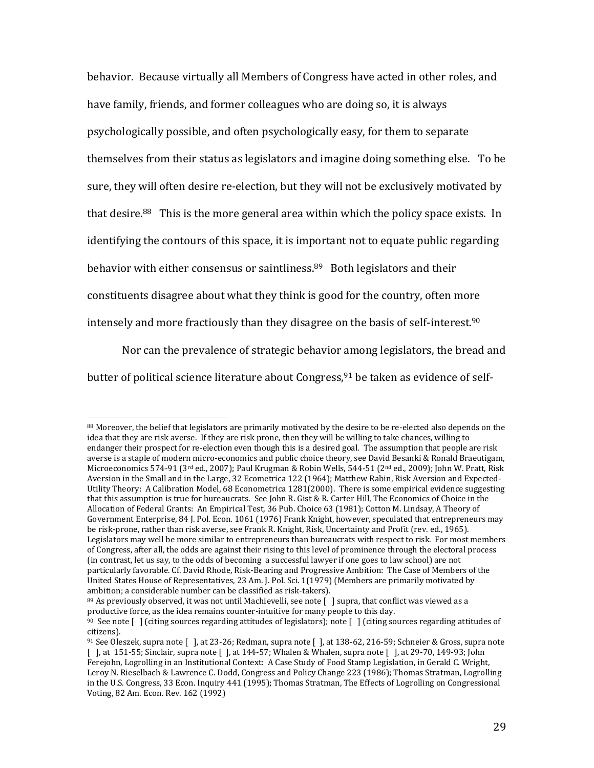behavior. Because virtually all Members of Congress have acted in other roles, and have family, friends, and former colleagues who are doing so, it is always psychologically possible, and often psychologically easy, for them to separate themselves from their status as legislators and imagine doing something else. To be sure, they will often desire re-election, but they will not be exclusively motivated by that desire.<sup>88</sup> This is the more general area within which the policy space exists. In identifying the contours of this space, it is important not to equate public regarding behavior with either consensus or saintliness.<sup>89</sup> Both legislators and their constituents disagree about what they think is good for the country, often more intensely and more fractiously than they disagree on the basis of self-interest.<sup>90</sup>

Nor can the prevalence of strategic behavior among legislators, the bread and

butter of political science literature about Congress, <sup>91</sup> be taken as evidence of self-

 $\overline{\phantom{a}}$ 

 $89$  As previously observed, it was not until Machievelli, see note  $\lceil \cdot \rceil$  supra, that conflict was viewed as a productive force, as the idea remains counter-intuitive for many people to this day.

<sup>88</sup> Moreover, the belief that legislators are primarily motivated by the desire to be re-elected also depends on the idea that they are risk averse. If they are risk prone, then they will be willing to take chances, willing to endanger their prospect for re-election even though this is a desired goal. The assumption that people are risk averse is a staple of modern micro-economics and public choice theory, see David Besanki & Ronald Braeutigam, Microeconomics 574-91 (3<sup>rd</sup> ed., 2007); Paul Krugman & Robin Wells, 544-51 (2<sup>nd</sup> ed., 2009); John W. Pratt, Risk Aversion in the Small and in the Large, 32 Ecometrica 122 (1964); Matthew Rabin, Risk Aversion and Expected-Utility Theory: A Calibration Model, 68 Econometrica 1281(2000). There is some empirical evidence suggesting that this assumption is true for bureaucrats. See John R. Gist & R. Carter Hill, The Economics of Choice in the Allocation of Federal Grants: An Empirical Test, 36 Pub. Choice 63 (1981); Cotton M. Lindsay, A Theory of Government Enterprise, 84 J. Pol. Econ. 1061 (1976) Frank Knight, however, speculated that entrepreneurs may be risk-prone, rather than risk averse, see Frank R. Knight, Risk, Uncertainty and Profit (rev. ed., 1965). Legislators may well be more similar to entrepreneurs than bureaucrats with respect to risk. For most members of Congress, after all, the odds are against their rising to this level of prominence through the electoral process (in contrast, let us say, to the odds of becoming a successful lawyer if one goes to law school) are not particularly favorable. Cf. David Rhode, Risk-Bearing and Progressive Ambition: The Case of Members of the United States House of Representatives, 23 Am. J. Pol. Sci. 1(1979) (Members are primarily motivated by ambition; a considerable number can be classified as risk-takers).

<sup>&</sup>lt;sup>90</sup> See note  $\lceil \cdot \rceil$  (citing sources regarding attitudes of legislators); note  $\lceil \cdot \rceil$  (citing sources regarding attitudes of citizens).

<sup>&</sup>lt;sup>91</sup> See Oleszek, supra note  $\lceil$  , at 23-26; Redman, supra note  $\lceil$  , at 138-62, 216-59; Schneier & Gross, supra note [ ], at 151-55; Sinclair, supra note [ ], at 144-57; Whalen & Whalen, supra note [ ], at 29-70, 149-93; John Ferejohn, Logrolling in an Institutional Context: A Case Study of Food Stamp Legislation, in Gerald C. Wright, Leroy N. Rieselbach & Lawrence C. Dodd, Congress and Policy Change 223 (1986); Thomas Stratman, Logrolling in the U.S. Congress, 33 Econ. Inquiry 441 (1995); Thomas Stratman, The Effects of Logrolling on Congressional Voting, 82 Am. Econ. Rev. 162 (1992)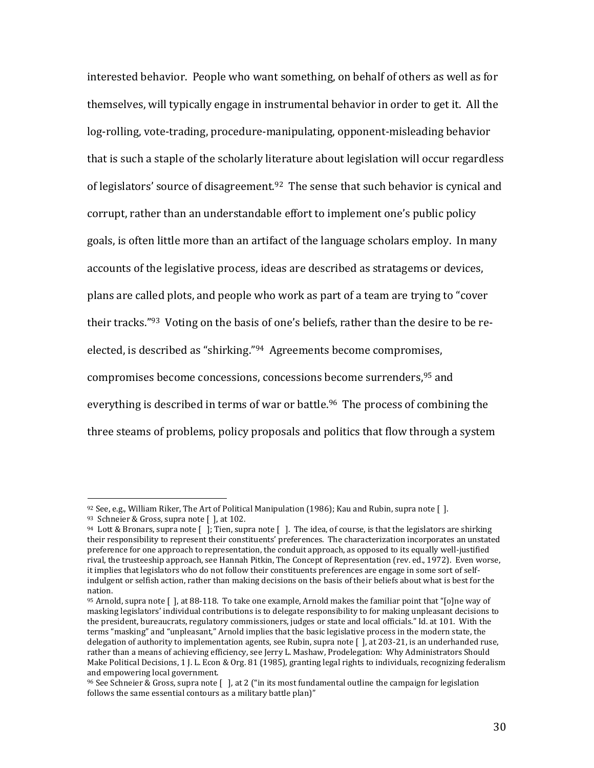interested behavior. People who want something, on behalf of others as well as for themselves, will typically engage in instrumental behavior in order to get it. All the log-rolling, vote-trading, procedure-manipulating, opponent-misleading behavior that is such a staple of the scholarly literature about legislation will occur regardless of legislators' source of disagreement.<sup>92</sup> The sense that such behavior is cynical and corrupt, rather than an understandable effort to implement one's public policy goals, is often little more than an artifact of the language scholars employ. In many accounts of the legislative process, ideas are described as stratagems or devices, plans are called plots, and people who work as part of a team are trying to "cover their tracks."<sup>93</sup> Voting on the basis of one's beliefs, rather than the desire to be reelected, is described as "shirking." <sup>94</sup> Agreements become compromises, compromises become concessions, concessions become surrenders, <sup>95</sup> and everything is described in terms of war or battle. <sup>96</sup> The process of combining the three steams of problems, policy proposals and politics that flow through a system

 $\overline{\phantom{a}}$ 

<sup>&</sup>lt;sup>92</sup> See, e.g., William Riker, The Art of Political Manipulation (1986); Kau and Rubin, supra note  $\lceil \cdot \rceil$ .

<sup>93</sup> Schneier & Gross, supra note [ ], at 102.

<sup>94</sup> Lott & Bronars, supra note  $\lceil$  ]; Tien, supra note  $\lceil$  ]. The idea, of course, is that the legislators are shirking their responsibility to represent their constituents' preferences. The characterization incorporates an unstated preference for one approach to representation, the conduit approach, as opposed to its equally well-justified rival, the trusteeship approach, see Hannah Pitkin, The Concept of Representation (rev. ed., 1972). Even worse, it implies that legislators who do not follow their constituents preferences are engage in some sort of selfindulgent or selfish action, rather than making decisions on the basis of their beliefs about what is best for the nation.

<sup>95</sup> Arnold, supra note [ ], at 88-118. To take one example, Arnold makes the familiar point that "[o]ne way of masking legislators' individual contributions is to delegate responsibility to for making unpleasant decisions to the president, bureaucrats, regulatory commissioners, judges or state and local officials." Id. at 101. With the terms "masking" and "unpleasant," Arnold implies that the basic legislative process in the modern state, the delegation of authority to implementation agents, see Rubin, supra note [ ], at 203-21, is an underhanded ruse, rather than a means of achieving efficiency, see Jerry L. Mashaw, Prodelegation: Why Administrators Should Make Political Decisions, 1 J. L. Econ & Org. 81 (1985), granting legal rights to individuals, recognizing federalism and empowering local government.

<sup>96</sup> See Schneier & Gross, supra note [ ], at 2 ("in its most fundamental outline the campaign for legislation follows the same essential contours as a military battle plan)"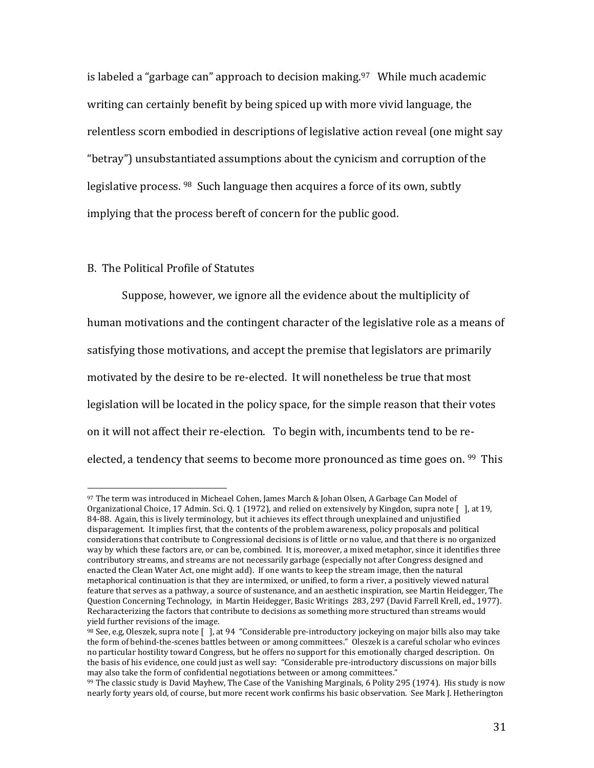is labeled a "garbage can" approach to decision making.  $97$  While much academic writing can certainly benefit by being spiced up with more vivid language, the relentless scorn embodied in descriptions of legislative action reveal (one might say "betray") unsubstantiated assumptions about the cynicism and corruption of the legislative process. <sup>98</sup> Such language then acquires a force of its own, subtly implying that the process bereft of concern for the public good.

# B. The Political Profile of Statutes

 $\overline{\phantom{a}}$ 

Suppose, however, we ignore all the evidence about the multiplicity of human motivations and the contingent character of the legislative role as a means of satisfying those motivations, and accept the premise that legislators are primarily motivated by the desire to be re-elected. It will nonetheless be true that most legislation will be located in the policy space, for the simple reason that their votes on it will not affect their re-election. To begin with, incumbents tend to be reelected, a tendency that seems to become more pronounced as time goes on. <sup>99</sup> This

<sup>97</sup> The term was introduced in Micheael Cohen, James March & Johan Olsen, A Garbage Can Model of Organizational Choice, 17 Admin. Sci. Q. 1 (1972), and relied on extensively by Kingdon, supra note [ ], at 19, 84-88. Again, this is lively terminology, but it achieves its effect through unexplained and unjustified disparagement. It implies first, that the contents of the problem awareness, policy proposals and political considerations that contribute to Congressional decisions is of little or no value, and that there is no organized way by which these factors are, or can be, combined. It is, moreover, a mixed metaphor, since it identifies three contributory streams, and streams are not necessarily garbage (especially not after Congress designed and enacted the Clean Water Act, one might add). If one wants to keep the stream image, then the natural metaphorical continuation is that they are intermixed, or unified, to form a river, a positively viewed natural feature that serves as a pathway, a source of sustenance, and an aesthetic inspiration, see Martin Heidegger, The Question Concerning Technology, in Martin Heidegger, Basic Writings 283, 297 (David Farrell Krell, ed., 1977). Recharacterizing the factors that contribute to decisions as something more structured than streams would yield further revisions of the image.

 $98$  See, e.g, Oleszek, supra note  $\lceil$ , at 94 "Considerable pre-introductory jockeying on major bills also may take the form of behind-the-scenes battles between or among committees." Oleszek is a careful scholar who evinces no particular hostility toward Congress, but he offers no support for this emotionally charged description. On the basis of his evidence, one could just as well say: "Considerable pre-introductory discussions on major bills may also take the form of confidential negotiations between or among committees."

<sup>99</sup> The classic study is David Mayhew, The Case of the Vanishing Marginals, 6 Polity 295 (1974). His study is now nearly forty years old, of course, but more recent work confirms his basic observation. See Mark J. Hetherington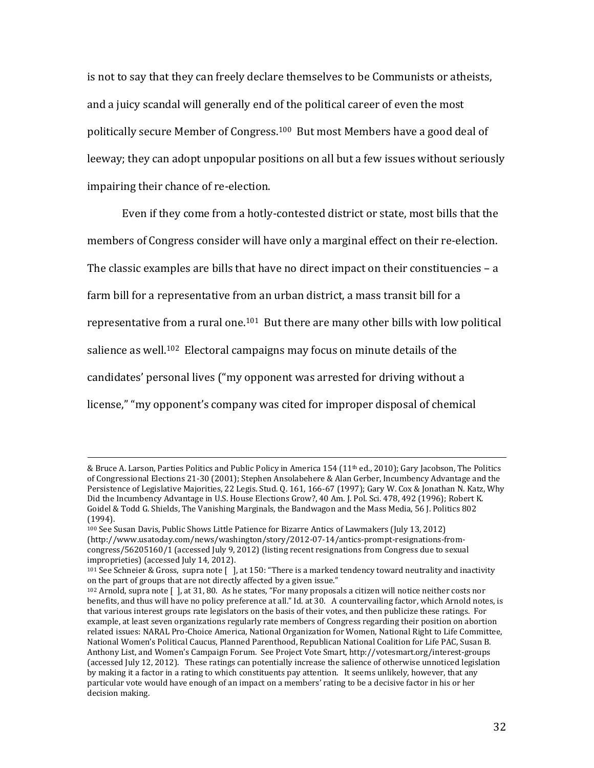is not to say that they can freely declare themselves to be Communists or atheists, and a juicy scandal will generally end of the political career of even the most politically secure Member of Congress.100 But most Members have a good deal of leeway; they can adopt unpopular positions on all but a few issues without seriously impairing their chance of re-election.

Even if they come from a hotly-contested district or state, most bills that the members of Congress consider will have only a marginal effect on their re-election. The classic examples are bills that have no direct impact on their constituencies – a farm bill for a representative from an urban district, a mass transit bill for a representative from a rural one.<sup>101</sup> But there are many other bills with low political salience as well.<sup>102</sup> Electoral campaigns may focus on minute details of the candidates' personal lives ("my opponent was arrested for driving without a license," "my opponent's company was cited for improper disposal of chemical

<sup>&</sup>amp; Bruce A. Larson, Parties Politics and Public Policy in America 154 (11th ed., 2010); Gary Jacobson, The Politics of Congressional Elections 21-30 (2001); Stephen Ansolabehere & Alan Gerber, Incumbency Advantage and the Persistence of Legislative Majorities, 22 Legis. Stud. Q. 161, 166-67 (1997); Gary W. Cox & Jonathan N. Katz, Why Did the Incumbency Advantage in U.S. House Elections Grow?, 40 Am. J. Pol. Sci. 478, 492 (1996); Robert K. Goidel & Todd G. Shields, The Vanishing Marginals, the Bandwagon and the Mass Media, 56 J. Politics 802 (1994).

<sup>100</sup> See Susan Davis, Public Shows Little Patience for Bizarre Antics of Lawmakers (July 13, 2012) (http://www.usatoday.com/news/washington/story/2012-07-14/antics-prompt-resignations-fromcongress/56205160/1 (accessed July 9, 2012) (listing recent resignations from Congress due to sexual improprieties) (accessed July 14, 2012).

<sup>&</sup>lt;sup>101</sup> See Schneier & Gross, supra note  $\lceil$  , at 150: "There is a marked tendency toward neutrality and inactivity on the part of groups that are not directly affected by a given issue."

<sup>102</sup> Arnold, supra note [ ], at 31, 80. As he states, "For many proposals a citizen will notice neither costs nor benefits, and thus will have no policy preference at all." Id. at 30. A countervailing factor, which Arnold notes, is that various interest groups rate legislators on the basis of their votes, and then publicize these ratings. For example, at least seven organizations regularly rate members of Congress regarding their position on abortion related issues: NARAL Pro-Choice America, National Organization for Women, National Right to Life Committee, National Women's Political Caucus, Planned Parenthood, Republican National Coalition for Life PAC, Susan B. Anthony List, and Women's Campaign Forum. See Project Vote Smart, <http://votesmart.org/interest-groups> (accessed July 12, 2012). These ratings can potentially increase the salience of otherwise unnoticed legislation by making it a factor in a rating to which constituents pay attention. It seems unlikely, however, that any particular vote would have enough of an impact on a members' rating to be a decisive factor in his or her decision making.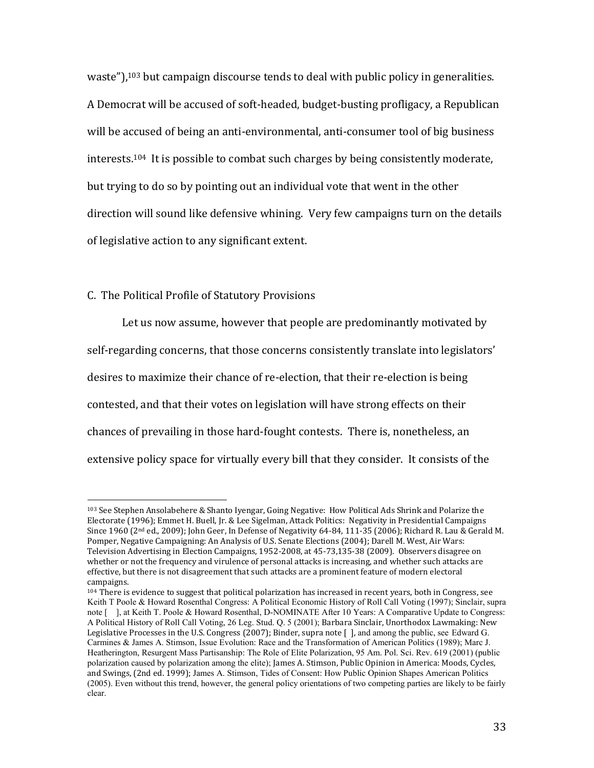waste"),<sup>103</sup> but campaign discourse tends to deal with public policy in generalities. A Democrat will be accused of soft-headed, budget-busting profligacy, a Republican will be accused of being an anti-environmental, anti-consumer tool of big business interests.104 It is possible to combat such charges by being consistently moderate, but trying to do so by pointing out an individual vote that went in the other direction will sound like defensive whining. Very few campaigns turn on the details of legislative action to any significant extent.

# C. The Political Profile of Statutory Provisions

 $\overline{\phantom{a}}$ 

Let us now assume, however that people are predominantly motivated by self-regarding concerns, that those concerns consistently translate into legislators' desires to maximize their chance of re-election, that their re-election is being contested, and that their votes on legislation will have strong effects on their chances of prevailing in those hard-fought contests. There is, nonetheless, an extensive policy space for virtually every bill that they consider. It consists of the

<sup>103</sup> See Stephen Ansolabehere & Shanto Iyengar, Going Negative: How Political Ads Shrink and Polarize the Electorate (1996); Emmet H. Buell, Jr. & Lee Sigelman, Attack Politics: Negativity in Presidential Campaigns Since 1960 (2nd ed., 2009); John Geer, In Defense of Negativity 64-84, 111-35 (2006); Richard R. Lau & Gerald M. Pomper, Negative Campaigning: An Analysis of U.S. Senate Elections (2004); Darell M. West, Air Wars: Television Advertising in Election Campaigns, 1952-2008, at 45-73,135-38 (2009). Observers disagree on whether or not the frequency and virulence of personal attacks is increasing, and whether such attacks are effective, but there is not disagreement that such attacks are a prominent feature of modern electoral campaigns.

<sup>104</sup> There is evidence to suggest that political polarization has increased in recent years, both in Congress, see Keith T Poole & Howard Rosenthal Congress: A Political Economic History of Roll Call Voting (1997); Sinclair, supra note [ ], at Keith T. Poole & Howard Rosenthal, D-NOMINATE After 10 Years: A Comparative Update to Congress: A Political History of Roll Call Voting, 26 Leg. Stud. Q. 5 (2001); Barbara Sinclair, Unorthodox Lawmaking: New Legislative Processes in the U.S. Congress (2007); Binder, supra note [ ], and among the public, see Edward G. Carmines & James A. Stimson, Issue Evolution: Race and the Transformation of American Politics (1989); Marc J. Heatherington, Resurgent Mass Partisanship: The Role of Elite Polarization, 95 Am. Pol. Sci. Rev. 619 (2001) (public polarization caused by polarization among the elite); James A. Stimson, Public Opinion in America: Moods, Cycles, and Swings, (2nd ed. 1999); James A. Stimson, Tides of Consent: How Public Opinion Shapes American Politics (2005). Even without this trend, however, the general policy orientations of two competing parties are likely to be fairly clear.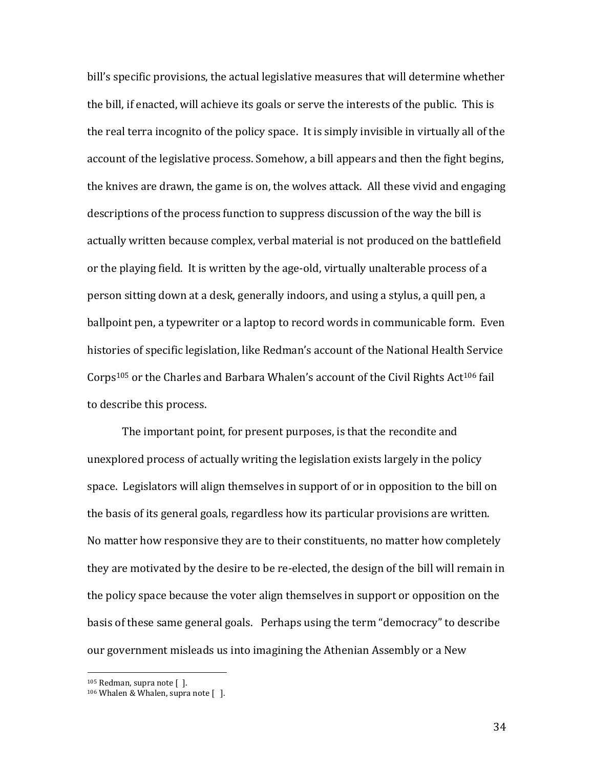bill's specific provisions, the actual legislative measures that will determine whether the bill, if enacted, will achieve its goals or serve the interests of the public. This is the real terra incognito of the policy space. It is simply invisible in virtually all of the account of the legislative process. Somehow, a bill appears and then the fight begins, the knives are drawn, the game is on, the wolves attack. All these vivid and engaging descriptions of the process function to suppress discussion of the way the bill is actually written because complex, verbal material is not produced on the battlefield or the playing field. It is written by the age-old, virtually unalterable process of a person sitting down at a desk, generally indoors, and using a stylus, a quill pen, a ballpoint pen, a typewriter or a laptop to record words in communicable form. Even histories of specific legislation, like Redman's account of the National Health Service Corps<sup>105</sup> or the Charles and Barbara Whalen's account of the Civil Rights Act<sup>106</sup> fail to describe this process.

The important point, for present purposes, is that the recondite and unexplored process of actually writing the legislation exists largely in the policy space. Legislators will align themselves in support of or in opposition to the bill on the basis of its general goals, regardless how its particular provisions are written. No matter how responsive they are to their constituents, no matter how completely they are motivated by the desire to be re-elected, the design of the bill will remain in the policy space because the voter align themselves in support or opposition on the basis of these same general goals. Perhaps using the term "democracy" to describe our government misleads us into imagining the Athenian Assembly or a New

l

34

<sup>105</sup> Redman, supra note [ ].

<sup>106</sup> Whalen & Whalen, supra note [ ].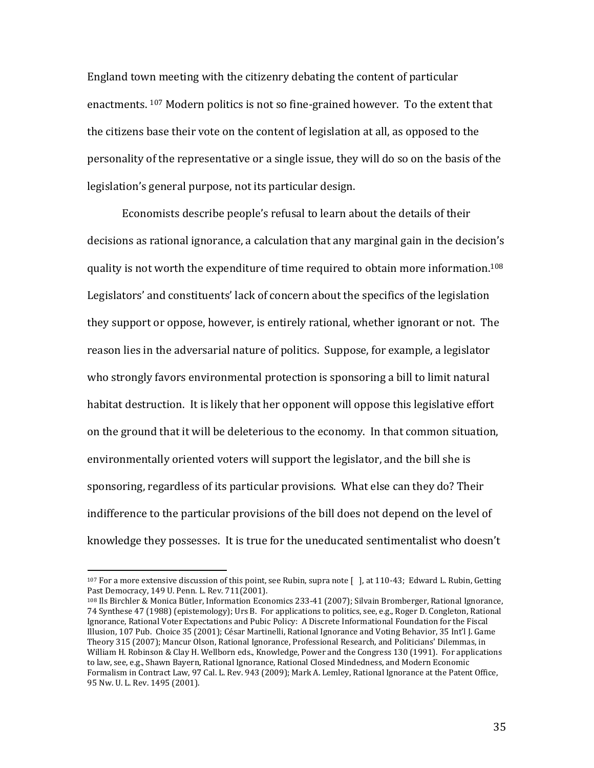England town meeting with the citizenry debating the content of particular enactments. <sup>107</sup> Modern politics is not so fine-grained however. To the extent that the citizens base their vote on the content of legislation at all, as opposed to the personality of the representative or a single issue, they will do so on the basis of the legislation's general purpose, not its particular design.

Economists describe people's refusal to learn about the details of their decisions as rational ignorance, a calculation that any marginal gain in the decision's quality is not worth the expenditure of time required to obtain more information. <sup>108</sup> Legislators' and constituents' lack of concern about the specifics of the legislation they support or oppose, however, is entirely rational, whether ignorant or not. The reason lies in the adversarial nature of politics. Suppose, for example, a legislator who strongly favors environmental protection is sponsoring a bill to limit natural habitat destruction. It is likely that her opponent will oppose this legislative effort on the ground that it will be deleterious to the economy. In that common situation, environmentally oriented voters will support the legislator, and the bill she is sponsoring, regardless of its particular provisions. What else can they do? Their indifference to the particular provisions of the bill does not depend on the level of knowledge they possesses. It is true for the uneducated sentimentalist who doesn't

 $\overline{\phantom{a}}$ 

<sup>107</sup> For a more extensive discussion of this point, see Rubin, supra note  $\lceil$ , at 110-43; Edward L. Rubin, Getting Past Democracy, 149 U. Penn. L. Rev. 711(2001).

<sup>108</sup> Ils Birchler & Monica Bütler, Information Economics 233-41 (2007); Silvain Bromberger, Rational Ignorance, 74 Synthese 47 (1988) (epistemology); Urs B. For applications to politics, see, e.g., Roger D. Congleton, Rational Ignorance, Rational Voter Expectations and Pubic Policy: A Discrete Informational Foundation for the Fiscal Illusion, 107 Pub. Choice 35 (2001); César Martinelli, Rational Ignorance and Voting Behavior, 35 Int'l J. Game Theory 315 (2007); Mancur Olson, Rational Ignorance, Professional Research, and Politicians' Dilemmas, in William H. Robinson & Clay H. Wellborn eds., Knowledge, Power and the Congress 130 (1991). For applications to law, see, e.g., Shawn Bayern, Rational Ignorance, Rational Closed Mindedness, and Modern Economic Formalism in Contract Law, 97 Cal. L. Rev. 943 (2009); Mark A. Lemley, Rational Ignorance at the Patent Office, 95 Nw. U. L. Rev. 1495 (2001).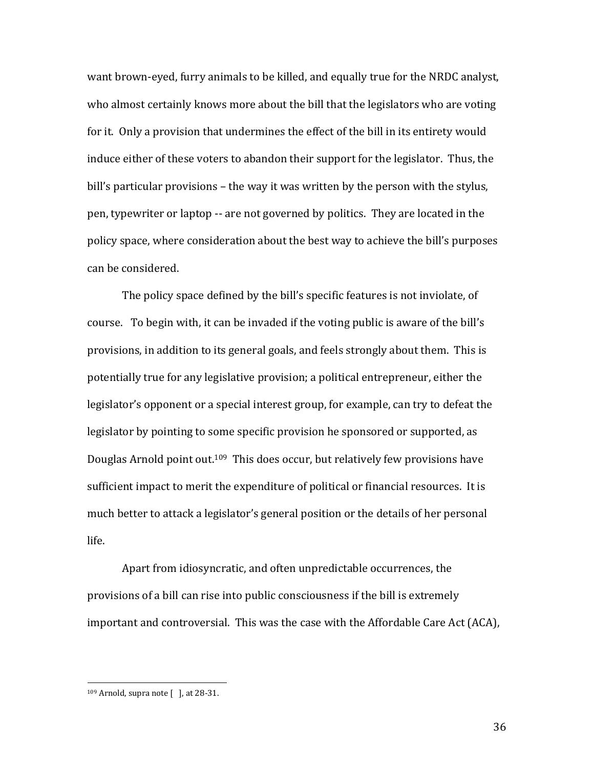want brown-eyed, furry animals to be killed, and equally true for the NRDC analyst, who almost certainly knows more about the bill that the legislators who are voting for it. Only a provision that undermines the effect of the bill in its entirety would induce either of these voters to abandon their support for the legislator. Thus, the bill's particular provisions – the way it was written by the person with the stylus, pen, typewriter or laptop -- are not governed by politics. They are located in the policy space, where consideration about the best way to achieve the bill's purposes can be considered.

The policy space defined by the bill's specific features is not inviolate, of course. To begin with, it can be invaded if the voting public is aware of the bill's provisions, in addition to its general goals, and feels strongly about them. This is potentially true for any legislative provision; a political entrepreneur, either the legislator's opponent or a special interest group, for example, can try to defeat the legislator by pointing to some specific provision he sponsored or supported, as Douglas Arnold point out.<sup>109</sup> This does occur, but relatively few provisions have sufficient impact to merit the expenditure of political or financial resources. It is much better to attack a legislator's general position or the details of her personal life.

Apart from idiosyncratic, and often unpredictable occurrences, the provisions of a bill can rise into public consciousness if the bill is extremely important and controversial. This was the case with the Affordable Care Act (ACA),

 $\overline{\phantom{a}}$ 

36

<sup>109</sup> Arnold, supra note [ ], at 28-31.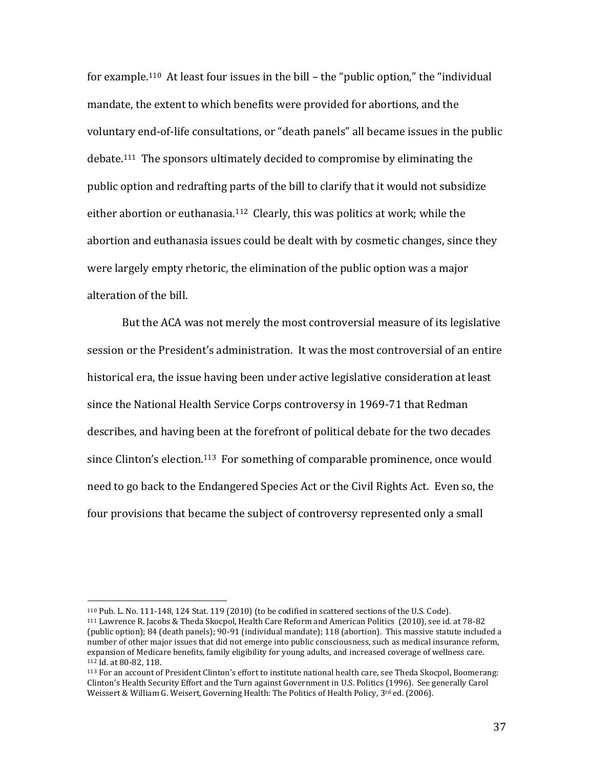for example.110 At least four issues in the bill – the "public option," the "individual mandate, the extent to which benefits were provided for abortions, and the voluntary end-of-life consultations, or "death panels" all became issues in the public debate. <sup>111</sup> The sponsors ultimately decided to compromise by eliminating the public option and redrafting parts of the bill to clarify that it would not subsidize either abortion or euthanasia.<sup>112</sup> Clearly, this was politics at work; while the abortion and euthanasia issues could be dealt with by cosmetic changes, since they were largely empty rhetoric, the elimination of the public option was a major alteration of the bill.

But the ACA was not merely the most controversial measure of its legislative session or the President's administration. It was the most controversial of an entire historical era, the issue having been under active legislative consideration at least since the National Health Service Corps controversy in 1969-71 that Redman describes, and having been at the forefront of political debate for the two decades since Clinton's election.<sup>113</sup> For something of comparable prominence, once would need to go back to the Endangered Species Act or the Civil Rights Act. Even so, the four provisions that became the subject of controversy represented only a small

l

<sup>110</sup> Pub. L. No. 111-148, 124 Stat. 119 (2010) (to be codified in scattered sections of the U.S. Code). <sup>111</sup> Lawrence R. Jacobs & Theda Skocpol, Health Care Reform and American Politics (2010), see id. at 78-82 (public option); 84 (death panels); 90-91 (individual mandate); 118 (abortion). This massive statute included a number of other major issues that did not emerge into public consciousness, such as medical insurance reform, expansion of Medicare benefits, family eligibility for young adults, and increased coverage of wellness care. <sup>112</sup> Id. at 80-82, 118.

<sup>113</sup> For an account of President Clinton's effort to institute national health care, see Theda Skocpol, Boomerang: Clinton's Health Security Effort and the Turn against Government in U.S. Politics (1996). See generally Carol Weissert & William G. Weisert, Governing Health: The Politics of Health Policy, 3rd ed. (2006).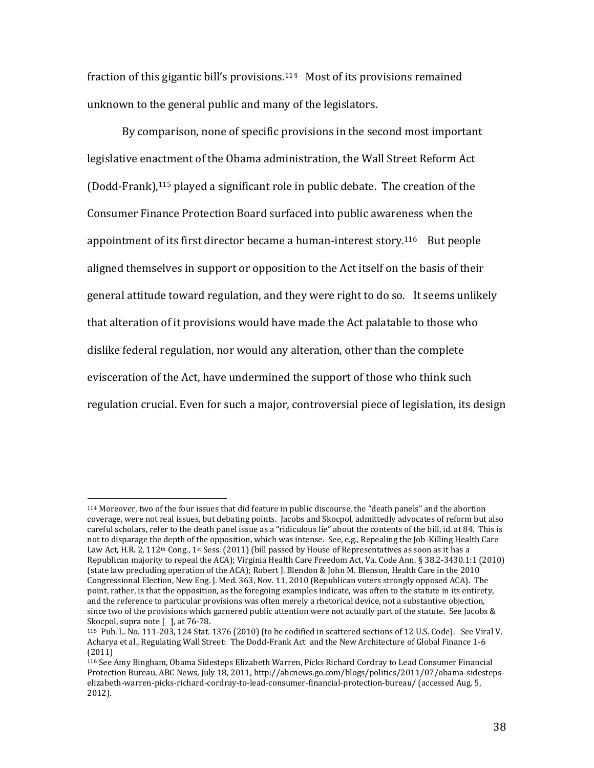fraction of this gigantic bill's provisions.114 Most of its provisions remained unknown to the general public and many of the legislators.

By comparison, none of specific provisions in the second most important legislative enactment of the Obama administration, the Wall Street Reform Act (Dodd-Frank), <sup>115</sup> played a significant role in public debate. The creation of the Consumer Finance Protection Board surfaced into public awareness when the appointment of its first director became a human-interest story.<sup>116</sup> But people aligned themselves in support or opposition to the Act itself on the basis of their general attitude toward regulation, and they were right to do so. It seems unlikely that alteration of it provisions would have made the Act palatable to those who dislike federal regulation, nor would any alteration, other than the complete evisceration of the Act, have undermined the support of those who think such regulation crucial. Even for such a major, controversial piece of legislation, its design

<sup>114</sup> Moreover, two of the four issues that did feature in public discourse, the "death panels" and the abortion coverage, were not real issues, but debating points. Jacobs and Skocpol, admittedly advocates of reform but also careful scholars, refer to the death panel issue as a "ridiculous lie" about the contents of the bill, id. at 84. This is not to disparage the depth of the opposition, which was intense. See, e.g., Repealing the Job-Killing Health Care Law Act, H.R. 2,  $112<sup>th</sup>$  Cong., 1<sup>st</sup> Sess. (2011) (bill passed by House of Representatives as soon as it has a Republican majority to repeal the ACA); Virginia Health Care Freedom Act, Va. Code Ann. § 38.2-3430.1:1 (2010) (state law precluding operation of the ACA); Robert J. Blendon & John M. Blenson, Health Care in the 2010 Congressional Election, New Eng. J. Med. 363, Nov. 11, 2010 (Republican voters strongly opposed ACA). The point, rather, is that the opposition, as the foregoing examples indicate, was often to the statute in its entirety, and the reference to particular provisions was often merely a rhetorical device, not a substantive objection, since two of the provisions which garnered public attention were not actually part of the statute. See Jacobs & Skocpol, supra note [ ], at 76-78.

<sup>115</sup> Pub. L. No. 111-203, 124 Stat. 1376 (2010) (to be codified in scattered sections of 12 U.S. Code). See Viral V. Acharya et al., Regulating Wall Street: The Dodd-Frank Act and the New Architecture of Global Finance 1-6 (2011)

<sup>116</sup> See Amy Bingham, Obama Sidesteps Elizabeth Warren, Picks Richard Cordray to Lead Consumer Financial Protection Bureau, ABC News, July 18, 2011[, http://abcnews.go.com/blogs/politics/2011/07/obama-sidesteps](http://abcnews.go.com/blogs/politics/2011/07/obama-sidesteps-elizabeth-warren-picks-richard-cordray-to-lead-consumer-financial-protection-bureau/)[elizabeth-warren-picks-richard-cordray-to-lead-consumer-financial-protection-bureau/](http://abcnews.go.com/blogs/politics/2011/07/obama-sidesteps-elizabeth-warren-picks-richard-cordray-to-lead-consumer-financial-protection-bureau/) (accessed Aug. 5, 2012).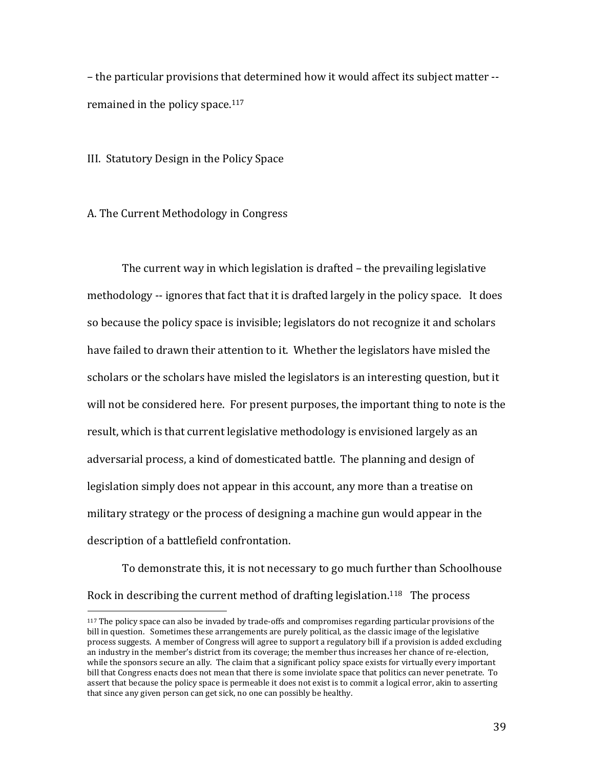– the particular provisions that determined how it would affect its subject matter - remained in the policy space.<sup>117</sup>

III. Statutory Design in the Policy Space

A. The Current Methodology in Congress

 $\overline{a}$ 

The current way in which legislation is drafted – the prevailing legislative methodology -- ignores that fact that it is drafted largely in the policy space. It does so because the policy space is invisible; legislators do not recognize it and scholars have failed to drawn their attention to it. Whether the legislators have misled the scholars or the scholars have misled the legislators is an interesting question, but it will not be considered here. For present purposes, the important thing to note is the result, which is that current legislative methodology is envisioned largely as an adversarial process, a kind of domesticated battle. The planning and design of legislation simply does not appear in this account, any more than a treatise on military strategy or the process of designing a machine gun would appear in the description of a battlefield confrontation.

To demonstrate this, it is not necessary to go much further than Schoolhouse Rock in describing the current method of drafting legislation.<sup>118</sup> The process

<sup>117</sup> The policy space can also be invaded by trade-offs and compromises regarding particular provisions of the bill in question. Sometimes these arrangements are purely political, as the classic image of the legislative process suggests. A member of Congress will agree to support a regulatory bill if a provision is added excluding an industry in the member's district from its coverage; the member thus increases her chance of re-election, while the sponsors secure an ally. The claim that a significant policy space exists for virtually every important bill that Congress enacts does not mean that there is some inviolate space that politics can never penetrate. To assert that because the policy space is permeable it does not exist is to commit a logical error, akin to asserting that since any given person can get sick, no one can possibly be healthy.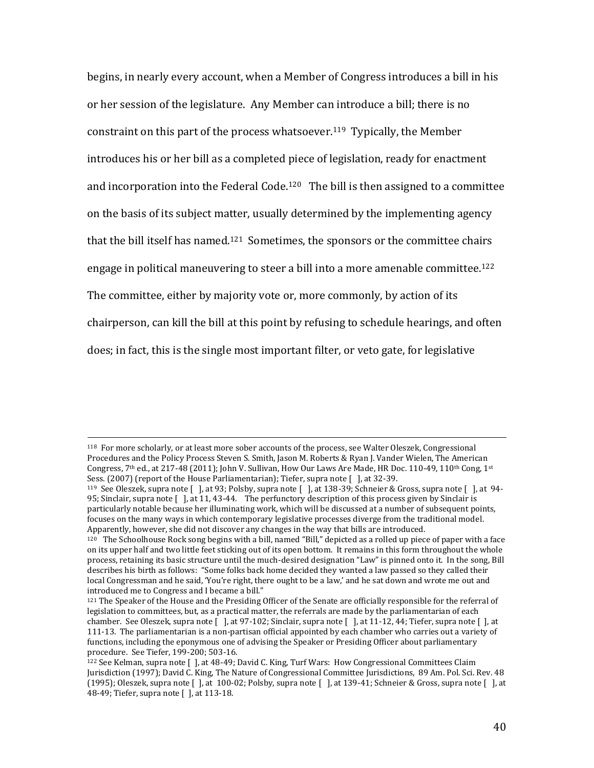begins, in nearly every account, when a Member of Congress introduces a bill in his or her session of the legislature. Any Member can introduce a bill; there is no constraint on this part of the process whatsoever.119 Typically, the Member introduces his or her bill as a completed piece of legislation, ready for enactment and incorporation into the Federal Code.<sup>120</sup> The bill is then assigned to a committee on the basis of its subject matter, usually determined by the implementing agency that the bill itself has named.<sup>121</sup> Sometimes, the sponsors or the committee chairs engage in political maneuvering to steer a bill into a more amenable committee.<sup>122</sup> The committee, either by majority vote or, more commonly, by action of its chairperson, can kill the bill at this point by refusing to schedule hearings, and often does; in fact, this is the single most important filter, or veto gate, for legislative

l

<sup>118</sup> For more scholarly, or at least more sober accounts of the process, see Walter Oleszek, Congressional Procedures and the Policy Process Steven S. Smith, Jason M. Roberts & Ryan J. Vander Wielen, The American Congress, 7<sup>th</sup> ed., at 217-48 (2011); John V. Sullivan, How Our Laws Are Made, HR Doc. 110-49, 110<sup>th</sup> Cong, 1<sup>st</sup> Sess. (2007) (report of the House Parliamentarian); Tiefer, supra note [], at 32-39.

<sup>119</sup> See Oleszek, supra note [ ], at 93; Polsby, supra note [ ], at 138-39; Schneier & Gross, supra note [ ], at 94- 95; Sinclair, supra note [ ], at 11, 43-44. The perfunctory description of this process given by Sinclair is particularly notable because her illuminating work, which will be discussed at a number of subsequent points, focuses on the many ways in which contemporary legislative processes diverge from the traditional model. Apparently, however, she did not discover any changes in the way that bills are introduced.

<sup>120</sup> The Schoolhouse Rock song begins with a bill, named "Bill," depicted as a rolled up piece of paper with a face on its upper half and two little feet sticking out of its open bottom. It remains in this form throughout the whole process, retaining its basic structure until the much-desired designation "Law" is pinned onto it. In the song, Bill describes his birth as follows: "Some folks back home decided they wanted a law passed so they called their local Congressman and he said, 'You're right, there ought to be a law,' and he sat down and wrote me out and introduced me to Congress and I became a bill."

<sup>121</sup> The Speaker of the House and the Presiding Officer of the Senate are officially responsible for the referral of legislation to committees, but, as a practical matter, the referrals are made by the parliamentarian of each chamber. See Oleszek, supra note [ ], at 97-102; Sinclair, supra note [ ], at 11-12, 44; Tiefer, supra note [ ], at 111-13. The parliamentarian is a non-partisan official appointed by each chamber who carries out a variety of functions, including the eponymous one of advising the Speaker or Presiding Officer about parliamentary procedure. See Tiefer, 199-200; 503-16.

<sup>122</sup> See Kelman, supra note [ ], at 48-49; David C. King, Turf Wars: How Congressional Committees Claim Jurisdiction (1997); David C. King, The Nature of Congressional Committee Jurisdictions, 89 Am. Pol. Sci. Rev. 48 (1995); Oleszek, supra note [ ], at 100-02; Polsby, supra note [ ], at 139-41; Schneier & Gross, supra note [ ], at 48-49; Tiefer, supra note [ ], at 113-18.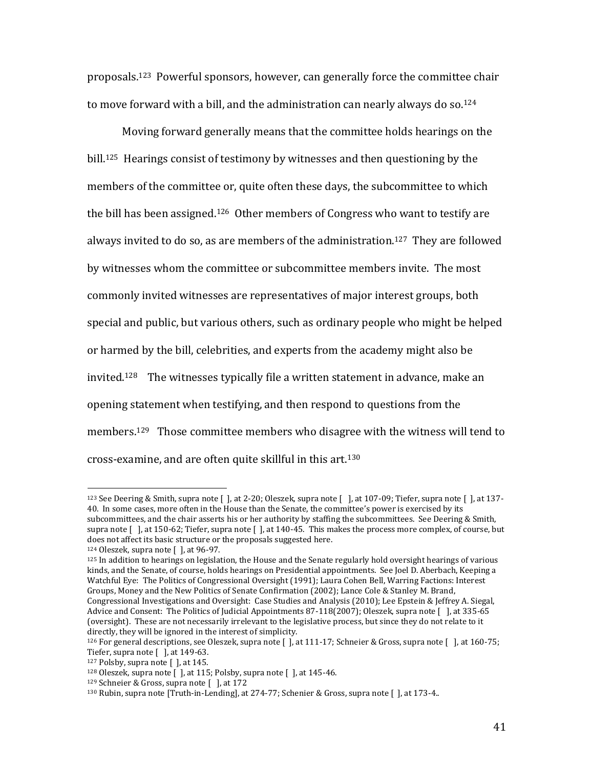proposals.123 Powerful sponsors, however, can generally force the committee chair to move forward with a bill, and the administration can nearly always do so.<sup>124</sup>

Moving forward generally means that the committee holds hearings on the bill.125 Hearings consist of testimony by witnesses and then questioning by the members of the committee or, quite often these days, the subcommittee to which the bill has been assigned.126 Other members of Congress who want to testify are always invited to do so, as are members of the administration.<sup>127</sup> They are followed by witnesses whom the committee or subcommittee members invite. The most commonly invited witnesses are representatives of major interest groups, both special and public, but various others, such as ordinary people who might be helped or harmed by the bill, celebrities, and experts from the academy might also be invited. <sup>128</sup> The witnesses typically file a written statement in advance, make an opening statement when testifying, and then respond to questions from the members.<sup>129</sup> Those committee members who disagree with the witness will tend to cross-examine, and are often quite skillful in this art.<sup>130</sup>

<sup>&</sup>lt;sup>123</sup> See Deering & Smith, supra note  $\lceil$ , at 2-20; Oleszek, supra note  $\lceil$ , at 107-09; Tiefer, supra note  $\lceil$ , at 137-40. In some cases, more often in the House than the Senate, the committee's power is exercised by its subcommittees, and the chair asserts his or her authority by staffing the subcommittees. See Deering & Smith, supra note [ ], at 150-62; Tiefer, supra note [ ], at 140-45. This makes the process more complex, of course, but does not affect its basic structure or the proposals suggested here.

 $124$  Oleszek, supra note  $\lceil \cdot \rceil$ , at 96-97.

<sup>125</sup> In addition to hearings on legislation, the House and the Senate regularly hold oversight hearings of various kinds, and the Senate, of course, holds hearings on Presidential appointments. See Joel D. Aberbach, Keeping a Watchful Eye: The Politics of Congressional Oversight (1991); Laura Cohen Bell, Warring Factions: Interest Groups, Money and the New Politics of Senate Confirmation (2002); Lance Cole & Stanley M. Brand, Congressional Investigations and Oversight: Case Studies and Analysis (2010); Lee Epstein & Jeffrey A. Siegal, Advice and Consent: The Politics of Judicial Appointments 87-118(2007); Oleszek, supra note [ ], at 335-65 (oversight). These are not necessarily irrelevant to the legislative process, but since they do not relate to it directly, they will be ignored in the interest of simplicity.

<sup>&</sup>lt;sup>126</sup> For general descriptions, see Oleszek, supra note  $\lceil$ , at 111-17; Schneier & Gross, supra note  $\lceil$ , at 160-75; Tiefer, supra note  $\lceil \ \rceil$ , at 149-63.

 $127$  Polsby, supra note  $\lceil \ \rceil$ , at 145.

<sup>128</sup> Oleszek, supra note [ ], at 115; Polsby, supra note [ ], at 145-46.

<sup>129</sup> Schneier & Gross, supra note [ ], at 172

<sup>130</sup> Rubin, supra note [Truth-in-Lending], at 274-77; Schenier & Gross, supra note [ ], at 173-4..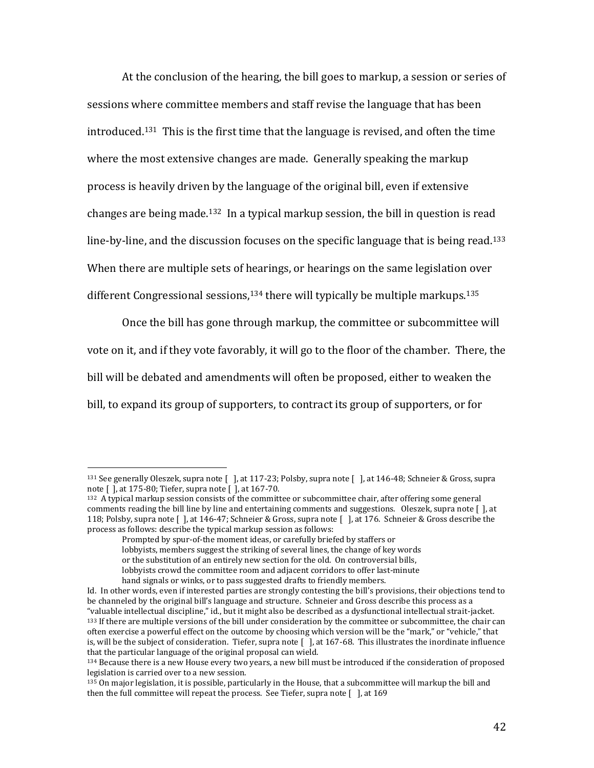At the conclusion of the hearing, the bill goes to markup, a session or series of sessions where committee members and staff revise the language that has been introduced.<sup>131</sup> This is the first time that the language is revised, and often the time where the most extensive changes are made. Generally speaking the markup process is heavily driven by the language of the original bill, even if extensive changes are being made.132 In a typical markup session, the bill in question is read line-by-line, and the discussion focuses on the specific language that is being read.<sup>133</sup> When there are multiple sets of hearings, or hearings on the same legislation over different Congressional sessions, $134$  there will typically be multiple markups. $135$ 

Once the bill has gone through markup, the committee or subcommittee will vote on it, and if they vote favorably, it will go to the floor of the chamber. There, the bill will be debated and amendments will often be proposed, either to weaken the bill, to expand its group of supporters, to contract its group of supporters, or for

<sup>131</sup> See generally Oleszek, supra note [ ], at 117-23; Polsby, supra note [ ], at 146-48; Schneier & Gross, supra note [ ], at 175-80; Tiefer, supra note [ ], at 167-70.

<sup>&</sup>lt;sup>132</sup> A typical markup session consists of the committee or subcommittee chair, after offering some general comments reading the bill line by line and entertaining comments and suggestions. Oleszek, supra note [ ], at 118; Polsby, supra note [ ], at 146-47; Schneier & Gross, supra note [ ], at 176. Schneier & Gross describe the process as follows: describe the typical markup session as follows:

Prompted by spur-of-the moment ideas, or carefully briefed by staffers or lobbyists, members suggest the striking of several lines, the change of key words or the substitution of an entirely new section for the old. On controversial bills, lobbyists crowd the committee room and adjacent corridors to offer last-minute hand signals or winks, or to pass suggested drafts to friendly members.

Id. In other words, even if interested parties are strongly contesting the bill's provisions, their objections tend to be channeled by the original bill's language and structure. Schneier and Gross describe this process as a "valuable intellectual discipline," id., but it might also be described as a dysfunctional intellectual strait-jacket. <sup>133</sup> If there are multiple versions of the bill under consideration by the committee or subcommittee, the chair can often exercise a powerful effect on the outcome by choosing which version will be the "mark," or "vehicle," that is, will be the subject of consideration. Tiefer, supra note  $\lceil$ , at 167-68. This illustrates the inordinate influence that the particular language of the original proposal can wield.

<sup>&</sup>lt;sup>134</sup> Because there is a new House every two years, a new bill must be introduced if the consideration of proposed legislation is carried over to a new session.

 $135$  On major legislation, it is possible, particularly in the House, that a subcommittee will markup the bill and then the full committee will repeat the process. See Tiefer, supra note [ ], at 169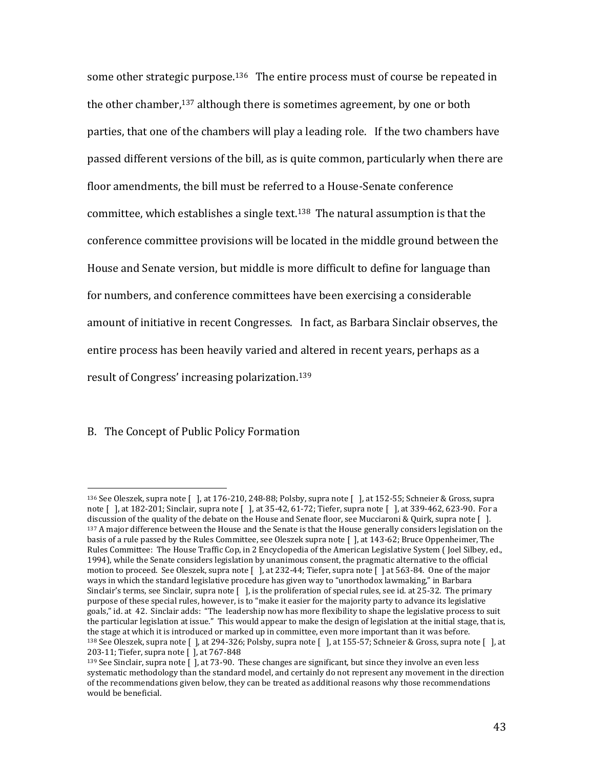some other strategic purpose.<sup>136</sup> The entire process must of course be repeated in the other chamber,<sup>137</sup> although there is sometimes agreement, by one or both parties, that one of the chambers will play a leading role. If the two chambers have passed different versions of the bill, as is quite common, particularly when there are floor amendments, the bill must be referred to a House-Senate conference committee, which establishes a single text.138 The natural assumption is that the conference committee provisions will be located in the middle ground between the House and Senate version, but middle is more difficult to define for language than for numbers, and conference committees have been exercising a considerable amount of initiative in recent Congresses. In fact, as Barbara Sinclair observes, the entire process has been heavily varied and altered in recent years, perhaps as a result of Congress' increasing polarization.<sup>139</sup>

# B. The Concept of Public Policy Formation

<sup>136</sup> See Oleszek, supra note [ ], at 176-210, 248-88; Polsby, supra note [ ], at 152-55; Schneier & Gross, supra note [ ], at 182-201; Sinclair, supra note [ ], at 35-42, 61-72; Tiefer, supra note [ ], at 339-462, 623-90. For a discussion of the quality of the debate on the House and Senate floor, see Mucciaroni & Quirk, supra note [ ]. <sup>137</sup> A major difference between the House and the Senate is that the House generally considers legislation on the basis of a rule passed by the Rules Committee, see Oleszek supra note [ ], at 143-62; Bruce Oppenheimer, The Rules Committee: The House Traffic Cop, in 2 Encyclopedia of the American Legislative System ( Joel Silbey, ed., 1994), while the Senate considers legislation by unanimous consent, the pragmatic alternative to the official motion to proceed. See Oleszek, supra note [ ], at 232-44; Tiefer, supra note [ ] at 563-84. One of the major ways in which the standard legislative procedure has given way to "unorthodox lawmaking," in Barbara Sinclair's terms, see Sinclair, supra note  $\lceil$ , is the proliferation of special rules, see id. at 25-32. The primary purpose of these special rules, however, is to "make it easier for the majority party to advance its legislative goals," id. at 42. Sinclair adds: "The leadership now has more flexibility to shape the legislative process to suit the particular legislation at issue." This would appear to make the design of legislation at the initial stage, that is, the stage at which it is introduced or marked up in committee, even more important than it was before. <sup>138</sup> See Oleszek, supra note [ ], at 294-326; Polsby, supra note [ ], at 155-57; Schneier & Gross, supra note [ ], at 203-11; Tiefer, supra note [ ], at 767-848

<sup>&</sup>lt;sup>139</sup> See Sinclair, supra note [ ], at 73-90. These changes are significant, but since they involve an even less systematic methodology than the standard model, and certainly do not represent any movement in the direction of the recommendations given below, they can be treated as additional reasons why those recommendations would be beneficial.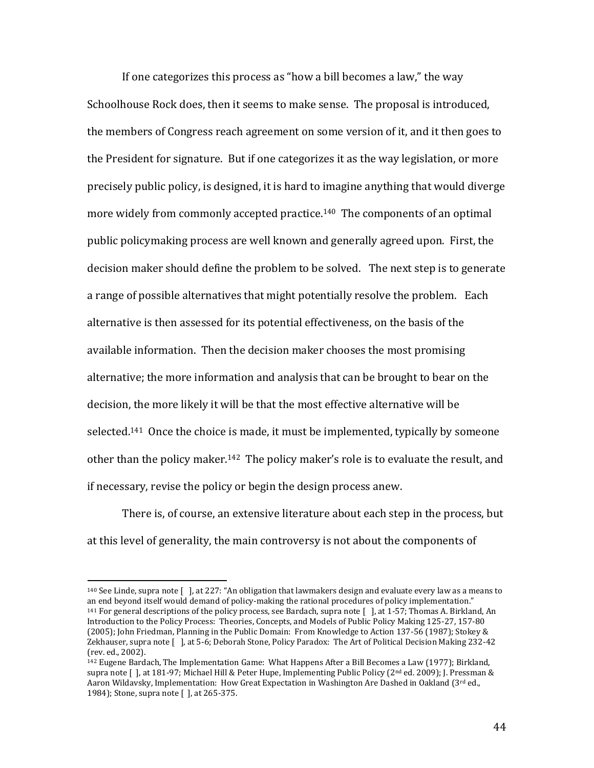If one categorizes this process as "how a bill becomes a law," the way Schoolhouse Rock does, then it seems to make sense. The proposal is introduced, the members of Congress reach agreement on some version of it, and it then goes to the President for signature. But if one categorizes it as the way legislation, or more precisely public policy, is designed, it is hard to imagine anything that would diverge more widely from commonly accepted practice.<sup>140</sup> The components of an optimal public policymaking process are well known and generally agreed upon. First, the decision maker should define the problem to be solved. The next step is to generate a range of possible alternatives that might potentially resolve the problem. Each alternative is then assessed for its potential effectiveness, on the basis of the available information. Then the decision maker chooses the most promising alternative; the more information and analysis that can be brought to bear on the decision, the more likely it will be that the most effective alternative will be selected.<sup>141</sup> Once the choice is made, it must be implemented, typically by someone other than the policy maker.<sup>142</sup> The policy maker's role is to evaluate the result, and if necessary, revise the policy or begin the design process anew.

There is, of course, an extensive literature about each step in the process, but at this level of generality, the main controversy is not about the components of

l

<sup>&</sup>lt;sup>140</sup> See Linde, supra note  $\lceil$ , at 227: "An obligation that lawmakers design and evaluate every law as a means to an end beyond itself would demand of policy-making the rational procedures of policy implementation." <sup>141</sup> For general descriptions of the policy process, see Bardach, supra note  $\lceil$ , at 1-57; Thomas A. Birkland, An Introduction to the Policy Process: Theories, Concepts, and Models of Public Policy Making 125-27, 157-80 (2005); John Friedman, Planning in the Public Domain: From Knowledge to Action 137-56 (1987); Stokey & Zekhauser, supra note [ ], at 5-6; Deborah Stone, Policy Paradox: The Art of Political Decision Making 232-42 (rev. ed., 2002).

<sup>142</sup> Eugene Bardach, The Implementation Game: What Happens After a Bill Becomes a Law (1977); Birkland, supra note [ ], at 181-97; Michael Hill & Peter Hupe, Implementing Public Policy (2nd ed. 2009); J. Pressman & Aaron Wildavsky, Implementation: How Great Expectation in Washington Are Dashed in Oakland (3rd ed., 1984); Stone, supra note [ ], at 265-375.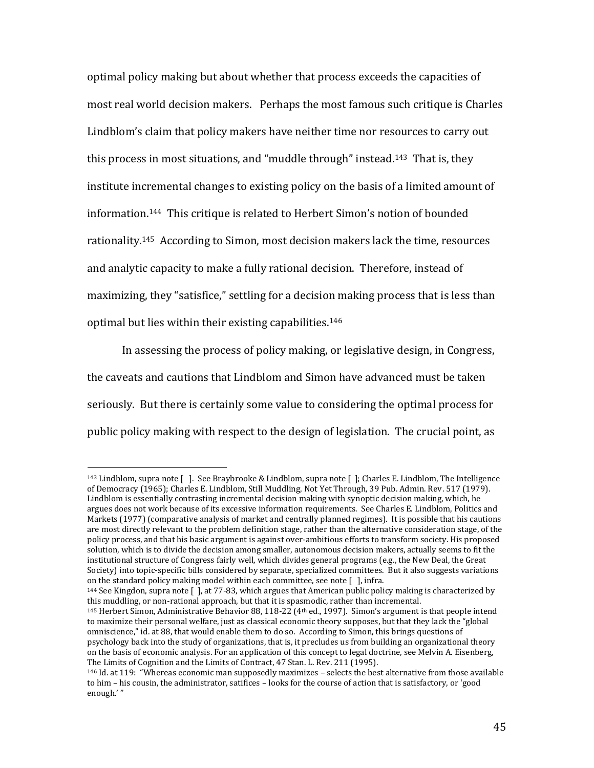optimal policy making but about whether that process exceeds the capacities of most real world decision makers. Perhaps the most famous such critique is Charles Lindblom's claim that policy makers have neither time nor resources to carry out this process in most situations, and "muddle through" instead.143 That is, they institute incremental changes to existing policy on the basis of a limited amount of information.<sup>144</sup> This critique is related to Herbert Simon's notion of bounded rationality.145 According to Simon, most decision makers lack the time, resources and analytic capacity to make a fully rational decision. Therefore, instead of maximizing, they "satisfice," settling for a decision making process that is less than optimal but lies within their existing capabilities.<sup>146</sup>

In assessing the process of policy making, or legislative design, in Congress, the caveats and cautions that Lindblom and Simon have advanced must be taken seriously. But there is certainly some value to considering the optimal process for public policy making with respect to the design of legislation. The crucial point, as

<sup>143</sup> Lindblom, supra note [ ]. See Braybrooke & Lindblom, supra note [ ]; Charles E. Lindblom, The Intelligence of Democracy (1965); Charles E. Lindblom, Still Muddling, Not Yet Through, 39 Pub. Admin. Rev. 517 (1979). Lindblom is essentially contrasting incremental decision making with synoptic decision making, which, he argues does not work because of its excessive information requirements. See Charles E. Lindblom, Politics and Markets (1977) (comparative analysis of market and centrally planned regimes). It is possible that his cautions are most directly relevant to the problem definition stage, rather than the alternative consideration stage, of the policy process, and that his basic argument is against over-ambitious efforts to transform society. His proposed solution, which is to divide the decision among smaller, autonomous decision makers, actually seems to fit the institutional structure of Congress fairly well, which divides general programs (e.g., the New Deal, the Great Society) into topic-specific bills considered by separate, specialized committees. But it also suggests variations on the standard policy making model within each committee, see note [ ], infra.

<sup>144</sup> See Kingdon, supra note [ ], at 77-83, which argues that American public policy making is characterized by this muddling, or non-rational approach, but that it is spasmodic, rather than incremental.

<sup>&</sup>lt;sup>145</sup> Herbert Simon, Administrative Behavior 88, 118-22 ( $4<sup>th</sup>$  ed., 1997). Simon's argument is that people intend to maximize their personal welfare, just as classical economic theory supposes, but that they lack the "global omniscience," id. at 88, that would enable them to do so. According to Simon, this brings questions of psychology back into the study of organizations, that is, it precludes us from building an organizational theory on the basis of economic analysis. For an application of this concept to legal doctrine, see Melvin A. Eisenberg, The Limits of Cognition and the Limits of Contract, 47 Stan. L. Rev. 211 (1995).

<sup>146</sup> Id. at 119: "Whereas economic man supposedly maximizes – selects the best alternative from those available to him – his cousin, the administrator, satifices – looks for the course of action that is satisfactory, or 'good enough.' "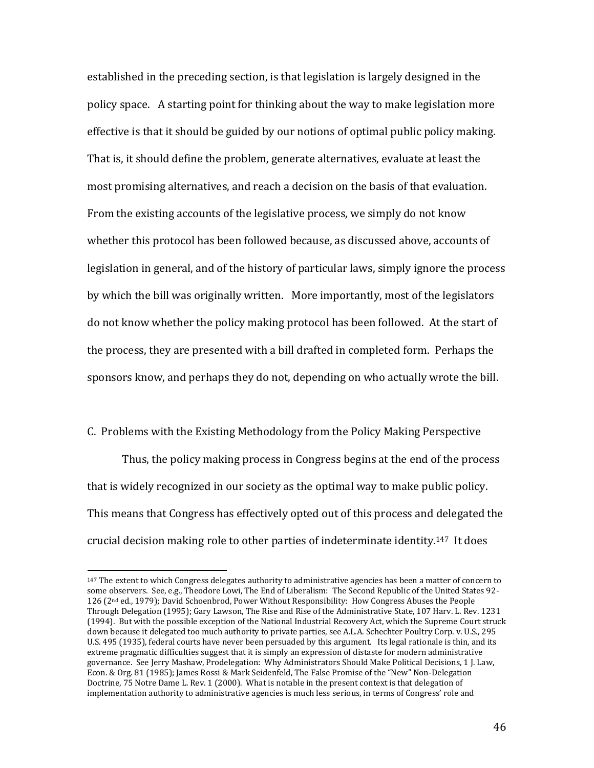established in the preceding section, is that legislation is largely designed in the policy space. A starting point for thinking about the way to make legislation more effective is that it should be guided by our notions of optimal public policy making. That is, it should define the problem, generate alternatives, evaluate at least the most promising alternatives, and reach a decision on the basis of that evaluation. From the existing accounts of the legislative process, we simply do not know whether this protocol has been followed because, as discussed above, accounts of legislation in general, and of the history of particular laws, simply ignore the process by which the bill was originally written. More importantly, most of the legislators do not know whether the policy making protocol has been followed. At the start of the process, they are presented with a bill drafted in completed form. Perhaps the sponsors know, and perhaps they do not, depending on who actually wrote the bill.

# C. Problems with the Existing Methodology from the Policy Making Perspective

Thus, the policy making process in Congress begins at the end of the process that is widely recognized in our society as the optimal way to make public policy. This means that Congress has effectively opted out of this process and delegated the crucial decision making role to other parties of indeterminate identity.147 It does

<sup>&</sup>lt;sup>147</sup> The extent to which Congress delegates authority to administrative agencies has been a matter of concern to some observers. See, e.g., Theodore Lowi, The End of Liberalism: The Second Republic of the United States 92- 126 (2nd ed., 1979); David Schoenbrod, Power Without Responsibility: How Congress Abuses the People Through Delegation (1995); Gary Lawson, The Rise and Rise of the Administrative State, 107 Harv. L. Rev. 1231 (1994). But with the possible exception of the National Industrial Recovery Act, which the Supreme Court struck down because it delegated too much authority to private parties, see A.L.A. Schechter Poultry Corp. v. U.S., 295 U.S. 495 (1935), federal courts have never been persuaded by this argument. Its legal rationale is thin, and its extreme pragmatic difficulties suggest that it is simply an expression of distaste for modern administrative governance. See Jerry Mashaw, Prodelegation: Why Administrators Should Make Political Decisions, 1 J. Law, Econ. & Org. 81 (1985); James Rossi & Mark Seidenfeld, The False Promise of the "New" Non-Delegation Doctrine, 75 Notre Dame L. Rev. 1 (2000). What is notable in the present context is that delegation of implementation authority to administrative agencies is much less serious, in terms of Congress' role and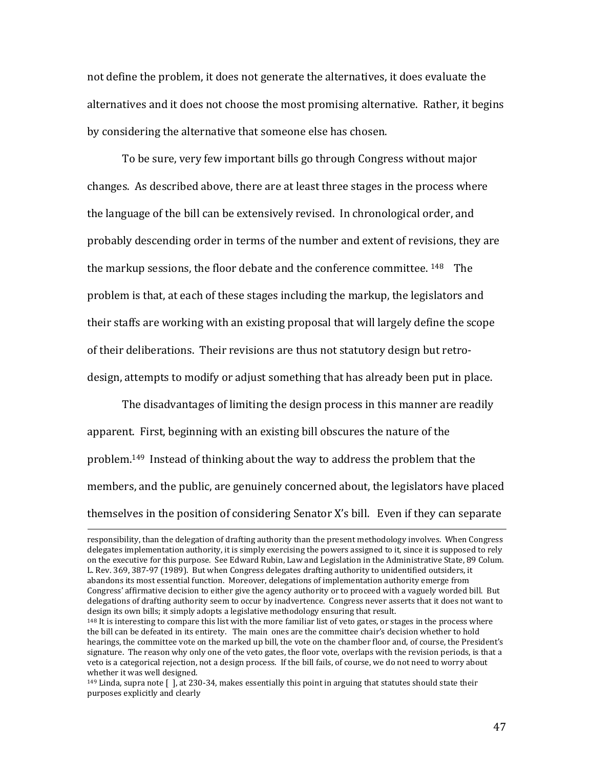not define the problem, it does not generate the alternatives, it does evaluate the alternatives and it does not choose the most promising alternative. Rather, it begins by considering the alternative that someone else has chosen.

To be sure, very few important bills go through Congress without major changes. As described above, there are at least three stages in the process where the language of the bill can be extensively revised. In chronological order, and probably descending order in terms of the number and extent of revisions, they are the markup sessions, the floor debate and the conference committee. <sup>148</sup> The problem is that, at each of these stages including the markup, the legislators and their staffs are working with an existing proposal that will largely define the scope of their deliberations. Their revisions are thus not statutory design but retrodesign, attempts to modify or adjust something that has already been put in place.

The disadvantages of limiting the design process in this manner are readily apparent. First, beginning with an existing bill obscures the nature of the problem.<sup>149</sup> Instead of thinking about the way to address the problem that the members, and the public, are genuinely concerned about, the legislators have placed themselves in the position of considering Senator X's bill. Even if they can separate

l

responsibility, than the delegation of drafting authority than the present methodology involves. When Congress delegates implementation authority, it is simply exercising the powers assigned to it, since it is supposed to rely on the executive for this purpose. See Edward Rubin, Law and Legislation in the Administrative State, 89 Colum. L. Rev. 369, 387-97 (1989). But when Congress delegates drafting authority to unidentified outsiders, it abandons its most essential function. Moreover, delegations of implementation authority emerge from Congress' affirmative decision to either give the agency authority or to proceed with a vaguely worded bill. But delegations of drafting authority seem to occur by inadvertence. Congress never asserts that it does not want to design its own bills; it simply adopts a legislative methodology ensuring that result.

<sup>&</sup>lt;sup>148</sup> It is interesting to compare this list with the more familiar list of veto gates, or stages in the process where the bill can be defeated in its entirety. The main ones are the committee chair's decision whether to hold hearings, the committee vote on the marked up bill, the vote on the chamber floor and, of course, the President's signature. The reason why only one of the veto gates, the floor vote, overlaps with the revision periods, is that a veto is a categorical rejection, not a design process. If the bill fails, of course, we do not need to worry about whether it was well designed.

<sup>149</sup> Linda, supra note [ ], at 230-34, makes essentially this point in arguing that statutes should state their purposes explicitly and clearly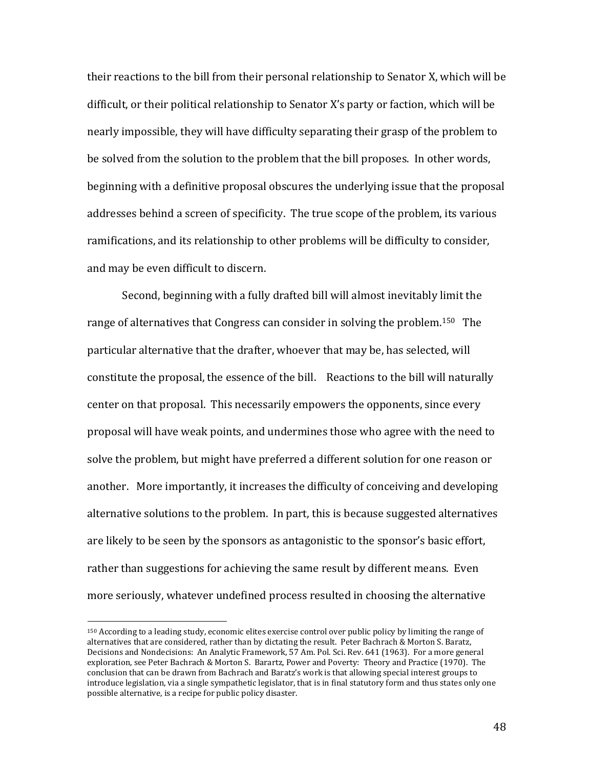their reactions to the bill from their personal relationship to Senator X, which will be difficult, or their political relationship to Senator X's party or faction, which will be nearly impossible, they will have difficulty separating their grasp of the problem to be solved from the solution to the problem that the bill proposes. In other words, beginning with a definitive proposal obscures the underlying issue that the proposal addresses behind a screen of specificity. The true scope of the problem, its various ramifications, and its relationship to other problems will be difficulty to consider, and may be even difficult to discern.

Second, beginning with a fully drafted bill will almost inevitably limit the range of alternatives that Congress can consider in solving the problem.150 The particular alternative that the drafter, whoever that may be, has selected, will constitute the proposal, the essence of the bill. Reactions to the bill will naturally center on that proposal. This necessarily empowers the opponents, since every proposal will have weak points, and undermines those who agree with the need to solve the problem, but might have preferred a different solution for one reason or another. More importantly, it increases the difficulty of conceiving and developing alternative solutions to the problem. In part, this is because suggested alternatives are likely to be seen by the sponsors as antagonistic to the sponsor's basic effort, rather than suggestions for achieving the same result by different means. Even more seriously, whatever undefined process resulted in choosing the alternative

<sup>150</sup> According to a leading study, economic elites exercise control over public policy by limiting the range of alternatives that are considered, rather than by dictating the result. Peter Bachrach & Morton S. Baratz, Decisions and Nondecisions: An Analytic Framework, 57 Am. Pol. Sci. Rev. 641 (1963). For a more general exploration, see Peter Bachrach & Morton S. Barartz, Power and Poverty: Theory and Practice (1970). The conclusion that can be drawn from Bachrach and Baratz's work is that allowing special interest groups to introduce legislation, via a single sympathetic legislator, that is in final statutory form and thus states only one possible alternative, is a recipe for public policy disaster.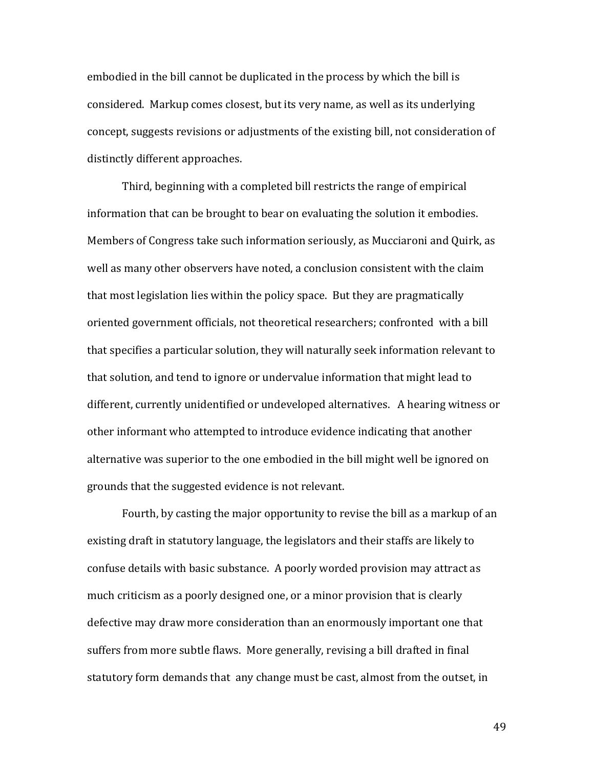embodied in the bill cannot be duplicated in the process by which the bill is considered. Markup comes closest, but its very name, as well as its underlying concept, suggests revisions or adjustments of the existing bill, not consideration of distinctly different approaches.

Third, beginning with a completed bill restricts the range of empirical information that can be brought to bear on evaluating the solution it embodies. Members of Congress take such information seriously, as Mucciaroni and Quirk, as well as many other observers have noted, a conclusion consistent with the claim that most legislation lies within the policy space. But they are pragmatically oriented government officials, not theoretical researchers; confronted with a bill that specifies a particular solution, they will naturally seek information relevant to that solution, and tend to ignore or undervalue information that might lead to different, currently unidentified or undeveloped alternatives. A hearing witness or other informant who attempted to introduce evidence indicating that another alternative was superior to the one embodied in the bill might well be ignored on grounds that the suggested evidence is not relevant.

Fourth, by casting the major opportunity to revise the bill as a markup of an existing draft in statutory language, the legislators and their staffs are likely to confuse details with basic substance. A poorly worded provision may attract as much criticism as a poorly designed one, or a minor provision that is clearly defective may draw more consideration than an enormously important one that suffers from more subtle flaws. More generally, revising a bill drafted in final statutory form demands that any change must be cast, almost from the outset, in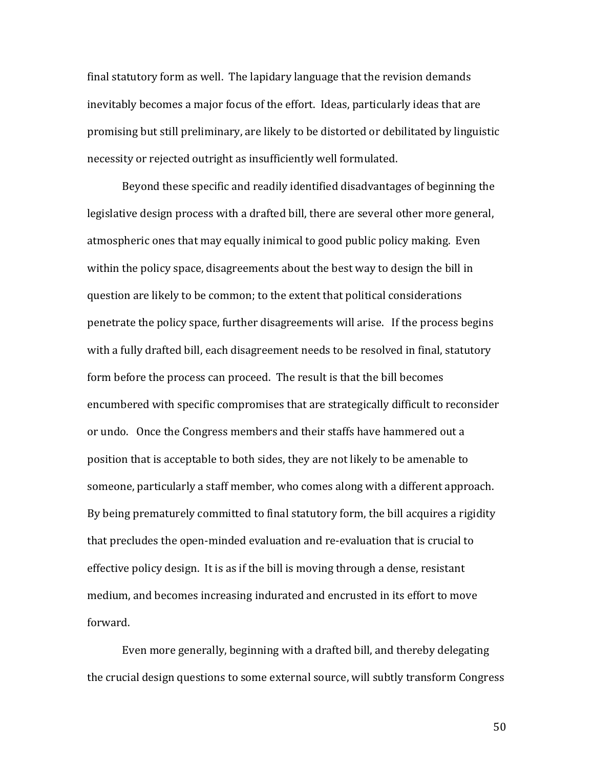final statutory form as well. The lapidary language that the revision demands inevitably becomes a major focus of the effort. Ideas, particularly ideas that are promising but still preliminary, are likely to be distorted or debilitated by linguistic necessity or rejected outright as insufficiently well formulated.

Beyond these specific and readily identified disadvantages of beginning the legislative design process with a drafted bill, there are several other more general, atmospheric ones that may equally inimical to good public policy making. Even within the policy space, disagreements about the best way to design the bill in question are likely to be common; to the extent that political considerations penetrate the policy space, further disagreements will arise. If the process begins with a fully drafted bill, each disagreement needs to be resolved in final, statutory form before the process can proceed. The result is that the bill becomes encumbered with specific compromises that are strategically difficult to reconsider or undo. Once the Congress members and their staffs have hammered out a position that is acceptable to both sides, they are not likely to be amenable to someone, particularly a staff member, who comes along with a different approach. By being prematurely committed to final statutory form, the bill acquires a rigidity that precludes the open-minded evaluation and re-evaluation that is crucial to effective policy design. It is as if the bill is moving through a dense, resistant medium, and becomes increasing indurated and encrusted in its effort to move forward.

Even more generally, beginning with a drafted bill, and thereby delegating the crucial design questions to some external source, will subtly transform Congress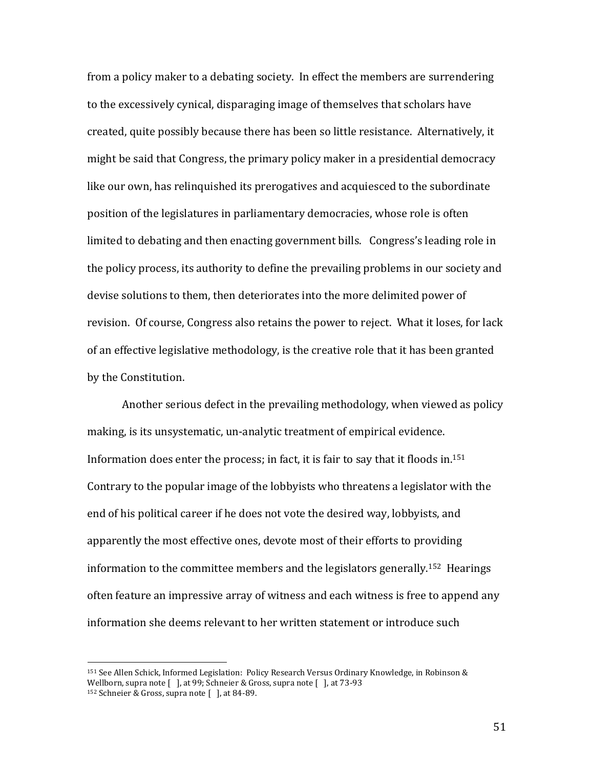from a policy maker to a debating society. In effect the members are surrendering to the excessively cynical, disparaging image of themselves that scholars have created, quite possibly because there has been so little resistance. Alternatively, it might be said that Congress, the primary policy maker in a presidential democracy like our own, has relinquished its prerogatives and acquiesced to the subordinate position of the legislatures in parliamentary democracies, whose role is often limited to debating and then enacting government bills. Congress's leading role in the policy process, its authority to define the prevailing problems in our society and devise solutions to them, then deteriorates into the more delimited power of revision. Of course, Congress also retains the power to reject. What it loses, for lack of an effective legislative methodology, is the creative role that it has been granted by the Constitution.

Another serious defect in the prevailing methodology, when viewed as policy making, is its unsystematic, un-analytic treatment of empirical evidence. Information does enter the process; in fact, it is fair to say that it floods in.<sup>151</sup> Contrary to the popular image of the lobbyists who threatens a legislator with the end of his political career if he does not vote the desired way, lobbyists, and apparently the most effective ones, devote most of their efforts to providing information to the committee members and the legislators generally.152 Hearings often feature an impressive array of witness and each witness is free to append any information she deems relevant to her written statement or introduce such

l

<sup>151</sup> See Allen Schick, Informed Legislation: Policy Research Versus Ordinary Knowledge, in Robinson & Wellborn, supra note  $[ ]$ , at 99; Schneier & Gross, supra note  $[ ]$ , at 73-93 <sup>152</sup> Schneier & Gross, supra note [ ], at 84-89.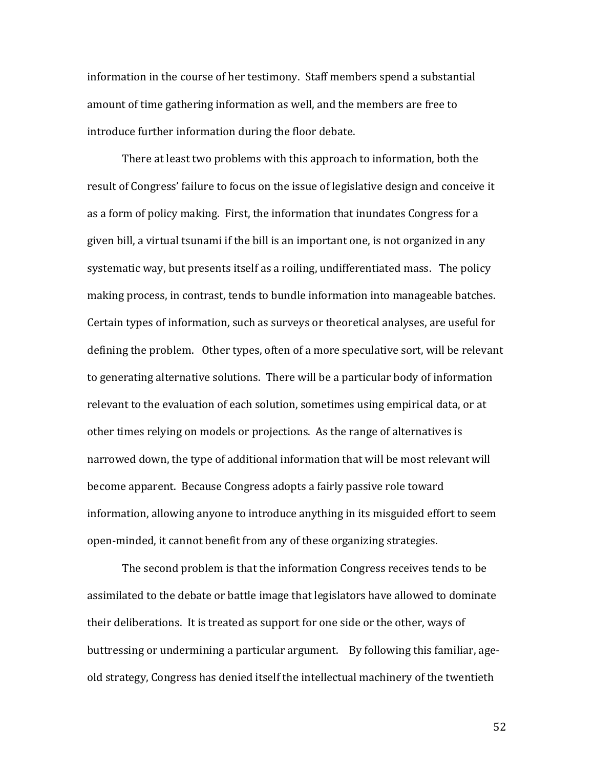information in the course of her testimony. Staff members spend a substantial amount of time gathering information as well, and the members are free to introduce further information during the floor debate.

There at least two problems with this approach to information, both the result of Congress' failure to focus on the issue of legislative design and conceive it as a form of policy making. First, the information that inundates Congress for a given bill, a virtual tsunami if the bill is an important one, is not organized in any systematic way, but presents itself as a roiling, undifferentiated mass. The policy making process, in contrast, tends to bundle information into manageable batches. Certain types of information, such as surveys or theoretical analyses, are useful for defining the problem. Other types, often of a more speculative sort, will be relevant to generating alternative solutions. There will be a particular body of information relevant to the evaluation of each solution, sometimes using empirical data, or at other times relying on models or projections. As the range of alternatives is narrowed down, the type of additional information that will be most relevant will become apparent. Because Congress adopts a fairly passive role toward information, allowing anyone to introduce anything in its misguided effort to seem open-minded, it cannot benefit from any of these organizing strategies.

The second problem is that the information Congress receives tends to be assimilated to the debate or battle image that legislators have allowed to dominate their deliberations. It is treated as support for one side or the other, ways of buttressing or undermining a particular argument. By following this familiar, ageold strategy, Congress has denied itself the intellectual machinery of the twentieth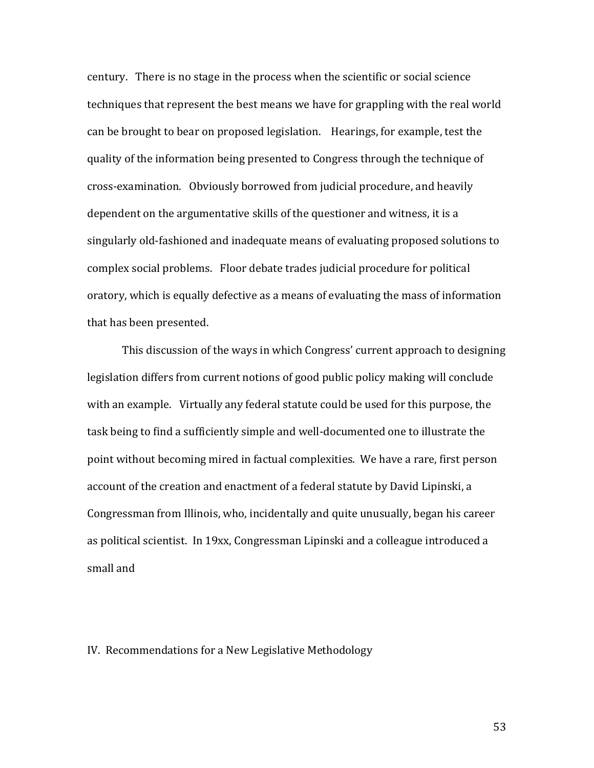century. There is no stage in the process when the scientific or social science techniques that represent the best means we have for grappling with the real world can be brought to bear on proposed legislation. Hearings, for example, test the quality of the information being presented to Congress through the technique of cross-examination. Obviously borrowed from judicial procedure, and heavily dependent on the argumentative skills of the questioner and witness, it is a singularly old-fashioned and inadequate means of evaluating proposed solutions to complex social problems. Floor debate trades judicial procedure for political oratory, which is equally defective as a means of evaluating the mass of information that has been presented.

This discussion of the ways in which Congress' current approach to designing legislation differs from current notions of good public policy making will conclude with an example. Virtually any federal statute could be used for this purpose, the task being to find a sufficiently simple and well-documented one to illustrate the point without becoming mired in factual complexities. We have a rare, first person account of the creation and enactment of a federal statute by David Lipinski, a Congressman from Illinois, who, incidentally and quite unusually, began his career as political scientist. In 19xx, Congressman Lipinski and a colleague introduced a small and

### IV. Recommendations for a New Legislative Methodology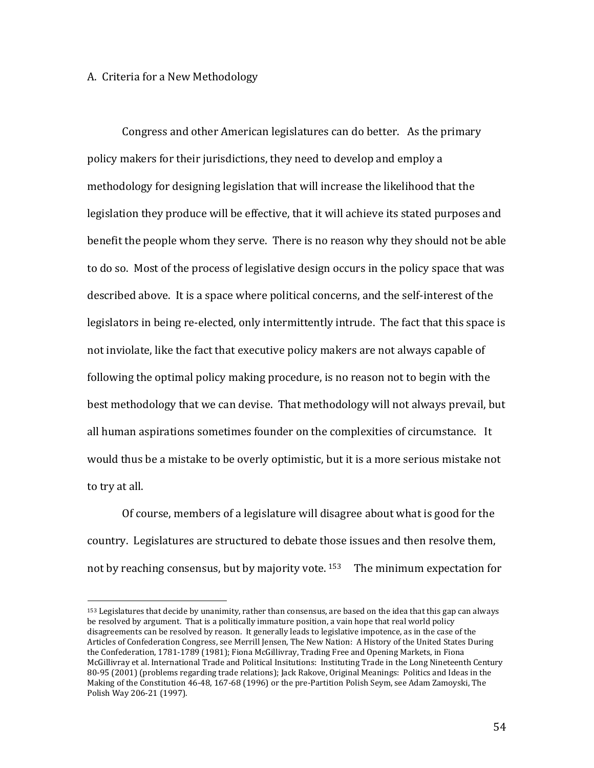#### A. Criteria for a New Methodology

l

Congress and other American legislatures can do better. As the primary policy makers for their jurisdictions, they need to develop and employ a methodology for designing legislation that will increase the likelihood that the legislation they produce will be effective, that it will achieve its stated purposes and benefit the people whom they serve. There is no reason why they should not be able to do so. Most of the process of legislative design occurs in the policy space that was described above. It is a space where political concerns, and the self-interest of the legislators in being re-elected, only intermittently intrude. The fact that this space is not inviolate, like the fact that executive policy makers are not always capable of following the optimal policy making procedure, is no reason not to begin with the best methodology that we can devise. That methodology will not always prevail, but all human aspirations sometimes founder on the complexities of circumstance. It would thus be a mistake to be overly optimistic, but it is a more serious mistake not to try at all.

Of course, members of a legislature will disagree about what is good for the country. Legislatures are structured to debate those issues and then resolve them, not by reaching consensus, but by majority vote.<sup>153</sup> The minimum expectation for

<sup>153</sup> Legislatures that decide by unanimity, rather than consensus, are based on the idea that this gap can always be resolved by argument. That is a politically immature position, a vain hope that real world policy disagreements can be resolved by reason. It generally leads to legislative impotence, as in the case of the Articles of Confederation Congress, see Merrill Jensen, The New Nation: A History of the United States During the Confederation, 1781-1789 (1981); Fiona McGillivray, Trading Free and Opening Markets, in Fiona McGillivray et al. International Trade and Political Insitutions: Instituting Trade in the Long Nineteenth Century 80-95 (2001) (problems regarding trade relations); Jack Rakove, Original Meanings: Politics and Ideas in the Making of the Constitution 46-48, 167-68 (1996) or the pre-Partition Polish Seym, see Adam Zamoyski, The Polish Way 206-21 (1997).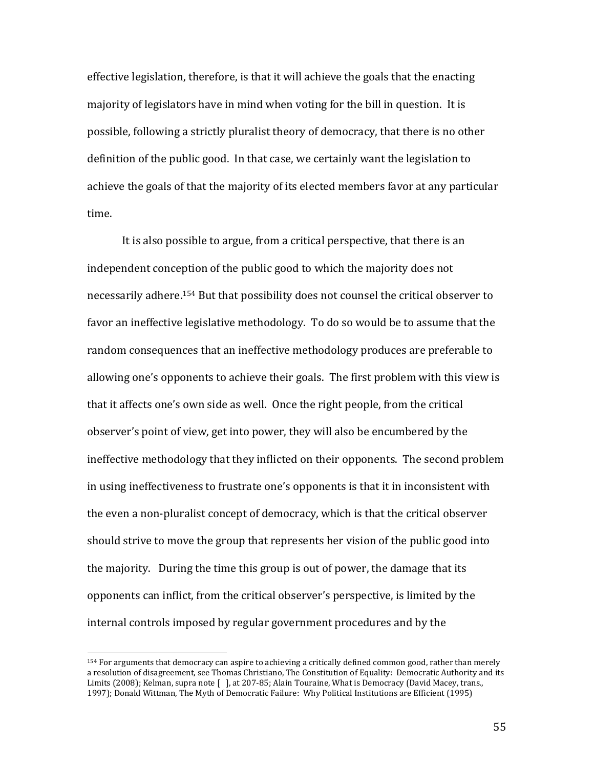effective legislation, therefore, is that it will achieve the goals that the enacting majority of legislators have in mind when voting for the bill in question. It is possible, following a strictly pluralist theory of democracy, that there is no other definition of the public good. In that case, we certainly want the legislation to achieve the goals of that the majority of its elected members favor at any particular time.

It is also possible to argue, from a critical perspective, that there is an independent conception of the public good to which the majority does not necessarily adhere.<sup>154</sup> But that possibility does not counsel the critical observer to favor an ineffective legislative methodology. To do so would be to assume that the random consequences that an ineffective methodology produces are preferable to allowing one's opponents to achieve their goals. The first problem with this view is that it affects one's own side as well. Once the right people, from the critical observer's point of view, get into power, they will also be encumbered by the ineffective methodology that they inflicted on their opponents. The second problem in using ineffectiveness to frustrate one's opponents is that it in inconsistent with the even a non-pluralist concept of democracy, which is that the critical observer should strive to move the group that represents her vision of the public good into the majority. During the time this group is out of power, the damage that its opponents can inflict, from the critical observer's perspective, is limited by the internal controls imposed by regular government procedures and by the

<sup>154</sup> For arguments that democracy can aspire to achieving a critically defined common good, rather than merely a resolution of disagreement, see Thomas Christiano, The Constitution of Equality: Democratic Authority and its Limits (2008); Kelman, supra note [ ], at 207-85; Alain Touraine, What is Democracy (David Macey, trans., 1997); Donald Wittman, The Myth of Democratic Failure: Why Political Institutions are Efficient (1995)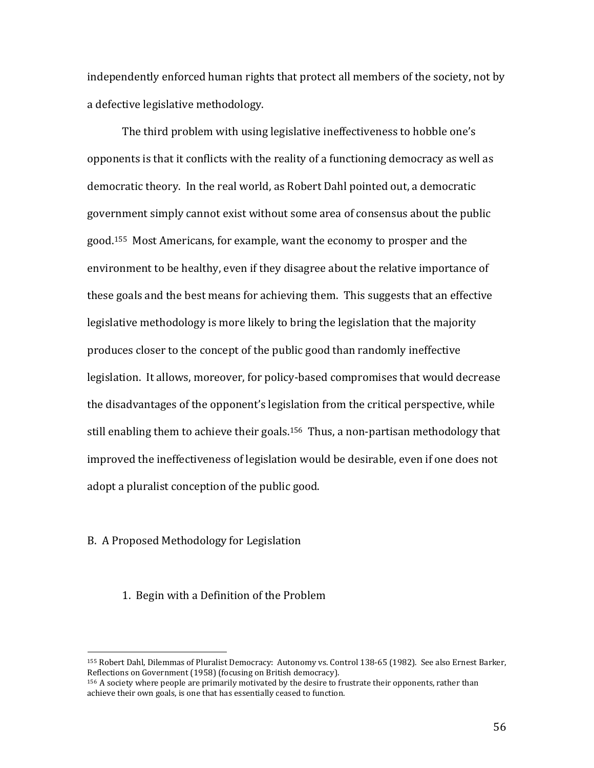independently enforced human rights that protect all members of the society, not by a defective legislative methodology.

The third problem with using legislative ineffectiveness to hobble one's opponents is that it conflicts with the reality of a functioning democracy as well as democratic theory. In the real world, as Robert Dahl pointed out, a democratic government simply cannot exist without some area of consensus about the public good.155 Most Americans, for example, want the economy to prosper and the environment to be healthy, even if they disagree about the relative importance of these goals and the best means for achieving them. This suggests that an effective legislative methodology is more likely to bring the legislation that the majority produces closer to the concept of the public good than randomly ineffective legislation. It allows, moreover, for policy-based compromises that would decrease the disadvantages of the opponent's legislation from the critical perspective, while still enabling them to achieve their goals.<sup>156</sup> Thus, a non-partisan methodology that improved the ineffectiveness of legislation would be desirable, even if one does not adopt a pluralist conception of the public good.

### B. A Proposed Methodology for Legislation

 $\overline{a}$ 

#### 1. Begin with a Definition of the Problem

<sup>155</sup> Robert Dahl, Dilemmas of Pluralist Democracy: Autonomy vs. Control 138-65 (1982). See also Ernest Barker, Reflections on Government (1958) (focusing on British democracy).

<sup>156</sup> A society where people are primarily motivated by the desire to frustrate their opponents, rather than achieve their own goals, is one that has essentially ceased to function.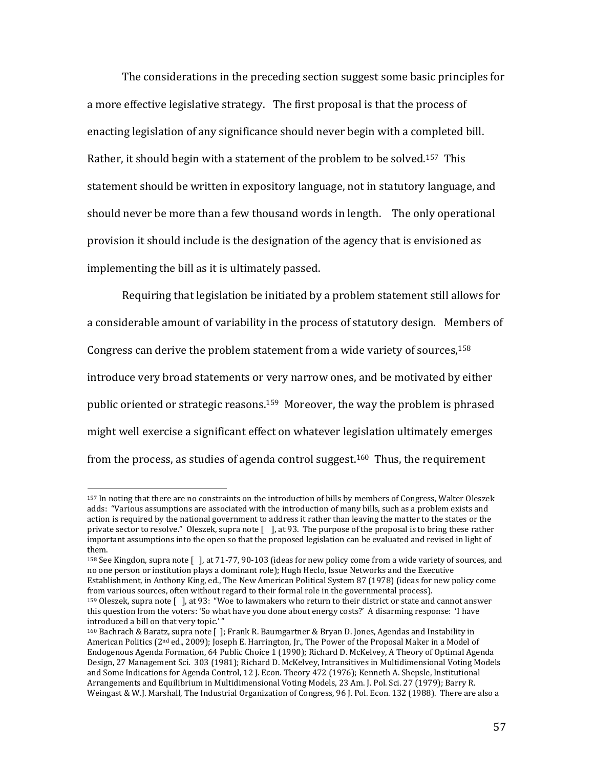The considerations in the preceding section suggest some basic principles for a more effective legislative strategy. The first proposal is that the process of enacting legislation of any significance should never begin with a completed bill. Rather, it should begin with a statement of the problem to be solved.157 This statement should be written in expository language, not in statutory language, and should never be more than a few thousand words in length. The only operational provision it should include is the designation of the agency that is envisioned as implementing the bill as it is ultimately passed.

Requiring that legislation be initiated by a problem statement still allows for a considerable amount of variability in the process of statutory design. Members of Congress can derive the problem statement from a wide variety of sources,<sup>158</sup> introduce very broad statements or very narrow ones, and be motivated by either public oriented or strategic reasons.159 Moreover, the way the problem is phrased might well exercise a significant effect on whatever legislation ultimately emerges from the process, as studies of agenda control suggest.<sup>160</sup> Thus, the requirement

 $\overline{a}$ 

<sup>158</sup> See Kingdon, supra note [ ], at 71-77, 90-103 (ideas for new policy come from a wide variety of sources, and no one person or institution plays a dominant role); Hugh Heclo, Issue Networks and the Executive Establishment, in Anthony King, ed., The New American Political System 87 (1978) (ideas for new policy come from various sources, often without regard to their formal role in the governmental process).

<sup>157</sup> In noting that there are no constraints on the introduction of bills by members of Congress, Walter Oleszek adds: "Various assumptions are associated with the introduction of many bills, such as a problem exists and action is required by the national government to address it rather than leaving the matter to the states or the private sector to resolve." Oleszek, supra note [ ], at 93. The purpose of the proposal is to bring these rather important assumptions into the open so that the proposed legislation can be evaluated and revised in light of them.

<sup>159</sup> Oleszek, supra note [ ], at 93: "Woe to lawmakers who return to their district or state and cannot answer this question from the voters: 'So what have you done about energy costs?' A disarming response: 'I have introduced a bill on that very topic.' "

<sup>160</sup> Bachrach & Baratz, supra note [ ]; Frank R. Baumgartner & Bryan D. Jones, Agendas and Instability in American Politics (2<sup>nd</sup> ed., 2009); Joseph E. Harrington, Jr., The Power of the Proposal Maker in a Model of Endogenous Agenda Formation, 64 Public Choice 1 (1990); Richard D. McKelvey, A Theory of Optimal Agenda Design, 27 Management Sci. 303 (1981); Richard D. McKelvey, Intransitives in Multidimensional Voting Models and Some Indications for Agenda Control, 12 J. Econ. Theory 472 (1976); Kenneth A. Shepsle, Institutional Arrangements and Equilibrium in Multidimensional Voting Models, 23 Am. J. Pol. Sci. 27 (1979); Barry R. Weingast & W.J. Marshall, The Industrial Organization of Congress, 96 J. Pol. Econ. 132 (1988). There are also a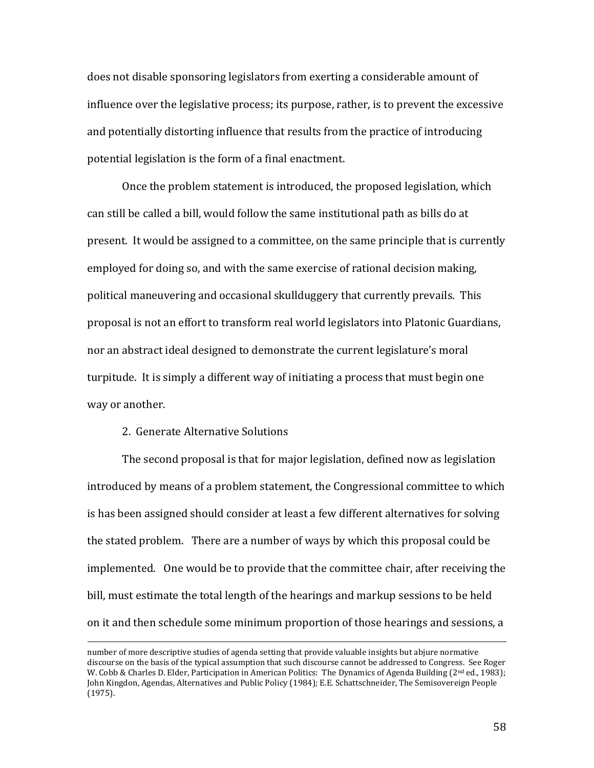does not disable sponsoring legislators from exerting a considerable amount of influence over the legislative process; its purpose, rather, is to prevent the excessive and potentially distorting influence that results from the practice of introducing potential legislation is the form of a final enactment.

Once the problem statement is introduced, the proposed legislation, which can still be called a bill, would follow the same institutional path as bills do at present. It would be assigned to a committee, on the same principle that is currently employed for doing so, and with the same exercise of rational decision making, political maneuvering and occasional skullduggery that currently prevails. This proposal is not an effort to transform real world legislators into Platonic Guardians, nor an abstract ideal designed to demonstrate the current legislature's moral turpitude. It is simply a different way of initiating a process that must begin one way or another.

# 2. Generate Alternative Solutions

 $\overline{a}$ 

The second proposal is that for major legislation, defined now as legislation introduced by means of a problem statement, the Congressional committee to which is has been assigned should consider at least a few different alternatives for solving the stated problem. There are a number of ways by which this proposal could be implemented. One would be to provide that the committee chair, after receiving the bill, must estimate the total length of the hearings and markup sessions to be held on it and then schedule some minimum proportion of those hearings and sessions, a

number of more descriptive studies of agenda setting that provide valuable insights but abjure normative discourse on the basis of the typical assumption that such discourse cannot be addressed to Congress. See Roger W. Cobb & Charles D. Elder, Participation in American Politics: The Dynamics of Agenda Building (2<sup>nd</sup> ed., 1983); John Kingdon, Agendas, Alternatives and Public Policy (1984); E.E. Schattschneider, The Semisovereign People (1975).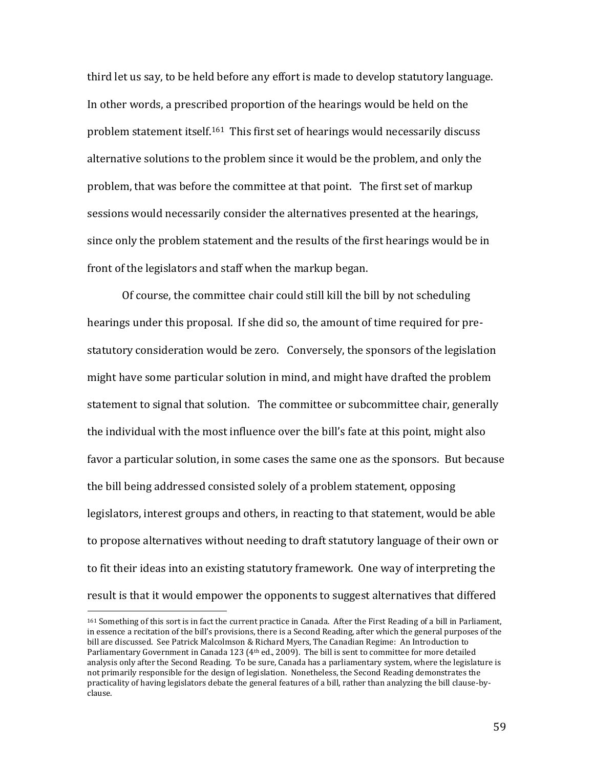third let us say, to be held before any effort is made to develop statutory language. In other words, a prescribed proportion of the hearings would be held on the problem statement itself.161 This first set of hearings would necessarily discuss alternative solutions to the problem since it would be the problem, and only the problem, that was before the committee at that point. The first set of markup sessions would necessarily consider the alternatives presented at the hearings, since only the problem statement and the results of the first hearings would be in front of the legislators and staff when the markup began.

Of course, the committee chair could still kill the bill by not scheduling hearings under this proposal. If she did so, the amount of time required for prestatutory consideration would be zero. Conversely, the sponsors of the legislation might have some particular solution in mind, and might have drafted the problem statement to signal that solution. The committee or subcommittee chair, generally the individual with the most influence over the bill's fate at this point, might also favor a particular solution, in some cases the same one as the sponsors. But because the bill being addressed consisted solely of a problem statement, opposing legislators, interest groups and others, in reacting to that statement, would be able to propose alternatives without needing to draft statutory language of their own or to fit their ideas into an existing statutory framework. One way of interpreting the result is that it would empower the opponents to suggest alternatives that differed

<sup>161</sup> Something of this sort is in fact the current practice in Canada. After the First Reading of a bill in Parliament, in essence a recitation of the bill's provisions, there is a Second Reading, after which the general purposes of the bill are discussed. See Patrick Malcolmson & Richard Myers, The Canadian Regime: An Introduction to Parliamentary Government in Canada 123 (4<sup>th</sup> ed., 2009). The bill is sent to committee for more detailed analysis only after the Second Reading. To be sure, Canada has a parliamentary system, where the legislature is not primarily responsible for the design of legislation. Nonetheless, the Second Reading demonstrates the practicality of having legislators debate the general features of a bill, rather than analyzing the bill clause-byclause.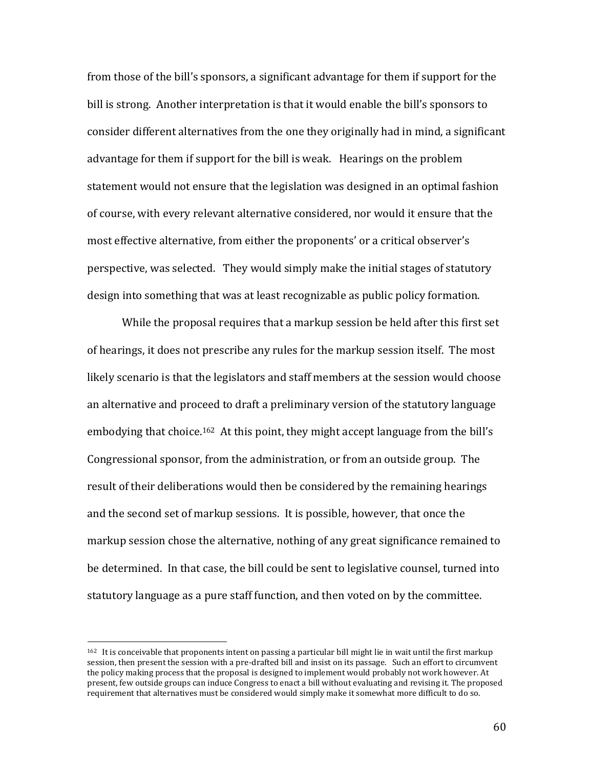from those of the bill's sponsors, a significant advantage for them if support for the bill is strong. Another interpretation is that it would enable the bill's sponsors to consider different alternatives from the one they originally had in mind, a significant advantage for them if support for the bill is weak. Hearings on the problem statement would not ensure that the legislation was designed in an optimal fashion of course, with every relevant alternative considered, nor would it ensure that the most effective alternative, from either the proponents' or a critical observer's perspective, was selected. They would simply make the initial stages of statutory design into something that was at least recognizable as public policy formation.

While the proposal requires that a markup session be held after this first set of hearings, it does not prescribe any rules for the markup session itself. The most likely scenario is that the legislators and staff members at the session would choose an alternative and proceed to draft a preliminary version of the statutory language embodying that choice.<sup>162</sup> At this point, they might accept language from the bill's Congressional sponsor, from the administration, or from an outside group. The result of their deliberations would then be considered by the remaining hearings and the second set of markup sessions. It is possible, however, that once the markup session chose the alternative, nothing of any great significance remained to be determined. In that case, the bill could be sent to legislative counsel, turned into statutory language as a pure staff function, and then voted on by the committee.

 $\overline{a}$ 

<sup>162</sup> It is conceivable that proponents intent on passing a particular bill might lie in wait until the first markup session, then present the session with a pre-drafted bill and insist on its passage. Such an effort to circumvent the policy making process that the proposal is designed to implement would probably not work however. At present, few outside groups can induce Congress to enact a bill without evaluating and revising it. The proposed requirement that alternatives must be considered would simply make it somewhat more difficult to do so.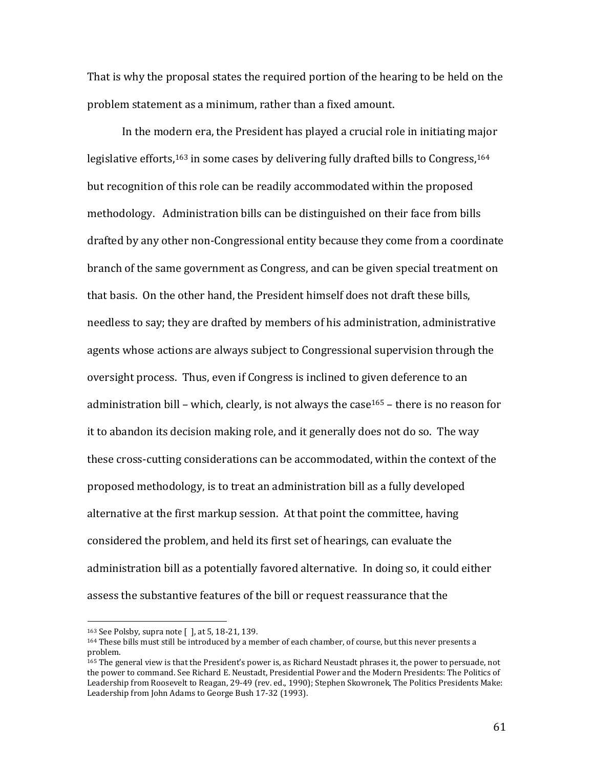That is why the proposal states the required portion of the hearing to be held on the problem statement as a minimum, rather than a fixed amount.

In the modern era, the President has played a crucial role in initiating major legislative efforts,<sup>163</sup> in some cases by delivering fully drafted bills to Congress,<sup>164</sup> but recognition of this role can be readily accommodated within the proposed methodology. Administration bills can be distinguished on their face from bills drafted by any other non-Congressional entity because they come from a coordinate branch of the same government as Congress, and can be given special treatment on that basis. On the other hand, the President himself does not draft these bills, needless to say; they are drafted by members of his administration, administrative agents whose actions are always subject to Congressional supervision through the oversight process. Thus, even if Congress is inclined to given deference to an administration bill – which, clearly, is not always the case<sup>165</sup> – there is no reason for it to abandon its decision making role, and it generally does not do so. The way these cross-cutting considerations can be accommodated, within the context of the proposed methodology, is to treat an administration bill as a fully developed alternative at the first markup session. At that point the committee, having considered the problem, and held its first set of hearings, can evaluate the administration bill as a potentially favored alternative. In doing so, it could either assess the substantive features of the bill or request reassurance that the

<sup>163</sup> See Polsby, supra note [ ], at 5, 18-21, 139.

<sup>164</sup> These bills must still be introduced by a member of each chamber, of course, but this never presents a problem.

<sup>165</sup> The general view is that the President's power is, as Richard Neustadt phrases it, the power to persuade, not the power to command. See Richard E. Neustadt, Presidential Power and the Modern Presidents: The Politics of Leadership from Roosevelt to Reagan, 29-49 (rev. ed., 1990); Stephen Skowronek, The Politics Presidents Make: Leadership from John Adams to George Bush 17-32 (1993).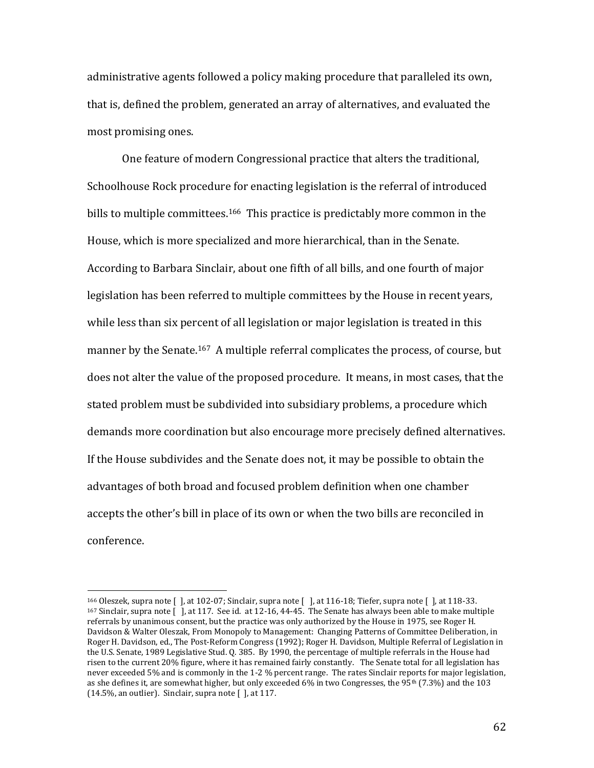administrative agents followed a policy making procedure that paralleled its own, that is, defined the problem, generated an array of alternatives, and evaluated the most promising ones.

One feature of modern Congressional practice that alters the traditional, Schoolhouse Rock procedure for enacting legislation is the referral of introduced bills to multiple committees.<sup>166</sup> This practice is predictably more common in the House, which is more specialized and more hierarchical, than in the Senate. According to Barbara Sinclair, about one fifth of all bills, and one fourth of major legislation has been referred to multiple committees by the House in recent years, while less than six percent of all legislation or major legislation is treated in this manner by the Senate.<sup>167</sup> A multiple referral complicates the process, of course, but does not alter the value of the proposed procedure. It means, in most cases, that the stated problem must be subdivided into subsidiary problems, a procedure which demands more coordination but also encourage more precisely defined alternatives. If the House subdivides and the Senate does not, it may be possible to obtain the advantages of both broad and focused problem definition when one chamber accepts the other's bill in place of its own or when the two bills are reconciled in conference.

<sup>166</sup> Oleszek, supra note [ ], at 102-07; Sinclair, supra note [ ], at 116-18; Tiefer, supra note [ ], at 118-33. <sup>167</sup> Sinclair, supra note  $\lceil$ , at 117. See id. at 12-16, 44-45. The Senate has always been able to make multiple referrals by unanimous consent, but the practice was only authorized by the House in 1975, see Roger H. Davidson & Walter Oleszak, From Monopoly to Management: Changing Patterns of Committee Deliberation, in Roger H. Davidson, ed., The Post-Reform Congress (1992); Roger H. Davidson, Multiple Referral of Legislation in the U.S. Senate, 1989 Legislative Stud. Q. 385. By 1990, the percentage of multiple referrals in the House had risen to the current 20% figure, where it has remained fairly constantly. The Senate total for all legislation has never exceeded 5% and is commonly in the 1-2 % percent range. The rates Sinclair reports for major legislation, as she defines it, are somewhat higher, but only exceeded 6% in two Congresses, the 95th (7.3%) and the 103  $(14.5\%$ , an outlier). Sinclair, supra note  $\lceil$  1, at 117.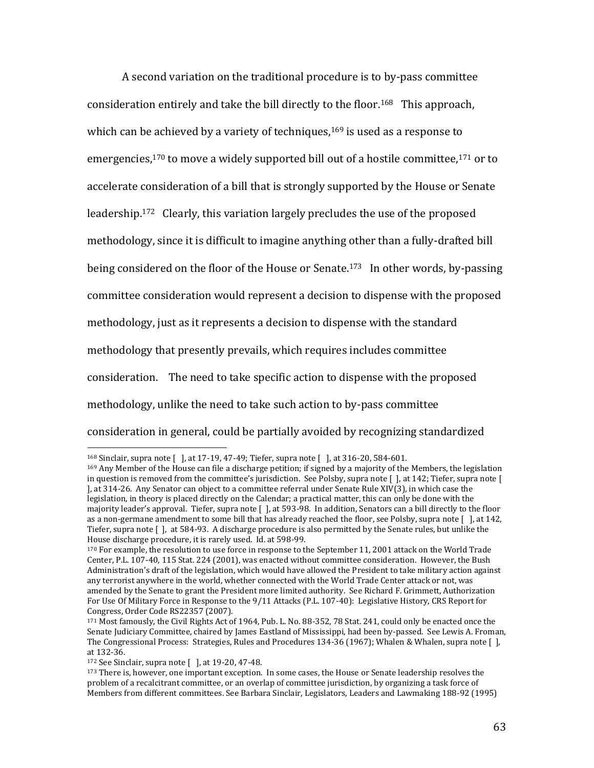A second variation on the traditional procedure is to by-pass committee consideration entirely and take the bill directly to the floor.168 This approach, which can be achieved by a variety of techniques,<sup>169</sup> is used as a response to emergencies,<sup>170</sup> to move a widely supported bill out of a hostile committee,<sup>171</sup> or to accelerate consideration of a bill that is strongly supported by the House or Senate leadership.172 Clearly, this variation largely precludes the use of the proposed methodology, since it is difficult to imagine anything other than a fully-drafted bill being considered on the floor of the House or Senate.<sup>173</sup> In other words, by-passing committee consideration would represent a decision to dispense with the proposed methodology, just as it represents a decision to dispense with the standard methodology that presently prevails, which requires includes committee consideration. The need to take specific action to dispense with the proposed methodology, unlike the need to take such action to by-pass committee consideration in general, could be partially avoided by recognizing standardized

<sup>168</sup> Sinclair, supra note [ ], at 17-19, 47-49; Tiefer, supra note [ ], at 316-20, 584-601.

<sup>169</sup> Any Member of the House can file a discharge petition; if signed by a majority of the Members, the legislation in question is removed from the committee's jurisdiction. See Polsby, supra note [ ], at 142; Tiefer, supra note [ ], at 314-26. Any Senator can object to a committee referral under Senate Rule XIV(3), in which case the legislation, in theory is placed directly on the Calendar; a practical matter, this can only be done with the majority leader's approval. Tiefer, supra note [ ], at 593-98. In addition, Senators can a bill directly to the floor as a non-germane amendment to some bill that has already reached the floor, see Polsby, supra note [ ], at 142, Tiefer, supra note [ ], at 584-93. A discharge procedure is also permitted by the Senate rules, but unlike the House discharge procedure, it is rarely used. Id. at 598-99.

<sup>170</sup> For example, the resolution to use force in response to the September 11, 2001 attack on the World Trade Center, P.L. 107-40, 115 Stat. 224 (2001), was enacted without committee consideration. However, the Bush Administration's draft of the legislation, which would have allowed the President to take military action against any terrorist anywhere in the world, whether connected with the World Trade Center attack or not, was amended by the Senate to grant the President more limited authority. See Richard F. Grimmett, Authorization For Use Of Military Force in Response to the 9/11 Attacks (P.L. 107-40): Legislative History, CRS Report for Congress, Order Code RS22357 (2007).

<sup>171</sup> Most famously, the Civil Rights Act of 1964, Pub. L. No. 88-352, 78 Stat. 241, could only be enacted once the Senate Judiciary Committee, chaired by James Eastland of Mississippi, had been by-passed. See Lewis A. Froman, The Congressional Process: Strategies, Rules and Procedures 134-36 (1967); Whalen & Whalen, supra note [ ], at 132-36.

<sup>172</sup> See Sinclair, supra note [ ], at 19-20, 47-48.

<sup>173</sup> There is, however, one important exception. In some cases, the House or Senate leadership resolves the problem of a recalcitrant committee, or an overlap of committee jurisdiction, by organizing a task force of Members from different committees. See Barbara Sinclair, Legislators, Leaders and Lawmaking 188-92 (1995)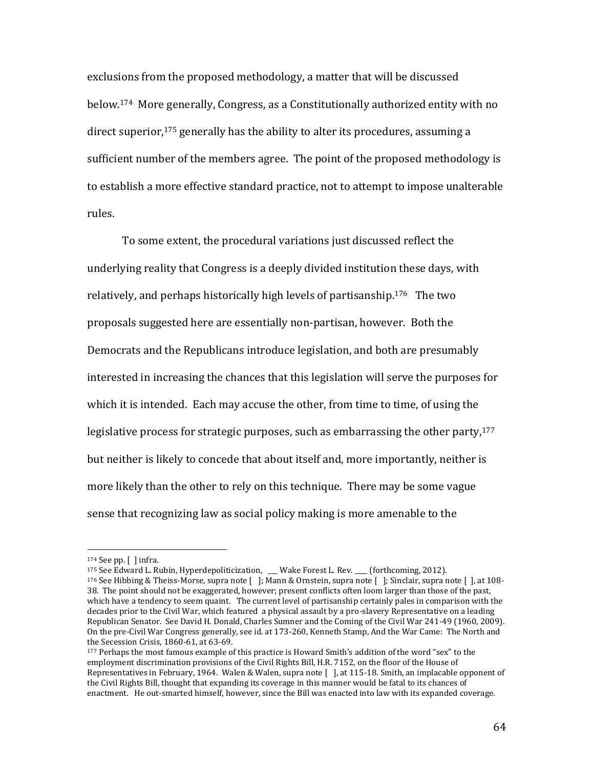exclusions from the proposed methodology, a matter that will be discussed below.174 More generally, Congress, as a Constitutionally authorized entity with no direct superior,<sup>175</sup> generally has the ability to alter its procedures, assuming a sufficient number of the members agree. The point of the proposed methodology is to establish a more effective standard practice, not to attempt to impose unalterable rules.

To some extent, the procedural variations just discussed reflect the underlying reality that Congress is a deeply divided institution these days, with relatively, and perhaps historically high levels of partisanship.176 The two proposals suggested here are essentially non-partisan, however. Both the Democrats and the Republicans introduce legislation, and both are presumably interested in increasing the chances that this legislation will serve the purposes for which it is intended. Each may accuse the other, from time to time, of using the legislative process for strategic purposes, such as embarrassing the other party,<sup>177</sup> but neither is likely to concede that about itself and, more importantly, neither is more likely than the other to rely on this technique. There may be some vague sense that recognizing law as social policy making is more amenable to the

 $174$  See pp.  $\lceil \cdot \rceil$  infra.

<sup>&</sup>lt;sup>175</sup> See Edward L. Rubin, Hyperdepoliticization, \_\_\_ Wake Forest L. Rev. \_\_\_ (forthcoming, 2012).

<sup>176</sup> See Hibbing & Theiss-Morse, supra note [ ]; Mann & Ornstein, supra note [ ]; Sinclair, supra note [ ], at 108- 38. The point should not be exaggerated, however; present conflicts often loom larger than those of the past, which have a tendency to seem quaint. The current level of partisanship certainly pales in comparison with the decades prior to the Civil War, which featured a physical assault by a pro-slavery Representative on a leading Republican Senator. See David H. Donald, Charles Sumner and the Coming of the Civil War 241-49 (1960, 2009). On the pre-Civil War Congress generally, see id. at 173-260, Kenneth Stamp, And the War Came: The North and the Secession Crisis, 1860-61, at 63-69.

<sup>177</sup> Perhaps the most famous example of this practice is Howard Smith's addition of the word "sex" to the employment discrimination provisions of the Civil Rights Bill, H.R. 7152, on the floor of the House of Representatives in February, 1964. Walen & Walen, supra note [ ], at 115-18. Smith, an implacable opponent of the Civil Rights Bill, thought that expanding its coverage in this manner would be fatal to its chances of enactment. He out-smarted himself, however, since the Bill was enacted into law with its expanded coverage.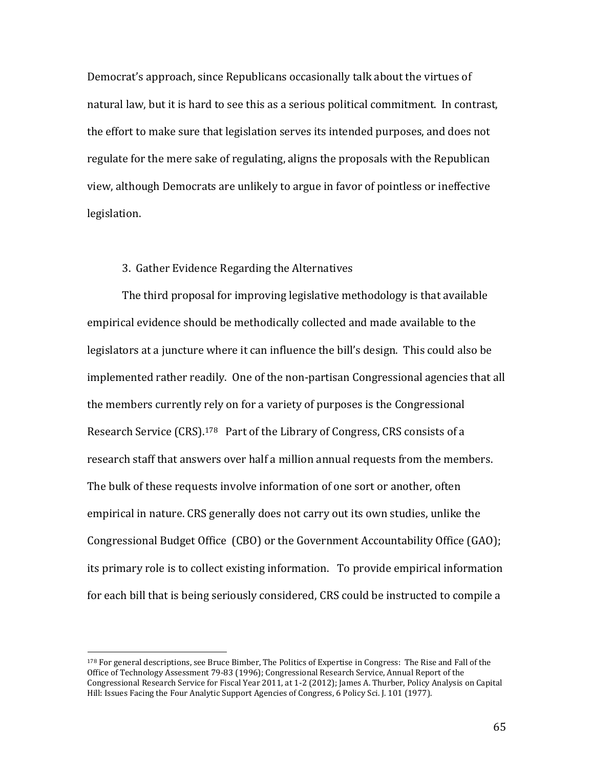Democrat's approach, since Republicans occasionally talk about the virtues of natural law, but it is hard to see this as a serious political commitment. In contrast, the effort to make sure that legislation serves its intended purposes, and does not regulate for the mere sake of regulating, aligns the proposals with the Republican view, although Democrats are unlikely to argue in favor of pointless or ineffective legislation.

# 3. Gather Evidence Regarding the Alternatives

The third proposal for improving legislative methodology is that available empirical evidence should be methodically collected and made available to the legislators at a juncture where it can influence the bill's design. This could also be implemented rather readily. One of the non-partisan Congressional agencies that all the members currently rely on for a variety of purposes is the Congressional Research Service (CRS).<sup>178</sup> Part of the Library of Congress, CRS consists of a research staff that answers over half a million annual requests from the members. The bulk of these requests involve information of one sort or another, often empirical in nature. CRS generally does not carry out its own studies, unlike the Congressional Budget Office (CBO) or the Government Accountability Office (GAO); its primary role is to collect existing information. To provide empirical information for each bill that is being seriously considered, CRS could be instructed to compile a

<sup>178</sup> For general descriptions, see Bruce Bimber, The Politics of Expertise in Congress: The Rise and Fall of the Office of Technology Assessment 79-83 (1996); Congressional Research Service, Annual Report of the Congressional Research Service for Fiscal Year 2011, at 1-2 (2012); James A. Thurber, Policy Analysis on Capital Hill: Issues Facing the Four Analytic Support Agencies of Congress, 6 Policy Sci. J. 101 (1977).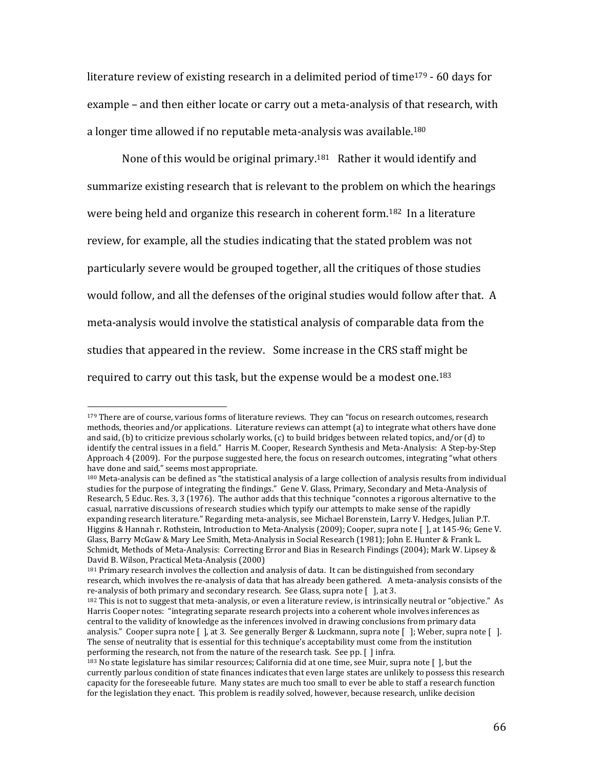literature review of existing research in a delimited period of time<sup>179</sup> - 60 days for example – and then either locate or carry out a meta-analysis of that research, with a longer time allowed if no reputable meta-analysis was available.<sup>180</sup>

None of this would be original primary.<sup>181</sup> Rather it would identify and summarize existing research that is relevant to the problem on which the hearings were being held and organize this research in coherent form.<sup>182</sup> In a literature review, for example, all the studies indicating that the stated problem was not particularly severe would be grouped together, all the critiques of those studies would follow, and all the defenses of the original studies would follow after that. A meta-analysis would involve the statistical analysis of comparable data from the studies that appeared in the review. Some increase in the CRS staff might be required to carry out this task, but the expense would be a modest one.<sup>183</sup>

<sup>&</sup>lt;sup>179</sup> There are of course, various forms of literature reviews. They can "focus on research outcomes, research methods, theories and/or applications. Literature reviews can attempt (a) to integrate what others have done and said, (b) to criticize previous scholarly works, (c) to build bridges between related topics, and/or (d) to identify the central issues in a field." Harris M. Cooper, Research Synthesis and Meta-Analysis: A Step-by-Step Approach 4 (2009). For the purpose suggested here, the focus on research outcomes, integrating "what others have done and said," seems most appropriate.

<sup>180</sup> Meta-analysis can be defined as "the statistical analysis of a large collection of analysis results from individual studies for the purpose of integrating the findings." Gene V. Glass, Primary, Secondary and Meta-Analysis of Research, 5 Educ. Res. 3, 3 (1976). The author adds that this technique "connotes a rigorous alternative to the casual, narrative discussions of research studies which typify our attempts to make sense of the rapidly expanding research literature." Regarding meta-analysis, see Michael Borenstein, Larry V. Hedges, Julian P.T. Higgins & Hannah r. Rothstein, Introduction to Meta-Analysis (2009); Cooper, supra note [ ], at 145-96; Gene V. Glass, Barry McGaw & Mary Lee Smith, Meta-Analysis in Social Research (1981); John E. Hunter & Frank L. Schmidt, Methods of Meta-Analysis: Correcting Error and Bias in Research Findings (2004); Mark W. Lipsey & David B. Wilson, Practical Meta-Analysis (2000)

<sup>&</sup>lt;sup>181</sup> Primary research involves the collection and analysis of data. It can be distinguished from secondary research, which involves the re-analysis of data that has already been gathered. A meta-analysis consists of the re-analysis of both primary and secondary research. See Glass, supra note [ ], at 3.

<sup>182</sup> This is not to suggest that meta-analysis, or even a literature review, is intrinsically neutral or "objective." As Harris Cooper notes: "integrating separate research projects into a coherent whole involves inferences as central to the validity of knowledge as the inferences involved in drawing conclusions from primary data analysis." Cooper supra note [ ], at 3. See generally Berger & Luckmann, supra note [ ]; Weber, supra note [ ]. The sense of neutrality that is essential for this technique's acceptability must come from the institution performing the research, not from the nature of the research task. See pp. [ ] infra.

<sup>183</sup> No state legislature has similar resources; California did at one time, see Muir, supra note [ ], but the currently parlous condition of state finances indicates that even large states are unlikely to possess this research capacity for the foreseeable future. Many states are much too small to ever be able to staff a research function for the legislation they enact. This problem is readily solved, however, because research, unlike decision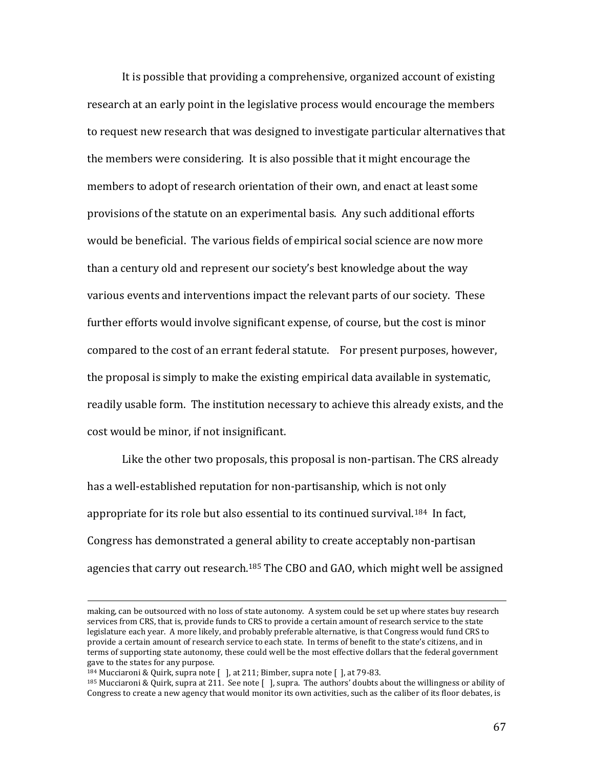It is possible that providing a comprehensive, organized account of existing research at an early point in the legislative process would encourage the members to request new research that was designed to investigate particular alternatives that the members were considering. It is also possible that it might encourage the members to adopt of research orientation of their own, and enact at least some provisions of the statute on an experimental basis. Any such additional efforts would be beneficial. The various fields of empirical social science are now more than a century old and represent our society's best knowledge about the way various events and interventions impact the relevant parts of our society. These further efforts would involve significant expense, of course, but the cost is minor compared to the cost of an errant federal statute. For present purposes, however, the proposal is simply to make the existing empirical data available in systematic, readily usable form. The institution necessary to achieve this already exists, and the cost would be minor, if not insignificant.

Like the other two proposals, this proposal is non-partisan. The CRS already has a well-established reputation for non-partisanship, which is not only appropriate for its role but also essential to its continued survival.184 In fact, Congress has demonstrated a general ability to create acceptably non-partisan agencies that carry out research.<sup>185</sup> The CBO and GAO, which might well be assigned

l

making, can be outsourced with no loss of state autonomy. A system could be set up where states buy research services from CRS, that is, provide funds to CRS to provide a certain amount of research service to the state legislature each year. A more likely, and probably preferable alternative, is that Congress would fund CRS to provide a certain amount of research service to each state. In terms of benefit to the state's citizens, and in terms of supporting state autonomy, these could well be the most effective dollars that the federal government gave to the states for any purpose.

 $184$  Mucciaroni & Quirk, supra note  $[$  ], at 211; Bimber, supra note  $[$  ], at 79-83.

<sup>185</sup> Mucciaroni & Quirk, supra at 211. See note [ ], supra. The authors' doubts about the willingness or ability of Congress to create a new agency that would monitor its own activities, such as the caliber of its floor debates, is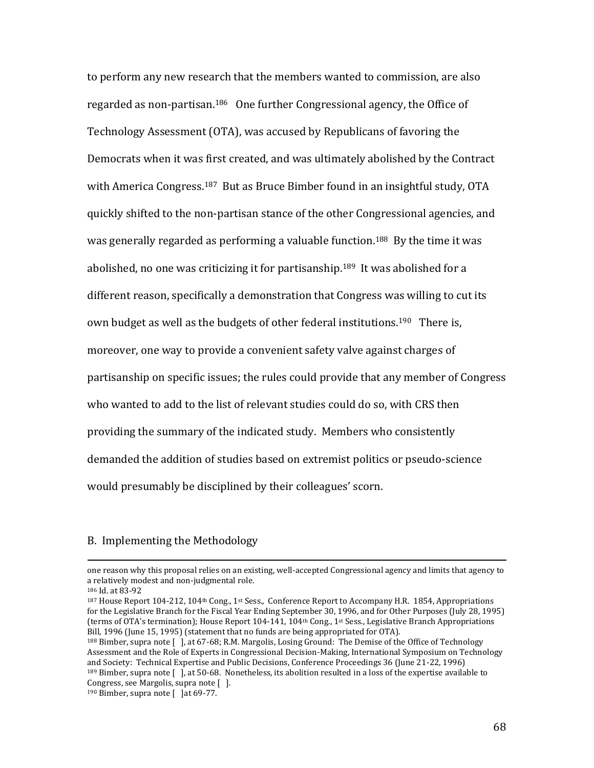to perform any new research that the members wanted to commission, are also regarded as non-partisan.186 One further Congressional agency, the Office of Technology Assessment (OTA), was accused by Republicans of favoring the Democrats when it was first created, and was ultimately abolished by the Contract with America Congress.<sup>187</sup> But as Bruce Bimber found in an insightful study, OTA quickly shifted to the non-partisan stance of the other Congressional agencies, and was generally regarded as performing a valuable function.188 By the time it was abolished, no one was criticizing it for partisanship.189 It was abolished for a different reason, specifically a demonstration that Congress was willing to cut its own budget as well as the budgets of other federal institutions.<sup>190</sup> There is, moreover, one way to provide a convenient safety valve against charges of partisanship on specific issues; the rules could provide that any member of Congress who wanted to add to the list of relevant studies could do so, with CRS then providing the summary of the indicated study. Members who consistently demanded the addition of studies based on extremist politics or pseudo-science would presumably be disciplined by their colleagues' scorn.

### B. Implementing the Methodology

 $\overline{a}$ 

<sup>188</sup> Bimber, supra note [ ], at 67-68; R.M. Margolis, Losing Ground: The Demise of the Office of Technology Assessment and the Role of Experts in Congressional Decision-Making, International Symposium on Technology and Society: Technical Expertise and Public Decisions, Conference Proceedings 36 (June 21-22, 1996)  $189$  Bimber, supra note  $\lceil$ , at 50-68. Nonetheless, its abolition resulted in a loss of the expertise available to Congress, see Margolis, supra note [ ].

one reason why this proposal relies on an existing, well-accepted Congressional agency and limits that agency to a relatively modest and non-judgmental role.

<sup>186</sup> Id. at 83-92

<sup>187</sup> House Report 104-212, 104<sup>th</sup> Cong., 1<sup>st</sup> Sess., Conference Report to Accompany H.R. 1854, Appropriations for the Legislative Branch for the Fiscal Year Ending September 30, 1996, and for Other Purposes (July 28, 1995) (terms of OTA's termination); House Report 104-141, 104th Cong., 1st Sess., Legislative Branch Appropriations Bill, 1996 (June 15, 1995) (statement that no funds are being appropriated for OTA).

<sup>190</sup> Bimber, supra note [ ]at 69-77.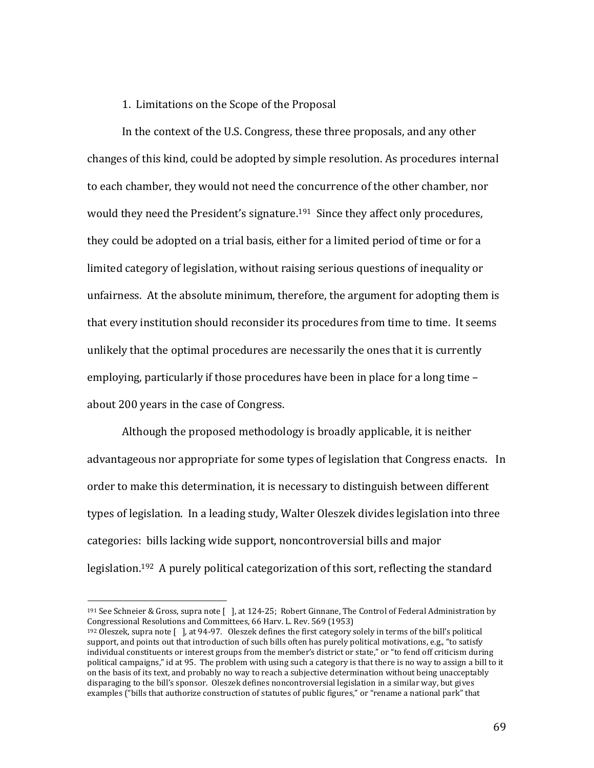#### 1. Limitations on the Scope of the Proposal

In the context of the U.S. Congress, these three proposals, and any other changes of this kind, could be adopted by simple resolution. As procedures internal to each chamber, they would not need the concurrence of the other chamber, nor would they need the President's signature.<sup>191</sup> Since they affect only procedures, they could be adopted on a trial basis, either for a limited period of time or for a limited category of legislation, without raising serious questions of inequality or unfairness. At the absolute minimum, therefore, the argument for adopting them is that every institution should reconsider its procedures from time to time. It seems unlikely that the optimal procedures are necessarily the ones that it is currently employing, particularly if those procedures have been in place for a long time – about 200 years in the case of Congress.

Although the proposed methodology is broadly applicable, it is neither advantageous nor appropriate for some types of legislation that Congress enacts. In order to make this determination, it is necessary to distinguish between different types of legislation. In a leading study, Walter Oleszek divides legislation into three categories: bills lacking wide support, noncontroversial bills and major legislation.<sup>192</sup> A purely political categorization of this sort, reflecting the standard

l

<sup>&</sup>lt;sup>191</sup> See Schneier & Gross, supra note  $\lceil \ \rceil$ , at 124-25; Robert Ginnane, The Control of Federal Administration by Congressional Resolutions and Committees, 66 Harv. L. Rev. 569 (1953)

<sup>&</sup>lt;sup>192</sup> Oleszek, supra note  $\lceil$ , at 94-97. Oleszek defines the first category solely in terms of the bill's political support, and points out that introduction of such bills often has purely political motivations, e.g., "to satisfy individual constituents or interest groups from the member's district or state," or "to fend off criticism during political campaigns," id at 95. The problem with using such a category is that there is no way to assign a bill to it on the basis of its text, and probably no way to reach a subjective determination without being unacceptably disparaging to the bill's sponsor. Oleszek defines noncontroversial legislation in a similar way, but gives examples ("bills that authorize construction of statutes of public figures," or "rename a national park" that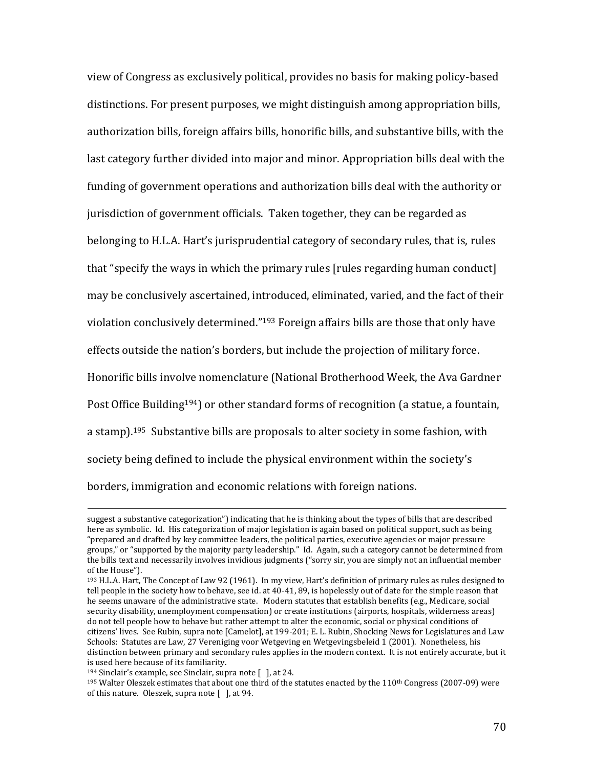view of Congress as exclusively political, provides no basis for making policy-based distinctions. For present purposes, we might distinguish among appropriation bills, authorization bills, foreign affairs bills, honorific bills, and substantive bills, with the last category further divided into major and minor. Appropriation bills deal with the funding of government operations and authorization bills deal with the authority or jurisdiction of government officials. Taken together, they can be regarded as belonging to H.L.A. Hart's jurisprudential category of secondary rules, that is, rules that "specify the ways in which the primary rules [rules regarding human conduct] may be conclusively ascertained, introduced, eliminated, varied, and the fact of their violation conclusively determined."<sup>193</sup> Foreign affairs bills are those that only have effects outside the nation's borders, but include the projection of military force. Honorific bills involve nomenclature (National Brotherhood Week, the Ava Gardner Post Office Building<sup>194</sup>) or other standard forms of recognition (a statue, a fountain, a stamp).195 Substantive bills are proposals to alter society in some fashion, with society being defined to include the physical environment within the society's borders, immigration and economic relations with foreign nations.

suggest a substantive categorization") indicating that he is thinking about the types of bills that are described here as symbolic. Id. His categorization of major legislation is again based on political support, such as being "prepared and drafted by key committee leaders, the political parties, executive agencies or major pressure groups," or "supported by the majority party leadership." Id. Again, such a category cannot be determined from the bills text and necessarily involves invidious judgments ("sorry sir, you are simply not an influential member of the House").

<sup>193</sup> H.L.A. Hart, The Concept of Law 92 (1961). In my view, Hart's definition of primary rules as rules designed to tell people in the society how to behave, see id. at 40-41, 89, is hopelessly out of date for the simple reason that he seems unaware of the administrative state. Modern statutes that establish benefits (e.g., Medicare, social security disability, unemployment compensation) or create institutions (airports, hospitals, wilderness areas) do not tell people how to behave but rather attempt to alter the economic, social or physical conditions of citizens' lives. See Rubin, supra note [Camelot], at 199-201; E. L. Rubin, Shocking News for Legislatures and Law Schools: Statutes are Law, 27 Vereniging voor Wetgeving en Wetgevingsbeleid 1 (2001). Nonetheless, his distinction between primary and secondary rules applies in the modern context. It is not entirely accurate, but it is used here because of its familiarity.

<sup>194</sup> Sinclair's example, see Sinclair, supra note [ ], at 24.

<sup>195</sup> Walter Oleszek estimates that about one third of the statutes enacted by the 110<sup>th</sup> Congress (2007-09) were of this nature. Oleszek, supra note [ ], at 94.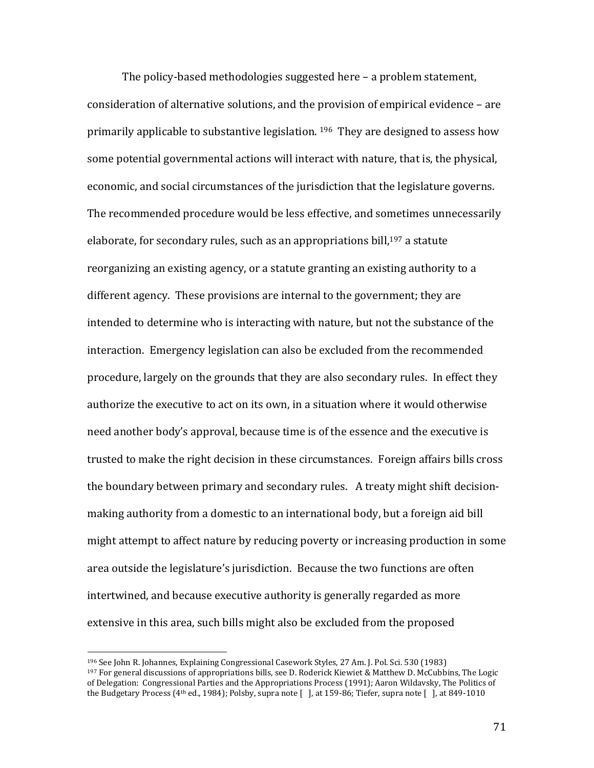The policy-based methodologies suggested here – a problem statement, consideration of alternative solutions, and the provision of empirical evidence – are primarily applicable to substantive legislation. <sup>196</sup> They are designed to assess how some potential governmental actions will interact with nature, that is, the physical, economic, and social circumstances of the jurisdiction that the legislature governs. The recommended procedure would be less effective, and sometimes unnecessarily elaborate, for secondary rules, such as an appropriations bill,<sup>197</sup> a statute reorganizing an existing agency, or a statute granting an existing authority to a different agency. These provisions are internal to the government; they are intended to determine who is interacting with nature, but not the substance of the interaction. Emergency legislation can also be excluded from the recommended procedure, largely on the grounds that they are also secondary rules. In effect they authorize the executive to act on its own, in a situation where it would otherwise need another body's approval, because time is of the essence and the executive is trusted to make the right decision in these circumstances. Foreign affairs bills cross the boundary between primary and secondary rules. A treaty might shift decisionmaking authority from a domestic to an international body, but a foreign aid bill might attempt to affect nature by reducing poverty or increasing production in some area outside the legislature's jurisdiction. Because the two functions are often intertwined, and because executive authority is generally regarded as more extensive in this area, such bills might also be excluded from the proposed

<sup>196</sup> See John R. Johannes, Explaining Congressional Casework Styles, 27 Am. J. Pol. Sci. 530 (1983) <sup>197</sup> For general discussions of appropriations bills, see D. Roderick Kiewiet & Matthew D. McCubbins, The Logic of Delegation: Congressional Parties and the Appropriations Process (1991); Aaron Wildavsky, The Politics of the Budgetary Process (4<sup>th</sup> ed., 1984); Polsby, supra note [ ], at 159-86; Tiefer, supra note [ ], at 849-1010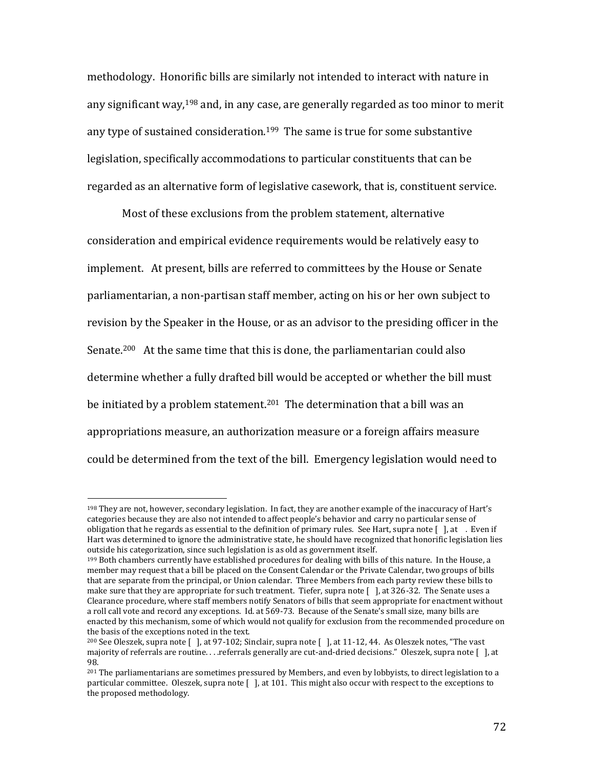methodology. Honorific bills are similarly not intended to interact with nature in any significant way,<sup>198</sup> and, in any case, are generally regarded as too minor to merit any type of sustained consideration.<sup>199</sup> The same is true for some substantive legislation, specifically accommodations to particular constituents that can be regarded as an alternative form of legislative casework, that is, constituent service.

Most of these exclusions from the problem statement, alternative consideration and empirical evidence requirements would be relatively easy to implement. At present, bills are referred to committees by the House or Senate parliamentarian, a non-partisan staff member, acting on his or her own subject to revision by the Speaker in the House, or as an advisor to the presiding officer in the Senate.<sup>200</sup> At the same time that this is done, the parliamentarian could also determine whether a fully drafted bill would be accepted or whether the bill must be initiated by a problem statement.<sup>201</sup> The determination that a bill was an appropriations measure, an authorization measure or a foreign affairs measure could be determined from the text of the bill. Emergency legislation would need to

<sup>198</sup> They are not, however, secondary legislation. In fact, they are another example of the inaccuracy of Hart's categories because they are also not intended to affect people's behavior and carry no particular sense of obligation that he regards as essential to the definition of primary rules. See Hart, supra note  $\lceil$ , at . Even if Hart was determined to ignore the administrative state, he should have recognized that honorific legislation lies outside his categorization, since such legislation is as old as government itself.

<sup>&</sup>lt;sup>199</sup> Both chambers currently have established procedures for dealing with bills of this nature. In the House, a member may request that a bill be placed on the Consent Calendar or the Private Calendar, two groups of bills that are separate from the principal, or Union calendar. Three Members from each party review these bills to make sure that they are appropriate for such treatment. Tiefer, supra note [ ], at 326-32. The Senate uses a Clearance procedure, where staff members notify Senators of bills that seem appropriate for enactment without a roll call vote and record any exceptions. Id. at 569-73. Because of the Senate's small size, many bills are enacted by this mechanism, some of which would not qualify for exclusion from the recommended procedure on the basis of the exceptions noted in the text.

<sup>&</sup>lt;sup>200</sup> See Oleszek, supra note  $\lceil$ , at 97-102; Sinclair, supra note  $\lceil$ , at 11-12, 44. As Oleszek notes, "The vast majority of referrals are routine. . . .referrals generally are cut-and-dried decisions." Oleszek, supra note [ ], at 98.

<sup>201</sup> The parliamentarians are sometimes pressured by Members, and even by lobbyists, to direct legislation to a particular committee. Oleszek, supra note [ ], at 101. This might also occur with respect to the exceptions to the proposed methodology.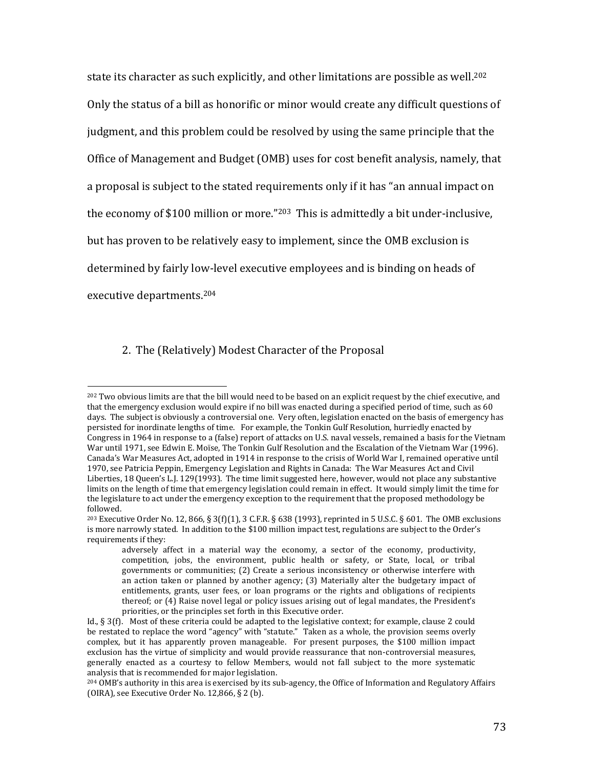state its character as such explicitly, and other limitations are possible as well. <sup>202</sup> Only the status of a bill as honorific or minor would create any difficult questions of judgment, and this problem could be resolved by using the same principle that the Office of Management and Budget (OMB) uses for cost benefit analysis, namely, that a proposal is subject to the stated requirements only if it has "an annual impact on the economy of \$100 million or more." <sup>203</sup> This is admittedly a bit under-inclusive, but has proven to be relatively easy to implement, since the OMB exclusion is determined by fairly low-level executive employees and is binding on heads of executive departments.<sup>204</sup>

## 2. The (Relatively) Modest Character of the Proposal

l

<sup>202</sup> Two obvious limits are that the bill would need to be based on an explicit request by the chief executive, and that the emergency exclusion would expire if no bill was enacted during a specified period of time, such as 60 days. The subject is obviously a controversial one. Very often, legislation enacted on the basis of emergency has persisted for inordinate lengths of time. For example, the Tonkin Gulf Resolution, hurriedly enacted by Congress in 1964 in response to a (false) report of attacks on U.S. naval vessels, remained a basis for the Vietnam War until 1971, see Edwin E. Moïse, The Tonkin Gulf Resolution and the Escalation of the Vietnam War (1996). Canada's War Measures Act, adopted in 1914 in response to the crisis of World War I, remained operative until 1970, see Patricia Peppin, Emergency Legislation and Rights in Canada: The War Measures Act and Civil Liberties, 18 Queen's L.J. 129(1993). The time limit suggested here, however, would not place any substantive limits on the length of time that emergency legislation could remain in effect. It would simply limit the time for the legislature to act under the emergency exception to the requirement that the proposed methodology be followed.

<sup>203</sup> Executive Order No. 12, 866, § 3(f)(1), 3 C.F.R. § 638 (1993), reprinted in 5 U.S.C. § 601. The OMB exclusions is more narrowly stated. In addition to the \$100 million impact test, regulations are subject to the Order's requirements if they:

adversely affect in a material way the economy, a sector of the economy, productivity, competition, jobs, the environment, public health or safety, or State, local, or tribal governments or communities; (2) Create a serious inconsistency or otherwise interfere with an action taken or planned by another agency; (3) Materially alter the budgetary impact of entitlements, grants, user fees, or loan programs or the rights and obligations of recipients thereof; or (4) Raise novel legal or policy issues arising out of legal mandates, the President's priorities, or the principles set forth in this Executive order.

Id., § 3(f). Most of these criteria could be adapted to the legislative context; for example, clause 2 could be restated to replace the word "agency" with "statute." Taken as a whole, the provision seems overly complex, but it has apparently proven manageable. For present purposes, the \$100 million impact exclusion has the virtue of simplicity and would provide reassurance that non-controversial measures, generally enacted as a courtesy to fellow Members, would not fall subject to the more systematic analysis that is recommended for major legislation.

<sup>204</sup> OMB's authority in this area is exercised by its sub-agency, the Office of Information and Regulatory Affairs (OIRA), see Executive Order No. 12,866, § 2 (b).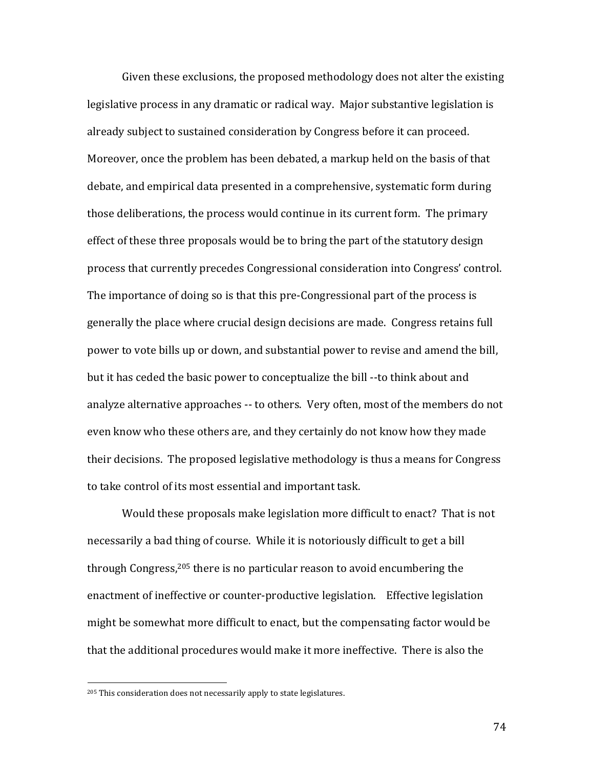Given these exclusions, the proposed methodology does not alter the existing legislative process in any dramatic or radical way. Major substantive legislation is already subject to sustained consideration by Congress before it can proceed. Moreover, once the problem has been debated, a markup held on the basis of that debate, and empirical data presented in a comprehensive, systematic form during those deliberations, the process would continue in its current form. The primary effect of these three proposals would be to bring the part of the statutory design process that currently precedes Congressional consideration into Congress' control. The importance of doing so is that this pre-Congressional part of the process is generally the place where crucial design decisions are made. Congress retains full power to vote bills up or down, and substantial power to revise and amend the bill, but it has ceded the basic power to conceptualize the bill --to think about and analyze alternative approaches -- to others. Very often, most of the members do not even know who these others are, and they certainly do not know how they made their decisions. The proposed legislative methodology is thus a means for Congress to take control of its most essential and important task.

Would these proposals make legislation more difficult to enact? That is not necessarily a bad thing of course. While it is notoriously difficult to get a bill through Congress,  $205$  there is no particular reason to avoid encumbering the enactment of ineffective or counter-productive legislation. Effective legislation might be somewhat more difficult to enact, but the compensating factor would be that the additional procedures would make it more ineffective. There is also the

 $\overline{a}$ 

74

<sup>205</sup> This consideration does not necessarily apply to state legislatures.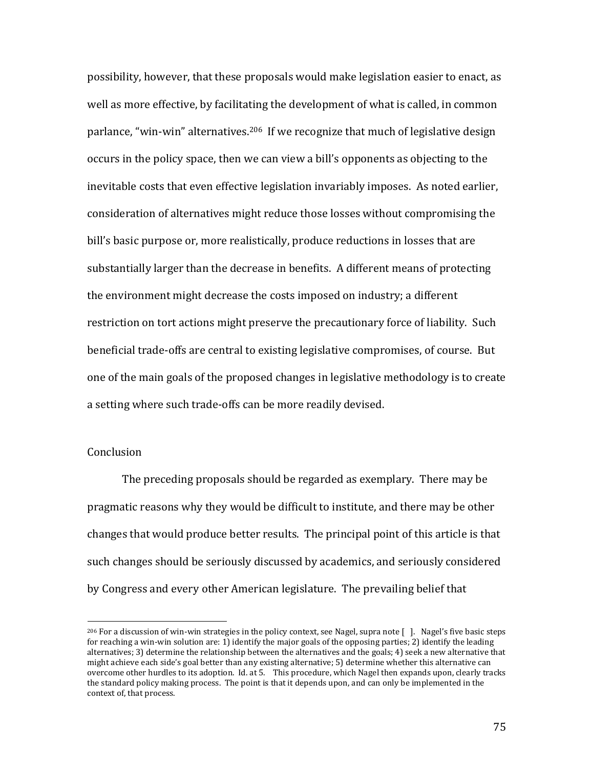possibility, however, that these proposals would make legislation easier to enact, as well as more effective, by facilitating the development of what is called, in common parlance, "win-win" alternatives.<sup>206</sup> If we recognize that much of legislative design occurs in the policy space, then we can view a bill's opponents as objecting to the inevitable costs that even effective legislation invariably imposes. As noted earlier, consideration of alternatives might reduce those losses without compromising the bill's basic purpose or, more realistically, produce reductions in losses that are substantially larger than the decrease in benefits. A different means of protecting the environment might decrease the costs imposed on industry; a different restriction on tort actions might preserve the precautionary force of liability. Such beneficial trade-offs are central to existing legislative compromises, of course. But one of the main goals of the proposed changes in legislative methodology is to create a setting where such trade-offs can be more readily devised.

## **Conclusion**

 $\overline{a}$ 

The preceding proposals should be regarded as exemplary. There may be pragmatic reasons why they would be difficult to institute, and there may be other changes that would produce better results. The principal point of this article is that such changes should be seriously discussed by academics, and seriously considered by Congress and every other American legislature. The prevailing belief that

<sup>206</sup> For a discussion of win-win strategies in the policy context, see Nagel, supra note [ ]. Nagel's five basic steps for reaching a win-win solution are: 1) identify the major goals of the opposing parties; 2) identify the leading alternatives; 3) determine the relationship between the alternatives and the goals; 4) seek a new alternative that might achieve each side's goal better than any existing alternative; 5) determine whether this alternative can overcome other hurdles to its adoption. Id. at 5. This procedure, which Nagel then expands upon, clearly tracks the standard policy making process. The point is that it depends upon, and can only be implemented in the context of, that process.